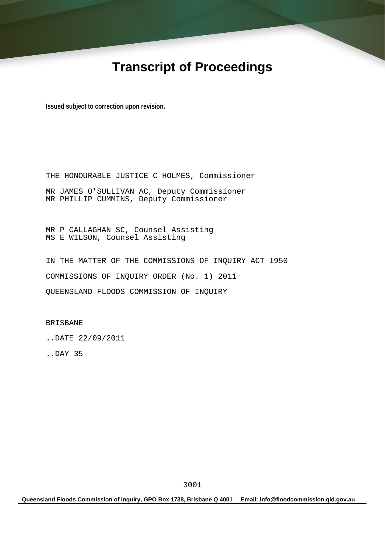# **Transcript of Proceedings**

**Issued subject to correction upon revision.** 

THE HONOURABLE JUSTICE C HOLMES, Commissioner MR JAMES O'SULLIVAN AC, Deputy Commissioner MR PHILLIP CUMMINS, Deputy Commissioner

MR P CALLAGHAN SC, Counsel Assisting MS E WILSON, Counsel Assisting

IN THE MATTER OF THE COMMISSIONS OF INQUIRY ACT 1950 COMMISSIONS OF INQUIRY ORDER (No. 1) 2011 QUEENSLAND FLOODS COMMISSION OF INQUIRY

BRISBANE

..DATE 22/09/2011

..DAY 35

**Queensland Floods Commission of Inquiry, GPO Box 1738, Brisbane Q 4001 Email: info@floodcommission.qld.gov.au**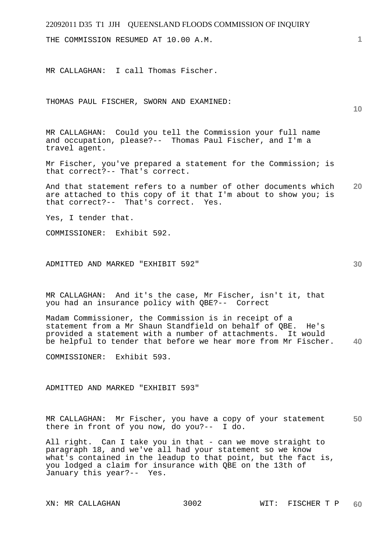THE COMMISSION RESUMED AT 10.00 A.M.

MR CALLAGHAN: I call Thomas Fischer.

THOMAS PAUL FISCHER, SWORN AND EXAMINED:

MR CALLAGHAN: Could you tell the Commission your full name and occupation, please?-- Thomas Paul Fischer, and I'm a travel agent.

Mr Fischer, you've prepared a statement for the Commission; is that correct?-- That's correct.

**20**  And that statement refers to a number of other documents which are attached to this copy of it that I'm about to show you; is that correct?-- That's correct. Yes.

Yes, I tender that.

COMMISSIONER: Exhibit 592.

ADMITTED AND MARKED "EXHIBIT 592"

MR CALLAGHAN: And it's the case, Mr Fischer, isn't it, that you had an insurance policy with QBE?-- Correct

**40**  Madam Commissioner, the Commission is in receipt of a statement from a Mr Shaun Standfield on behalf of QBE. He's provided a statement with a number of attachments. It would be helpful to tender that before we hear more from Mr Fischer.

COMMISSIONER: Exhibit 593.

ADMITTED AND MARKED "EXHIBIT 593"

**50**  MR CALLAGHAN: Mr Fischer, you have a copy of your statement there in front of you now, do you?-- I do.

All right. Can I take you in that - can we move straight to paragraph 18, and we've all had your statement so we know what's contained in the leadup to that point, but the fact is, you lodged a claim for insurance with QBE on the 13th of January this year?-- Yes.

**10**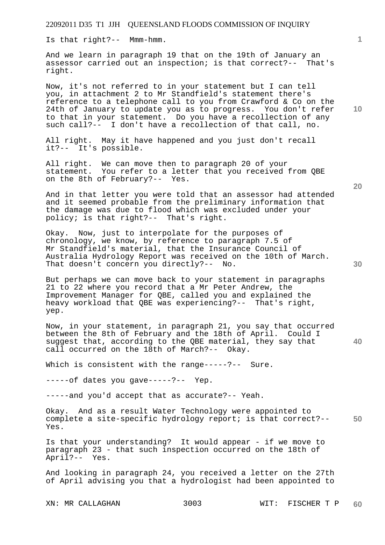Is that right?-- Mmm-hmm.

And we learn in paragraph 19 that on the 19th of January an assessor carried out an inspection; is that correct?-- That's right.

Now, it's not referred to in your statement but I can tell you, in attachment 2 to Mr Standfield's statement there's reference to a telephone call to you from Crawford & Co on the 24th of January to update you as to progress. You don't refer to that in your statement. Do you have a recollection of any such call?-- I don't have a recollection of that call, no.

All right. May it have happened and you just don't recall it?-- It's possible.

All right. We can move then to paragraph 20 of your statement. You refer to a letter that you received from QBE on the 8th of February?-- Yes.

And in that letter you were told that an assessor had attended and it seemed probable from the preliminary information that the damage was due to flood which was excluded under your policy; is that right?-- That's right.

Okay. Now, just to interpolate for the purposes of chronology, we know, by reference to paragraph 7.5 of Mr Standfield's material, that the Insurance Council of Australia Hydrology Report was received on the 10th of March. That doesn't concern you directly?-- No.

But perhaps we can move back to your statement in paragraphs 21 to 22 where you record that a Mr Peter Andrew, the Improvement Manager for QBE, called you and explained the heavy workload that QBE was experiencing?-- That's right, yep.

**40**  Now, in your statement, in paragraph 21, you say that occurred between the 8th of February and the 18th of April. Could I suggest that, according to the QBE material, they say that call occurred on the 18th of March?-- Okay.

Which is consistent with the range-----?-- Sure.

-----of dates you gave-----?-- Yep.

-----and you'd accept that as accurate?-- Yeah.

**50**  Okay. And as a result Water Technology were appointed to complete a site-specific hydrology report; is that correct?-- Yes.

Is that your understanding? It would appear - if we move to paragraph 23 - that such inspection occurred on the 18th of April?-- Yes.

And looking in paragraph 24, you received a letter on the 27th of April advising you that a hydrologist had been appointed to

**1**

**10** 

**20**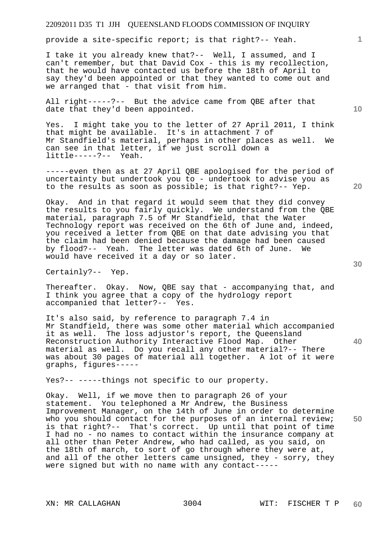provide a site-specific report; is that right?-- Yeah.

I take it you already knew that?-- Well, I assumed, and I can't remember, but that David Cox - this is my recollection, that he would have contacted us before the 18th of April to say they'd been appointed or that they wanted to come out and we arranged that - that visit from him.

All right-----?-- But the advice came from QBE after that date that they'd been appointed.

Yes. I might take you to the letter of 27 April 2011, I think that might be available. It's in attachment 7 of Mr Standfield's material, perhaps in other places as well. We can see in that letter, if we just scroll down a little-----?-- Yeah.

-----even then as at 27 April QBE apologised for the period of uncertainty but undertook you to - undertook to advise you as to the results as soon as possible; is that right?-- Yep.

Okay. And in that regard it would seem that they did convey the results to you fairly quickly. We understand from the QBE material, paragraph 7.5 of Mr Standfield, that the Water Technology report was received on the 6th of June and, indeed, you received a letter from QBE on that date advising you that the claim had been denied because the damage had been caused by flood?-- Yeah. The letter was dated 6th of June. We would have received it a day or so later.

Certainly?-- Yep.

Thereafter. Okay. Now, QBE say that - accompanying that, and I think you agree that a copy of the hydrology report accompanied that letter?-- Yes.

It's also said, by reference to paragraph 7.4 in Mr Standfield, there was some other material which accompanied it as well. The loss adjustor's report, the Queensland Reconstruction Authority Interactive Flood Map. Other material as well. Do you recall any other material?-- There was about 30 pages of material all together. A lot of it were graphs, figures-----

Yes?-- -----things not specific to our property.

**50**  Okay. Well, if we move then to paragraph 26 of your statement. You telephoned a Mr Andrew, the Business Improvement Manager, on the 14th of June in order to determine who you should contact for the purposes of an internal review; is that right?-- That's correct. Up until that point of time I had no - no names to contact within the insurance company at all other than Peter Andrew, who had called, as you said, on the 18th of march, to sort of go through where they were at, and all of the other letters came unsigned, they - sorry, they were signed but with no name with any contact-----

**10** 

**1**

**30** 

**20**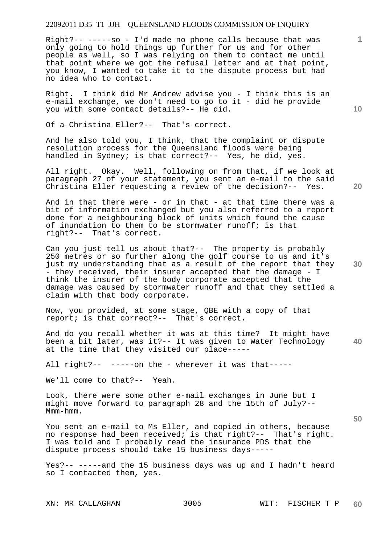Right?-- -----so - I'd made no phone calls because that was only going to hold things up further for us and for other people as well, so I was relying on them to contact me until that point where we got the refusal letter and at that point, you know, I wanted to take it to the dispute process but had no idea who to contact.

Right. I think did Mr Andrew advise you - I think this is an e-mail exchange, we don't need to go to it - did he provide you with some contact details?-- He did.

Of a Christina Eller?-- That's correct.

And he also told you, I think, that the complaint or dispute resolution process for the Queensland floods were being handled in Sydney; is that correct?-- Yes, he did, yes.

All right. Okay. Well, following on from that, if we look at paragraph 27 of your statement, you sent an e-mail to the said Christina Eller requesting a review of the decision?-- Yes.

And in that there were - or in that - at that time there was a bit of information exchanged but you also referred to a report done for a neighbouring block of units which found the cause of inundation to them to be stormwater runoff; is that right?-- That's correct.

Can you just tell us about that?-- The property is probably 250 metres or so further along the golf course to us and it's just my understanding that as a result of the report that they - they received, their insurer accepted that the damage - I think the insurer of the body corporate accepted that the damage was caused by stormwater runoff and that they settled a claim with that body corporate.

Now, you provided, at some stage, QBE with a copy of that report; is that correct?-- That's correct.

**40**  And do you recall whether it was at this time? It might have been a bit later, was it?-- It was given to Water Technology at the time that they visited our place-----

All right?-- -----on the - wherever it was that-----

We'll come to that?-- Yeah.

Look, there were some other e-mail exchanges in June but I might move forward to paragraph 28 and the 15th of July?-- Mmm-hmm.

You sent an e-mail to Ms Eller, and copied in others, because no response had been received; is that right?-- That's right. I was told and I probably read the insurance PDS that the dispute process should take 15 business days-----

Yes?-- -----and the 15 business days was up and I hadn't heard so I contacted them, yes.

**10** 

**1**

**20** 

**30**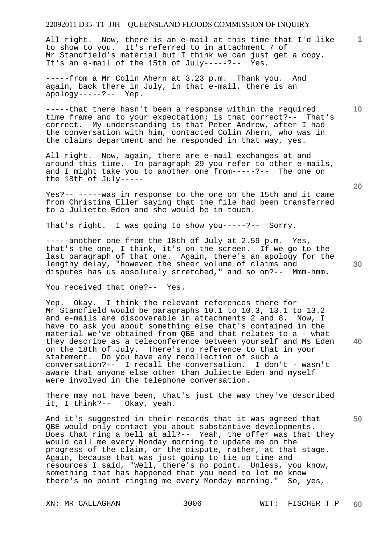All right. Now, there is an e-mail at this time that I'd like to show to you. It's referred to in attachment 7 of Mr Standfield's material but I think we can just get a copy. It's an e-mail of the 15th of July-----?-- Yes.

-----from a Mr Colin Ahern at 3.23 p.m. Thank you. And again, back there in July, in that e-mail, there is an apology-----?-- Yep.

-----that there hasn't been a response within the required time frame and to your expectation; is that correct?-- That's correct. My understanding is that Peter Andrew, after I had the conversation with him, contacted Colin Ahern, who was in the claims department and he responded in that way, yes.

All right. Now, again, there are e-mail exchanges at and around this time. In paragraph 29 you refer to other e-mails, and I might take you to another one from-----?-- The one on the 18th of July-----

Yes?-- -----was in response to the one on the 15th and it came from Christina Eller saying that the file had been transferred to a Juliette Eden and she would be in touch.

That's right. I was going to show you-----?-- Sorry.

-----another one from the 18th of July at 2.59 p.m. Yes, that's the one, I think, it's on the screen. If we go to the last paragraph of that one. Again, there's an apology for the lengthy delay, "however the sheer volume of claims and disputes has us absolutely stretched," and so on?-- Mmm-hmm.

You received that one?-- Yes.

**40**  Yep. Okay. I think the relevant references there for Mr Standfield would be paragraphs 10.1 to 10.3, 13.1 to 13.2 and e-mails are discoverable in attachments 2 and 8. Now, I have to ask you about something else that's contained in the material we've obtained from QBE and that relates to a - what they describe as a teleconference between yourself and Ms Eden on the 18th of July. There's no reference to that in your statement. Do you have any recollection of such a conversation?-- I recall the conversation. I don't - wasn't aware that anyone else other than Juliette Eden and myself were involved in the telephone conversation.

There may not have been, that's just the way they've described it, I think?-- Okay, yeah.

And it's suggested in their records that it was agreed that QBE would only contact you about substantive developments. Does that ring a bell at all?-- Yeah, the offer was that they would call me every Monday morning to update me on the progress of the claim, or the dispute, rather, at that stage. Again, because that was just going to tie up time and resources I said, "Well, there's no point. Unless, you know, something that has happened that you need to let me know there's no point ringing me every Monday morning." So, yes,

**10** 

**1**

**20**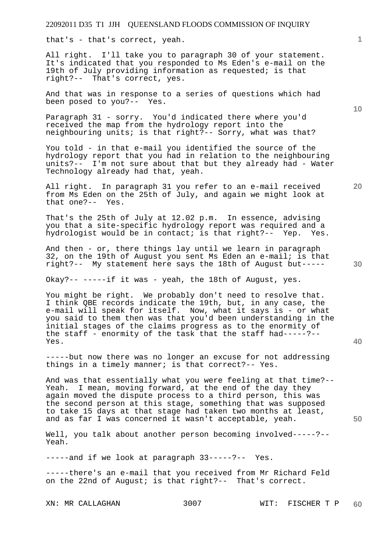that's - that's correct, yeah.

All right. I'll take you to paragraph 30 of your statement. It's indicated that you responded to Ms Eden's e-mail on the 19th of July providing information as requested; is that right?-- That's correct, yes.

And that was in response to a series of questions which had been posed to you?-- Yes.

Paragraph 31 - sorry. You'd indicated there where you'd received the map from the hydrology report into the neighbouring units; is that right?-- Sorry, what was that?

You told - in that e-mail you identified the source of the hydrology report that you had in relation to the neighbouring units?-- I'm not sure about that but they already had - Water Technology already had that, yeah.

All right. In paragraph 31 you refer to an e-mail received from Ms Eden on the 25th of July, and again we might look at that one?-- Yes.

That's the 25th of July at 12.02 p.m. In essence, advising you that a site-specific hydrology report was required and a hydrologist would be in contact; is that right?-- Yep. Yes.

And then - or, there things lay until we learn in paragraph 32, on the 19th of August you sent Ms Eden an e-mail; is that right?-- My statement here says the 18th of August but-----

Okay?-- -----if it was - yeah, the 18th of August, yes.

You might be right. We probably don't need to resolve that. I think QBE records indicate the 19th, but, in any case, the e-mail will speak for itself. Now, what it says is - or what you said to them then was that you'd been understanding in the initial stages of the claims progress as to the enormity of the staff - enormity of the task that the staff had-----?-- Yes.

-----but now there was no longer an excuse for not addressing things in a timely manner; is that correct?-- Yes.

And was that essentially what you were feeling at that time?-- Yeah. I mean, moving forward, at the end of the day they again moved the dispute process to a third person, this was the second person at this stage, something that was supposed to take 15 days at that stage had taken two months at least, and as far I was concerned it wasn't acceptable, yeah.

Well, you talk about another person becoming involved-----?--Yeah.

-----and if we look at paragraph 33-----?-- Yes.

-----there's an e-mail that you received from Mr Richard Feld on the 22nd of August; is that right?-- That's correct.

**10** 

**20** 

**1**

**40** 

**50**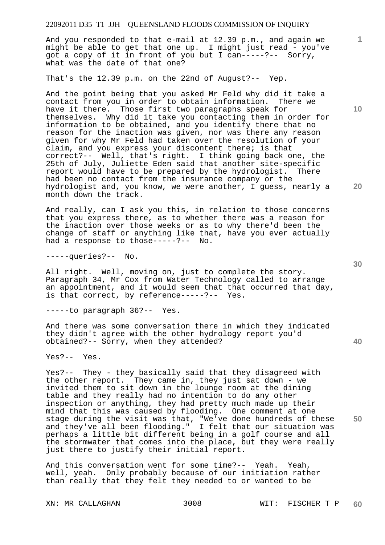And you responded to that e-mail at 12.39 p.m., and again we might be able to get that one up. I might just read - you've got a copy of it in front of you but I can-----?-- Sorry, what was the date of that one?

That's the 12.39 p.m. on the 22nd of August?-- Yep.

And the point being that you asked Mr Feld why did it take a contact from you in order to obtain information. There we have it there. Those first two paragraphs speak for themselves. Why did it take you contacting them in order for information to be obtained, and you identify there that no reason for the inaction was given, nor was there any reason given for why Mr Feld had taken over the resolution of your claim, and you express your discontent there; is that correct?-- Well, that's right. I think going back one, the 25th of July, Juliette Eden said that another site-specific report would have to be prepared by the hydrologist. There had been no contact from the insurance company or the hydrologist and, you know, we were another, I guess, nearly a month down the track.

And really, can I ask you this, in relation to those concerns that you express there, as to whether there was a reason for the inaction over those weeks or as to why there'd been the change of staff or anything like that, have you ever actually had a response to those-----?-- No.

-----queries?-- No.

All right. Well, moving on, just to complete the story. Paragraph 34, Mr Cox from Water Technology called to arrange an appointment, and it would seem that that occurred that day, is that correct, by reference-----?-- Yes.

-----to paragraph 36?-- Yes.

And there was some conversation there in which they indicated they didn't agree with the other hydrology report you'd obtained?-- Sorry, when they attended?

Yes?-- Yes.

Yes?-- They - they basically said that they disagreed with the other report. They came in, they just sat down - we invited them to sit down in the lounge room at the dining table and they really had no intention to do any other inspection or anything, they had pretty much made up their mind that this was caused by flooding. One comment at one stage during the visit was that, "We've done hundreds of these and they've all been flooding." I felt that our situation was perhaps a little bit different being in a golf course and all the stormwater that comes into the place, but they were really just there to justify their initial report.

And this conversation went for some time?-- Yeah. Yeah, well, yeah. Only probably because of our initiation rather than really that they felt they needed to or wanted to be

**10** 

**1**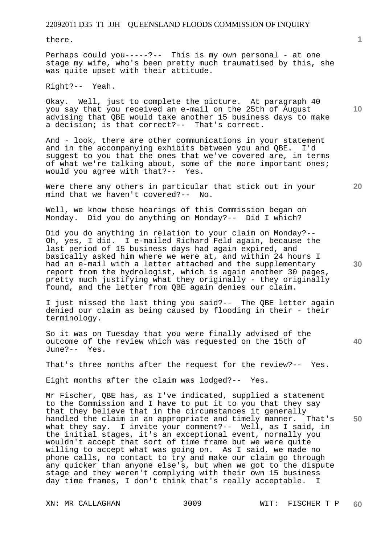there.

Perhaps could you-----?-- This is my own personal - at one stage my wife, who's been pretty much traumatised by this, she was quite upset with their attitude.

Right?-- Yeah.

Okay. Well, just to complete the picture. At paragraph 40 you say that you received an e-mail on the 25th of August advising that QBE would take another 15 business days to make a decision; is that correct?-- That's correct.

And - look, there are other communications in your statement and in the accompanying exhibits between you and QBE. I'd suggest to you that the ones that we've covered are, in terms of what we're talking about, some of the more important ones; would you agree with that?-- Yes.

Were there any others in particular that stick out in your mind that we haven't covered?-- No.

Well, we know these hearings of this Commission began on Monday. Did you do anything on Monday?-- Did I which?

Did you do anything in relation to your claim on Monday?-- Oh, yes, I did. I e-mailed Richard Feld again, because the last period of 15 business days had again expired, and basically asked him where we were at, and within 24 hours I had an e-mail with a letter attached and the supplementary report from the hydrologist, which is again another 30 pages, pretty much justifying what they originally - they originally found, and the letter from QBE again denies our claim.

I just missed the last thing you said?-- The QBE letter again denied our claim as being caused by flooding in their - their terminology.

So it was on Tuesday that you were finally advised of the outcome of the review which was requested on the 15th of June?-- Yes.

That's three months after the request for the review?-- Yes.

Eight months after the claim was lodged?-- Yes.

**50**  Mr Fischer, QBE has, as I've indicated, supplied a statement to the Commission and I have to put it to you that they say that they believe that in the circumstances it generally handled the claim in an appropriate and timely manner. That's what they say. I invite your comment?-- Well, as I said, in the initial stages, it's an exceptional event, normally you wouldn't accept that sort of time frame but we were quite willing to accept what was going on. As I said, we made no phone calls, no contact to try and make our claim go through any quicker than anyone else's, but when we got to the dispute stage and they weren't complying with their own 15 business day time frames, I don't think that's really acceptable. I

**1**

**20** 

**10** 

**30**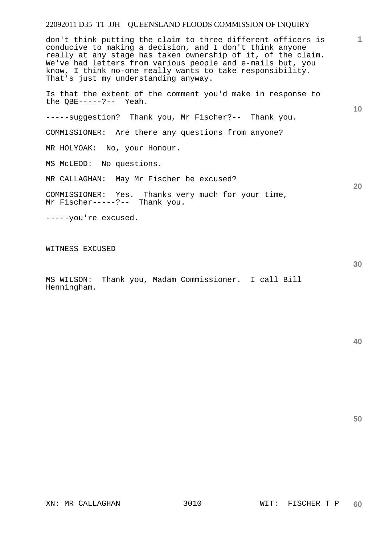**1 10 20**  don't think putting the claim to three different officers is conducive to making a decision, and I don't think anyone really at any stage has taken ownership of it, of the claim. We've had letters from various people and e-mails but, you know, I think no-one really wants to take responsibility. That's just my understanding anyway. Is that the extent of the comment you'd make in response to the QBE-----?-- Yeah. -----suggestion? Thank you, Mr Fischer?-- Thank you. COMMISSIONER: Are there any questions from anyone? MR HOLYOAK: No, your Honour. MS McLEOD: No questions. MR CALLAGHAN: May Mr Fischer be excused? COMMISSIONER: Yes. Thanks very much for your time, Mr Fischer-----?-- Thank you. -----you're excused. WITNESS EXCUSED

MS WILSON: Thank you, Madam Commissioner. I call Bill Henningham.

**40** 

**50**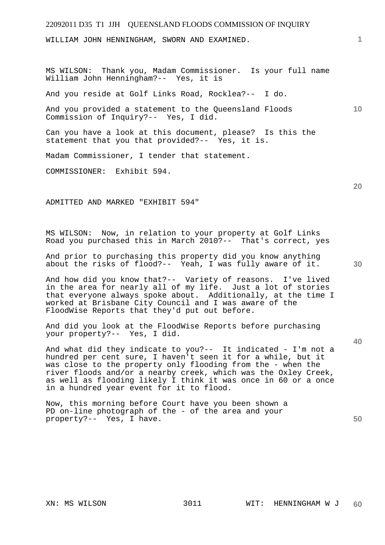WILLIAM JOHN HENNINGHAM, SWORN AND EXAMINED.

MS WILSON: Thank you, Madam Commissioner. Is your full name William John Henningham?-- Yes, it is

And you reside at Golf Links Road, Rocklea?-- I do.

**10**  And you provided a statement to the Queensland Floods Commission of Inquiry?-- Yes, I did.

Can you have a look at this document, please? Is this the statement that you that provided?-- Yes, it is.

Madam Commissioner, I tender that statement.

COMMISSIONER: Exhibit 594.

ADMITTED AND MARKED "EXHIBIT 594"

MS WILSON: Now, in relation to your property at Golf Links Road you purchased this in March 2010?-- That's correct, yes

And prior to purchasing this property did you know anything about the risks of flood?-- Yeah, I was fully aware of it.

And how did you know that?-- Variety of reasons. I've lived in the area for nearly all of my life. Just a lot of stories that everyone always spoke about. Additionally, at the time I worked at Brisbane City Council and I was aware of the FloodWise Reports that they'd put out before.

And did you look at the FloodWise Reports before purchasing your property?-- Yes, I did.

And what did they indicate to you?-- It indicated - I'm not a hundred per cent sure, I haven't seen it for a while, but it was close to the property only flooding from the - when the river floods and/or a nearby creek, which was the Oxley Creek, as well as flooding likely I think it was once in 60 or a once in a hundred year event for it to flood.

Now, this morning before Court have you been shown a PD on-line photograph of the - of the area and your property?-- Yes, I have.

**30** 

**20** 

**40**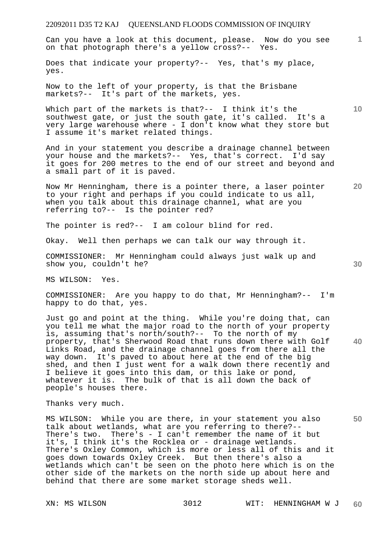**1** Can you have a look at this document, please. Now do you see on that photograph there's a yellow cross?-- Yes.

Does that indicate your property?-- Yes, that's my place, yes.

Now to the left of your property, is that the Brisbane markets?-- It's part of the markets, yes.

Which part of the markets is that ?-- I think it's the southwest gate, or just the south gate, it's called. It's a very large warehouse where - I don't know what they store but I assume it's market related things.

And in your statement you describe a drainage channel between your house and the markets?-- Yes, that's correct. I'd say it goes for 200 metres to the end of our street and beyond and a small part of it is paved.

**20**  Now Mr Henningham, there is a pointer there, a laser pointer to your right and perhaps if you could indicate to us all, when you talk about this drainage channel, what are you referring to?-- Is the pointer red?

The pointer is red?-- I am colour blind for red.

Okay. Well then perhaps we can talk our way through it.

COMMISSIONER: Mr Henningham could always just walk up and show you, couldn't he?

MS WILSON: Yes.

COMMISSIONER: Are you happy to do that, Mr Henningham?-- I'm happy to do that, yes.

Just go and point at the thing. While you're doing that, can you tell me what the major road to the north of your property is, assuming that's north/south?-- To the north of my property, that's Sherwood Road that runs down there with Golf Links Road, and the drainage channel goes from there all the way down. It's paved to about here at the end of the big shed, and then I just went for a walk down there recently and I believe it goes into this dam, or this lake or pond, whatever it is. The bulk of that is all down the back of people's houses there.

Thanks very much.

MS WILSON: While you are there, in your statement you also talk about wetlands, what are you referring to there?-- There's two. There's - I can't remember the name of it but it's, I think it's the Rocklea or - drainage wetlands. There's Oxley Common, which is more or less all of this and it goes down towards Oxley Creek. But then there's also a wetlands which can't be seen on the photo here which is on the other side of the markets on the north side up about here and behind that there are some market storage sheds well.

**30** 

**50**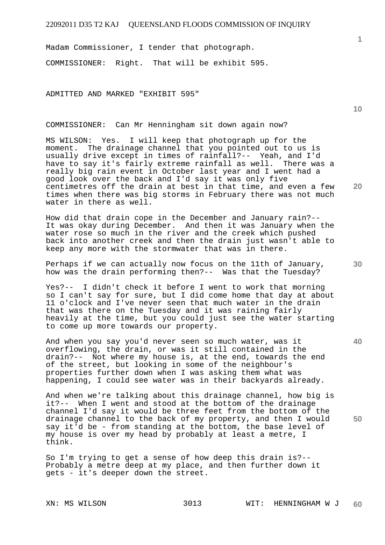Madam Commissioner, I tender that photograph.

COMMISSIONER: Right. That will be exhibit 595.

ADMITTED AND MARKED "EXHIBIT 595"

COMMISSIONER: Can Mr Henningham sit down again now?

MS WILSON: Yes. I will keep that photograph up for the moment. The drainage channel that you pointed out to us is usually drive except in times of rainfall?-- Yeah, and I'd have to say it's fairly extreme rainfall as well. There was a really big rain event in October last year and I went had a good look over the back and I'd say it was only five centimetres off the drain at best in that time, and even a few times when there was big storms in February there was not much water in there as well.

How did that drain cope in the December and January rain?-- It was okay during December. And then it was January when the water rose so much in the river and the creek which pushed back into another creek and then the drain just wasn't able to keep any more with the stormwater that was in there.

Perhaps if we can actually now focus on the 11th of January, how was the drain performing then?-- Was that the Tuesday?

Yes?-- I didn't check it before I went to work that morning so I can't say for sure, but I did come home that day at about 11 o'clock and I've never seen that much water in the drain that was there on the Tuesday and it was raining fairly heavily at the time, but you could just see the water starting to come up more towards our property.

And when you say you'd never seen so much water, was it overflowing, the drain, or was it still contained in the drain?-- Not where my house is, at the end, towards the end of the street, but looking in some of the neighbour's properties further down when I was asking them what was happening, I could see water was in their backyards already.

And when we're talking about this drainage channel, how big is it?-- When I went and stood at the bottom of the drainage channel I'd say it would be three feet from the bottom of the drainage channel to the back of my property, and then I would say it'd be - from standing at the bottom, the base level of my house is over my head by probably at least a metre, I think.

So I'm trying to get a sense of how deep this drain is?-- Probably a metre deep at my place, and then further down it gets - it's deeper down the street.

**1**

**20** 

**10** 

**30** 

**40**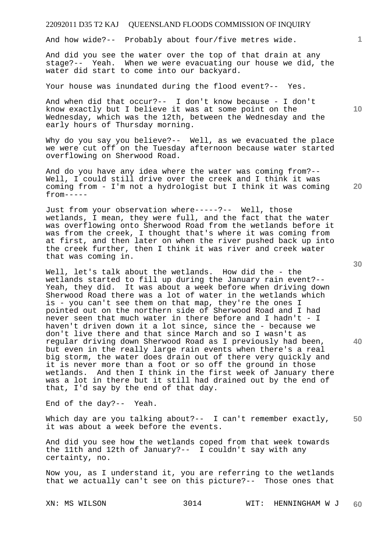And how wide?-- Probably about four/five metres wide.

And did you see the water over the top of that drain at any stage?-- Yeah. When we were evacuating our house we did, the water did start to come into our backyard.

Your house was inundated during the flood event?-- Yes.

And when did that occur?-- I don't know because - I don't know exactly but I believe it was at some point on the Wednesday, which was the 12th, between the Wednesday and the early hours of Thursday morning.

Why do you say you believe?-- Well, as we evacuated the place we were cut off on the Tuesday afternoon because water started overflowing on Sherwood Road.

And do you have any idea where the water was coming from?-- Well, I could still drive over the creek and I think it was coming from - I'm not a hydrologist but I think it was coming  $from---$ 

Just from your observation where-----?-- Well, those wetlands, I mean, they were full, and the fact that the water was overflowing onto Sherwood Road from the wetlands before it was from the creek, I thought that's where it was coming from at first, and then later on when the river pushed back up into the creek further, then I think it was river and creek water that was coming in.

Well, let's talk about the wetlands. How did the - the wetlands started to fill up during the January rain event?-- Yeah, they did. It was about a week before when driving down Sherwood Road there was a lot of water in the wetlands which is - you can't see them on that map, they're the ones I pointed out on the northern side of Sherwood Road and I had never seen that much water in there before and I hadn't - I haven't driven down it a lot since, since the - because we don't live there and that since March and so I wasn't as regular driving down Sherwood Road as I previously had been, but even in the really large rain events when there's a real big storm, the water does drain out of there very quickly and it is never more than a foot or so off the ground in those wetlands. And then I think in the first week of January there was a lot in there but it still had drained out by the end of that, I'd say by the end of that day.

End of the day?-- Yeah.

**50**  Which day are you talking about?-- I can't remember exactly, it was about a week before the events.

And did you see how the wetlands coped from that week towards the 11th and 12th of January?-- I couldn't say with any certainty, no.

Now you, as I understand it, you are referring to the wetlands that we actually can't see on this picture?-- Those ones that

**10** 

**1**

**30** 

**20**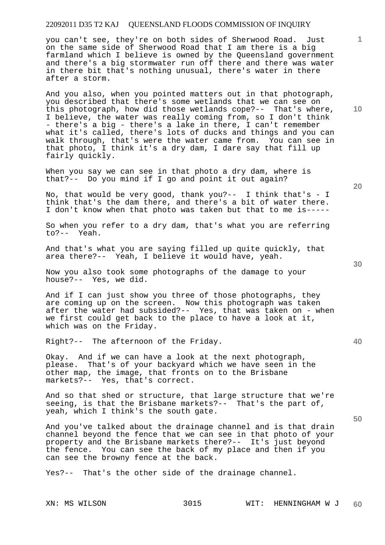you can't see, they're on both sides of Sherwood Road. Just on the same side of Sherwood Road that I am there is a big farmland which I believe is owned by the Queensland government and there's a big stormwater run off there and there was water in there bit that's nothing unusual, there's water in there after a storm.

And you also, when you pointed matters out in that photograph, you described that there's some wetlands that we can see on this photograph, how did those wetlands cope?-- That's where, I believe, the water was really coming from, so I don't think - there's a big - there's a lake in there, I can't remember what it's called, there's lots of ducks and things and you can walk through, that's were the water came from. You can see in that photo, I think it's a dry dam, I dare say that fill up fairly quickly.

When you say we can see in that photo a dry dam, where is that?-- Do you mind if I go and point it out again?

No, that would be very good, thank you?-- I think that's - I think that's the dam there, and there's a bit of water there. I don't know when that photo was taken but that to me is-----

So when you refer to a dry dam, that's what you are referring to?-- Yeah.

And that's what you are saying filled up quite quickly, that area there?-- Yeah, I believe it would have, yeah.

Now you also took some photographs of the damage to your house?-- Yes, we did.

And if I can just show you three of those photographs, they are coming up on the screen. Now this photograph was taken after the water had subsided?-- Yes, that was taken on - when we first could get back to the place to have a look at it, which was on the Friday.

Right?-- The afternoon of the Friday.

Okay. And if we can have a look at the next photograph, please. That's of your backyard which we have seen in the other map, the image, that fronts on to the Brisbane markets?-- Yes, that's correct.

And so that shed or structure, that large structure that we're seeing, is that the Brisbane markets?-- That's the part of, yeah, which I think's the south gate.

And you've talked about the drainage channel and is that drain channel beyond the fence that we can see in that photo of your property and the Brisbane markets there?-- It's just beyond the fence. You can see the back of my place and then if you can see the browny fence at the back.

Yes?-- That's the other side of the drainage channel.

**20** 

**10** 

**1**

**30**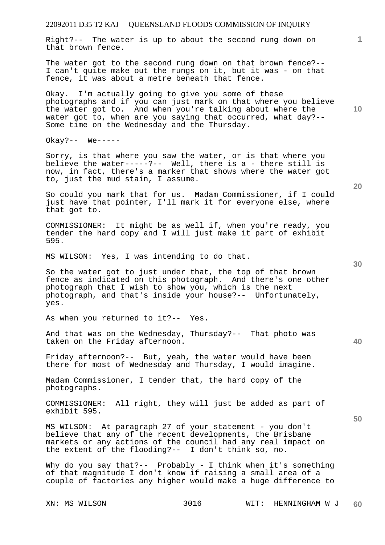22092011 D35 T2 KAJ QUEENSLAND FLOODS COMMISSION OF INQUIRY **1 10 20 30 40 50**  Right?-- The water is up to about the second rung down on that brown fence. The water got to the second rung down on that brown fence?-- I can't quite make out the rungs on it, but it was - on that fence, it was about a metre beneath that fence. Okay. I'm actually going to give you some of these photographs and if you can just mark on that where you believe the water got to. And when you're talking about where the water got to, when are you saying that occurred, what day?-- Some time on the Wednesday and the Thursday. Okay?-- We----- Sorry, is that where you saw the water, or is that where you believe the water-----?-- Well, there is a - there still is now, in fact, there's a marker that shows where the water got to, just the mud stain, I assume. So could you mark that for us. Madam Commissioner, if I could just have that pointer, I'll mark it for everyone else, where that got to. COMMISSIONER: It might be as well if, when you're ready, you tender the hard copy and I will just make it part of exhibit 595. MS WILSON: Yes, I was intending to do that. So the water got to just under that, the top of that brown fence as indicated on this photograph. And there's one other photograph that I wish to show you, which is the next photograph, and that's inside your house?-- Unfortunately, yes. As when you returned to it?-- Yes. And that was on the Wednesday, Thursday?-- That photo was taken on the Friday afternoon. Friday afternoon?-- But, yeah, the water would have been there for most of Wednesday and Thursday, I would imagine. Madam Commissioner, I tender that, the hard copy of the photographs. COMMISSIONER: All right, they will just be added as part of exhibit 595. MS WILSON: At paragraph 27 of your statement - you don't believe that any of the recent developments, the Brisbane markets or any actions of the council had any real impact on the extent of the flooding?-- I don't think so, no. Why do you say that?-- Probably - I think when it's something of that magnitude I don't know if raising a small area of a couple of factories any higher would make a huge difference to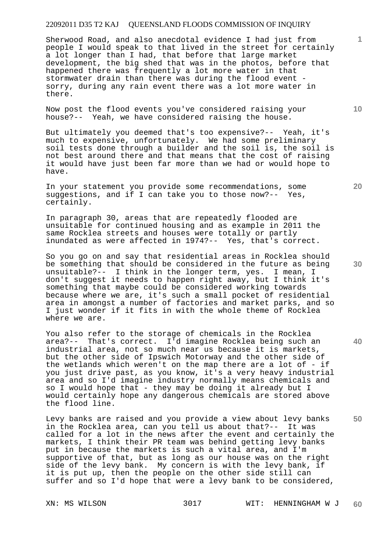Sherwood Road, and also anecdotal evidence I had just from people I would speak to that lived in the street for certainly a lot longer than I had, that before that large market development, the big shed that was in the photos, before that happened there was frequently a lot more water in that stormwater drain than there was during the flood event sorry, during any rain event there was a lot more water in there.

Now post the flood events you've considered raising your house?-- Yeah, we have considered raising the house.

But ultimately you deemed that's too expensive?-- Yeah, it's much to expensive, unfortunately. We had some preliminary soil tests done through a builder and the soil is, the soil is not best around there and that means that the cost of raising it would have just been far more than we had or would hope to have.

In your statement you provide some recommendations, some suggestions, and if I can take you to those now?-- Yes, certainly.

In paragraph 30, areas that are repeatedly flooded are unsuitable for continued housing and as example in 2011 the same Rocklea streets and houses were totally or partly inundated as were affected in 1974?-- Yes, that's correct.

So you go on and say that residential areas in Rocklea should be something that should be considered in the future as being unsuitable?-- I think in the longer term, yes. I mean, I don't suggest it needs to happen right away, but I think it's something that maybe could be considered working towards because where we are, it's such a small pocket of residential area in amongst a number of factories and market parks, and so I just wonder if it fits in with the whole theme of Rocklea where we are.

You also refer to the storage of chemicals in the Rocklea area?-- That's correct. I'd imagine Rocklea being such an industrial area, not so much near us because it is markets, but the other side of Ipswich Motorway and the other side of the wetlands which weren't on the map there are a lot of - if you just drive past, as you know, it's a very heavy industrial area and so I'd imagine industry normally means chemicals and so I would hope that - they may be doing it already but I would certainly hope any dangerous chemicals are stored above the flood line.

Levy banks are raised and you provide a view about levy banks in the Rocklea area, can you tell us about that?-- It was called for a lot in the news after the event and certainly the markets, I think their PR team was behind getting levy banks put in because the markets is such a vital area, and I'm supportive of that, but as long as our house was on the right side of the levy bank. My concern is with the levy bank, if it is put up, then the people on the other side still can suffer and so I'd hope that were a levy bank to be considered,

**20** 

**10** 

**1**

**40**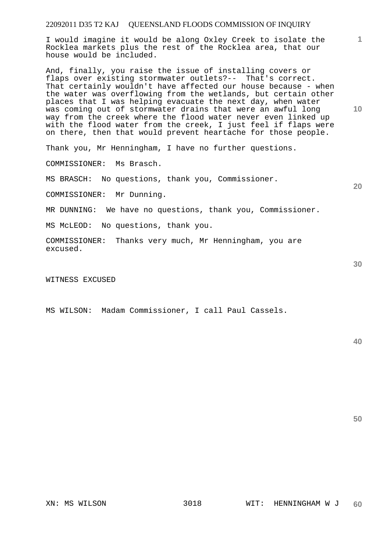I would imagine it would be along Oxley Creek to isolate the Rocklea markets plus the rest of the Rocklea area, that our house would be included.

And, finally, you raise the issue of installing covers or flaps over existing stormwater outlets?-- That's correct. That certainly wouldn't have affected our house because - when the water was overflowing from the wetlands, but certain other places that I was helping evacuate the next day, when water was coming out of stormwater drains that were an awful long way from the creek where the flood water never even linked up with the flood water from the creek, I just feel if flaps were on there, then that would prevent heartache for those people.

Thank you, Mr Henningham, I have no further questions.

COMMISSIONER: Ms Brasch.

MS BRASCH: No questions, thank you, Commissioner.

COMMISSIONER: Mr Dunning.

MR DUNNING: We have no questions, thank you, Commissioner.

MS McLEOD: No questions, thank you.

COMMISSIONER: Thanks very much, Mr Henningham, you are excused.

#### WITNESS EXCUSED

MS WILSON: Madam Commissioner, I call Paul Cassels.

**50** 

**10** 

**1**

**20**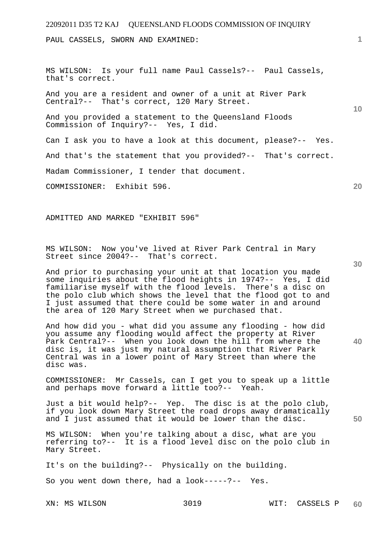PAUL CASSELS, SWORN AND EXAMINED:

MS WILSON: Is your full name Paul Cassels?-- Paul Cassels, that's correct.

And you are a resident and owner of a unit at River Park Central?-- That's correct, 120 Mary Street.

And you provided a statement to the Queensland Floods Commission of Inquiry?-- Yes, I did.

Can I ask you to have a look at this document, please?-- Yes.

And that's the statement that you provided?-- That's correct.

Madam Commissioner, I tender that document.

COMMISSIONER: Exhibit 596.

ADMITTED AND MARKED "EXHIBIT 596"

MS WILSON: Now you've lived at River Park Central in Mary Street since 2004?-- That's correct.

And prior to purchasing your unit at that location you made some inquiries about the flood heights in 1974?-- Yes, I did familiarise myself with the flood levels. There's a disc on the polo club which shows the level that the flood got to and I just assumed that there could be some water in and around the area of 120 Mary Street when we purchased that.

And how did you - what did you assume any flooding - how did you assume any flooding would affect the property at River Park Central?-- When you look down the hill from where the disc is, it was just my natural assumption that River Park Central was in a lower point of Mary Street than where the disc was.

COMMISSIONER: Mr Cassels, can I get you to speak up a little and perhaps move forward a little too?-- Yeah.

Just a bit would help?-- Yep. The disc is at the polo club, if you look down Mary Street the road drops away dramatically and I just assumed that it would be lower than the disc.

MS WILSON: When you're talking about a disc, what are you referring to?-- It is a flood level disc on the polo club in Mary Street.

It's on the building?-- Physically on the building.

So you went down there, had a look-----?-- Yes.

**10** 

**20** 

**30** 

**40**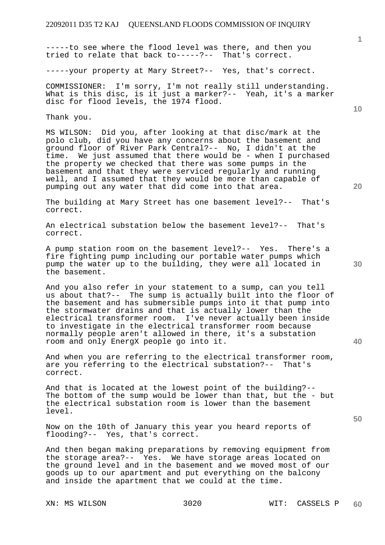-----to see where the flood level was there, and then you tried to relate that back to-----?-- That's correct.

-----your property at Mary Street?-- Yes, that's correct.

COMMISSIONER: I'm sorry, I'm not really still understanding. What is this disc, is it just a marker?-- Yeah, it's a marker disc for flood levels, the 1974 flood.

Thank you.

MS WILSON: Did you, after looking at that disc/mark at the polo club, did you have any concerns about the basement and ground floor of River Park Central?-- No, I didn't at the time. We just assumed that there would be - when I purchased the property we checked that there was some pumps in the basement and that they were serviced regularly and running well, and I assumed that they would be more than capable of pumping out any water that did come into that area.

The building at Mary Street has one basement level?-- That's correct.

An electrical substation below the basement level?-- That's correct.

A pump station room on the basement level?-- Yes. There's a fire fighting pump including our portable water pumps which pump the water up to the building, they were all located in the basement.

And you also refer in your statement to a sump, can you tell us about that?-- The sump is actually built into the floor of the basement and has submersible pumps into it that pump into the stormwater drains and that is actually lower than the electrical transformer room. I've never actually been inside to investigate in the electrical transformer room because normally people aren't allowed in there, it's a substation room and only EnergX people go into it.

And when you are referring to the electrical transformer room, are you referring to the electrical substation?-- That's correct.

And that is located at the lowest point of the building?-- The bottom of the sump would be lower than that, but the - but the electrical substation room is lower than the basement level.

Now on the 10th of January this year you heard reports of flooding?-- Yes, that's correct.

And then began making preparations by removing equipment from the storage area?-- Yes. We have storage areas located on the ground level and in the basement and we moved most of our goods up to our apartment and put everything on the balcony and inside the apartment that we could at the time.

**40** 

**50** 

**10**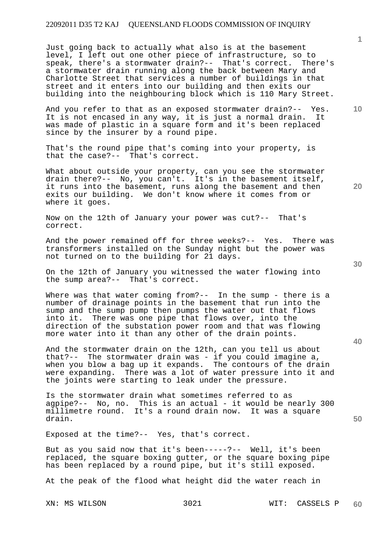Just going back to actually what also is at the basement level, I left out one other piece of infrastructure, so to speak, there's a stormwater drain?-- That's correct. There's a stormwater drain running along the back between Mary and Charlotte Street that services a number of buildings in that street and it enters into our building and then exits our building into the neighbouring block which is 110 Mary Street.

And you refer to that as an exposed stormwater drain?-- Yes. It is not encased in any way, it is just a normal drain. It was made of plastic in a square form and it's been replaced since by the insurer by a round pipe.

That's the round pipe that's coming into your property, is that the case?-- That's correct.

What about outside your property, can you see the stormwater drain there?-- No, you can't. It's in the basement itself, it runs into the basement, runs along the basement and then exits our building. We don't know where it comes from or where it goes.

Now on the 12th of January your power was cut?-- That's correct.

And the power remained off for three weeks?-- Yes. There was transformers installed on the Sunday night but the power was not turned on to the building for 21 days.

On the 12th of January you witnessed the water flowing into the sump area?-- That's correct.

Where was that water coming from?-- In the sump - there is a number of drainage points in the basement that run into the sump and the sump pump then pumps the water out that flows into it. There was one pipe that flows over, into the direction of the substation power room and that was flowing more water into it than any other of the drain points.

And the stormwater drain on the 12th, can you tell us about that?-- The stormwater drain was - if you could imagine a, when you blow a bag up it expands. The contours of the drain were expanding. There was a lot of water pressure into it and the joints were starting to leak under the pressure.

Is the stormwater drain what sometimes referred to as agpipe?-- No, no. This is an actual - it would be nearly 300 millimetre round. It's a round drain now. It was a square drain.

Exposed at the time?-- Yes, that's correct.

But as you said now that it's been-----?-- Well, it's been replaced, the square boxing gutter, or the square boxing pipe has been replaced by a round pipe, but it's still exposed.

At the peak of the flood what height did the water reach in

**30** 

**20** 

**50** 

**10**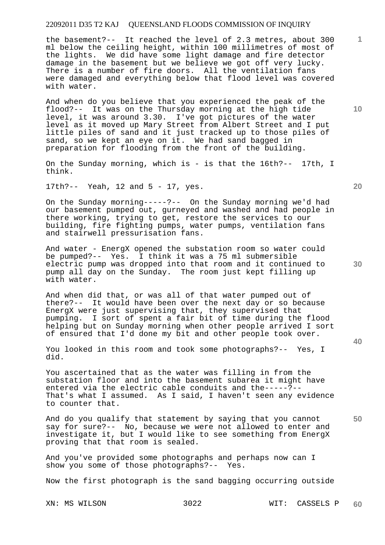the basement?-- It reached the level of 2.3 metres, about 300 ml below the ceiling height, within 100 millimetres of most of the lights. We did have some light damage and fire detector damage in the basement but we believe we got off very lucky. There is a number of fire doors. All the ventilation fans were damaged and everything below that flood level was covered with water.

And when do you believe that you experienced the peak of the flood?-- It was on the Thursday morning at the high tide level, it was around 3.30. I've got pictures of the water level as it moved up Mary Street from Albert Street and I put little piles of sand and it just tracked up to those piles of sand, so we kept an eye on it. We had sand bagged in preparation for flooding from the front of the building.

On the Sunday morning, which is - is that the 16th?-- 17th, I think.

17th?-- Yeah, 12 and 5 - 17, yes.

On the Sunday morning-----?-- On the Sunday morning we'd had our basement pumped out, gurneyed and washed and had people in there working, trying to get, restore the services to our building, fire fighting pumps, water pumps, ventilation fans and stairwell pressurisation fans.

And water - EnergX opened the substation room so water could be pumped?-- Yes. I think it was a 75 ml submersible electric pump was dropped into that room and it continued to pump all day on the Sunday. The room just kept filling up with water.

And when did that, or was all of that water pumped out of there?-- It would have been over the next day or so because EnergX were just supervising that, they supervised that pumping. I sort of spent a fair bit of time during the flood helping but on Sunday morning when other people arrived I sort of ensured that I'd done my bit and other people took over.

You looked in this room and took some photographs?-- Yes, I did.

You ascertained that as the water was filling in from the substation floor and into the basement subarea it might have entered via the electric cable conduits and the-----?-- That's what I assumed. As I said, I haven't seen any evidence to counter that.

And do you qualify that statement by saying that you cannot say for sure?-- No, because we were not allowed to enter and investigate it, but I would like to see something from EnergX proving that that room is sealed.

And you've provided some photographs and perhaps now can I show you some of those photographs?-- Yes.

Now the first photograph is the sand bagging occurring outside

**20** 

**40** 

**10** 

**1**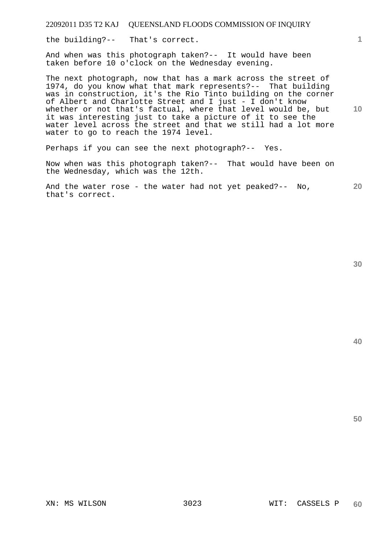the building?-- That's correct.

And when was this photograph taken?-- It would have been taken before 10 o'clock on the Wednesday evening.

**10**  The next photograph, now that has a mark across the street of 1974, do you know what that mark represents?-- That building was in construction, it's the Rio Tinto building on the corner of Albert and Charlotte Street and I just - I don't know whether or not that's factual, where that level would be, but it was interesting just to take a picture of it to see the water level across the street and that we still had a lot more water to go to reach the 1974 level.

Perhaps if you can see the next photograph?-- Yes.

Now when was this photograph taken?-- That would have been on the Wednesday, which was the 12th.

**20**  And the water rose - the water had not yet peaked?-- No, that's correct.

**40** 

**50**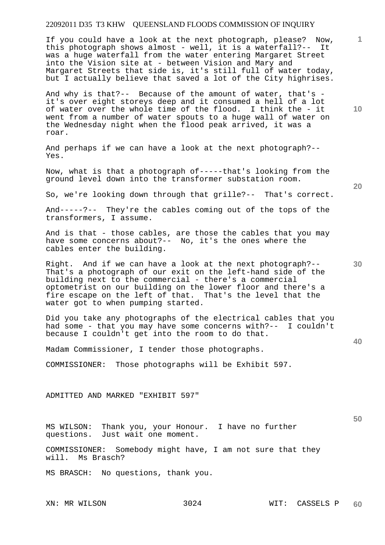If you could have a look at the next photograph, please? Now, this photograph shows almost - well, it is a waterfall?-- It was a huge waterfall from the water entering Margaret Street into the Vision site at - between Vision and Mary and Margaret Streets that side is, it's still full of water today, but I actually believe that saved a lot of the City highrises.

And why is that?-- Because of the amount of water, that's it's over eight storeys deep and it consumed a hell of a lot of water over the whole time of the flood. I think the - it went from a number of water spouts to a huge wall of water on the Wednesday night when the flood peak arrived, it was a roar.

And perhaps if we can have a look at the next photograph?-- Yes.

Now, what is that a photograph of-----that's looking from the ground level down into the transformer substation room.

So, we're looking down through that grille?-- That's correct.

And-----?-- They're the cables coming out of the tops of the transformers, I assume.

And is that - those cables, are those the cables that you may have some concerns about?-- No, it's the ones where the cables enter the building.

Right. And if we can have a look at the next photograph?-- That's a photograph of our exit on the left-hand side of the building next to the commercial - there's a commercial optometrist on our building on the lower floor and there's a fire escape on the left of that. That's the level that the water got to when pumping started.

Did you take any photographs of the electrical cables that you had some - that you may have some concerns with?-- I couldn't because I couldn't get into the room to do that.

Madam Commissioner, I tender those photographs.

COMMISSIONER: Those photographs will be Exhibit 597.

ADMITTED AND MARKED "EXHIBIT 597"

MS WILSON: Thank you, your Honour. I have no further Just wait one moment.

COMMISSIONER: Somebody might have, I am not sure that they will. Ms Brasch?

MS BRASCH: No questions, thank you.

**20** 

**10** 

**1**

**30** 

**50**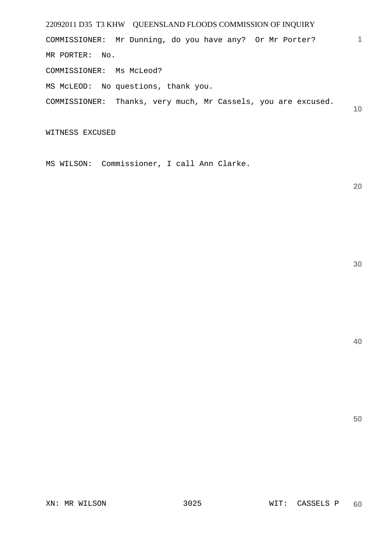22092011 D35 T3 KHW QUEENSLAND FLOODS COMMISSION OF INQUIRY **1 10**  COMMISSIONER: Mr Dunning, do you have any? Or Mr Porter? MR PORTER: No. COMMISSIONER: Ms McLeod? MS McLEOD: No questions, thank you. COMMISSIONER: Thanks, very much, Mr Cassels, you are excused.

WITNESS EXCUSED

MS WILSON: Commissioner, I call Ann Clarke.

**20**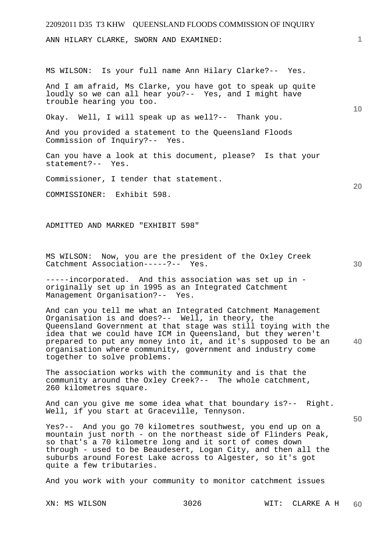# 22092011 D35 T3 KHW QUEENSLAND FLOODS COMMISSION OF INQUIRY **1 10 20 30 40 50**  ANN HILARY CLARKE, SWORN AND EXAMINED: MS WILSON: Is your full name Ann Hilary Clarke?-- Yes. And I am afraid, Ms Clarke, you have got to speak up quite loudly so we can all hear you?-- Yes, and I might have trouble hearing you too. Okay. Well, I will speak up as well?-- Thank you. And you provided a statement to the Queensland Floods Commission of Inquiry?-- Yes. Can you have a look at this document, please? Is that your statement?-- Yes. Commissioner, I tender that statement. COMMISSIONER: Exhibit 598. ADMITTED AND MARKED "EXHIBIT 598" MS WILSON: Now, you are the president of the Oxley Creek Catchment Association-----?-- Yes. -----incorporated. And this association was set up in originally set up in 1995 as an Integrated Catchment Management Organisation?-- Yes. And can you tell me what an Integrated Catchment Management Organisation is and does?-- Well, in theory, the Queensland Government at that stage was still toying with the idea that we could have ICM in Queensland, but they weren't prepared to put any money into it, and it's supposed to be an organisation where community, government and industry come together to solve problems. The association works with the community and is that the community around the Oxley Creek?-- The whole catchment, 260 kilometres square. And can you give me some idea what that boundary is?-- Right. Well, if you start at Graceville, Tennyson. Yes?-- And you go 70 kilometres southwest, you end up on a mountain just north - on the northeast side of Flinders Peak, so that's a 70 kilometre long and it sort of comes down through - used to be Beaudesert, Logan City, and then all the suburbs around Forest Lake across to Algester, so it's got quite a few tributaries. And you work with your community to monitor catchment issues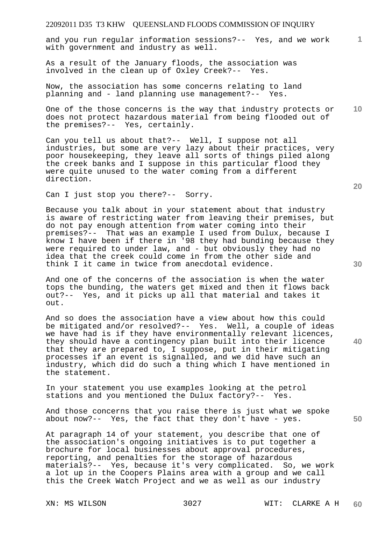and you run regular information sessions?-- Yes, and we work with government and industry as well.

As a result of the January floods, the association was involved in the clean up of Oxley Creek?-- Yes.

Now, the association has some concerns relating to land planning and - land planning use management?-- Yes.

**10**  One of the those concerns is the way that industry protects or does not protect hazardous material from being flooded out of the premises?-- Yes, certainly.

Can you tell us about that?-- Well, I suppose not all industries, but some are very lazy about their practices, very poor housekeeping, they leave all sorts of things piled along the creek banks and I suppose in this particular flood they were quite unused to the water coming from a different direction.

Can I just stop you there?-- Sorry.

Because you talk about in your statement about that industry is aware of restricting water from leaving their premises, but do not pay enough attention from water coming into their premises?-- That was an example I used from Dulux, because I know I have been if there in '98 they had bunding because they were required to under law, and - but obviously they had no idea that the creek could come in from the other side and think I it came in twice from anecdotal evidence.

And one of the concerns of the association is when the water tops the bunding, the waters get mixed and then it flows back out?-- Yes, and it picks up all that material and takes it out.

And so does the association have a view about how this could be mitigated and/or resolved?-- Yes. Well, a couple of ideas we have had is if they have environmentally relevant licences, they should have a contingency plan built into their licence that they are prepared to, I suppose, put in their mitigating processes if an event is signalled, and we did have such an industry, which did do such a thing which I have mentioned in the statement.

In your statement you use examples looking at the petrol stations and you mentioned the Dulux factory?-- Yes.

And those concerns that you raise there is just what we spoke about now?-- Yes, the fact that they don't have - yes.

At paragraph 14 of your statement, you describe that one of the association's ongoing initiatives is to put together a brochure for local businesses about approval procedures, reporting, and penalties for the storage of hazardous materials?-- Yes, because it's very complicated. So, we work a lot up in the Coopers Plains area with a group and we call this the Creek Watch Project and we as well as our industry

**20** 

**1**

**50**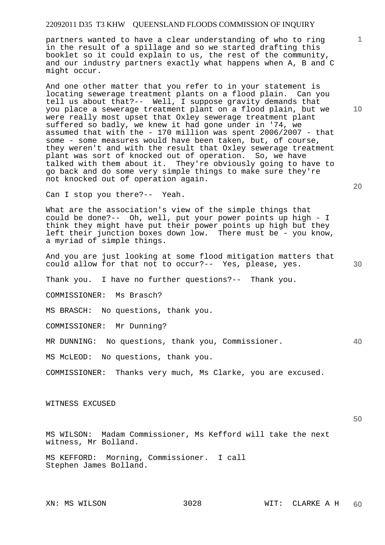partners wanted to have a clear understanding of who to ring in the result of a spillage and so we started drafting this booklet so it could explain to us, the rest of the community, and our industry partners exactly what happens when A, B and C might occur.

And one other matter that you refer to in your statement is locating sewerage treatment plants on a flood plain. Can you tell us about that?-- Well, I suppose gravity demands that you place a sewerage treatment plant on a flood plain, but we were really most upset that Oxley sewerage treatment plant suffered so badly, we knew it had gone under in '74, we assumed that with the - 170 million was spent 2006/2007 - that some - some measures would have been taken, but, of course, they weren't and with the result that Oxley sewerage treatment plant was sort of knocked out of operation. So, we have talked with them about it. They're obviously going to have to go back and do some very simple things to make sure they're not knocked out of operation again.

Can I stop you there?-- Yeah.

What are the association's view of the simple things that could be done?-- Oh, well, put your power points up high - I think they might have put their power points up high but they left their junction boxes down low. There must be - you know, a myriad of simple things.

And you are just looking at some flood mitigation matters that could allow for that not to occur?-- Yes, please, yes.

Thank you. I have no further questions?-- Thank you.

COMMISSIONER: Ms Brasch?

MS BRASCH: No questions, thank you.

COMMISSIONER: Mr Dunning?

**40**  MR DUNNING: No questions, thank you, Commissioner.

MS McLEOD: No questions, thank you.

COMMISSIONER: Thanks very much, Ms Clarke, you are excused.

# WITNESS EXCUSED

**50** 

MS WILSON: Madam Commissioner, Ms Kefford will take the next witness, Mr Bolland.

MS KEFFORD: Morning, Commissioner. I call Stephen James Bolland.

**10**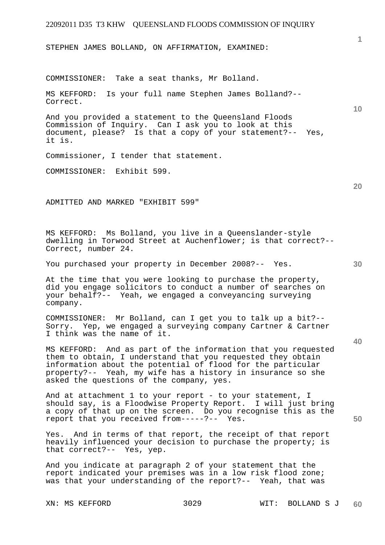STEPHEN JAMES BOLLAND, ON AFFIRMATION, EXAMINED:

COMMISSIONER: Take a seat thanks, Mr Bolland.

MS KEFFORD: Is your full name Stephen James Bolland?-- Correct.

And you provided a statement to the Queensland Floods Commission of Inquiry. Can I ask you to look at this document, please? Is that a copy of your statement?-- Yes, it is.

Commissioner, I tender that statement.

COMMISSIONER: Exhibit 599.

ADMITTED AND MARKED "EXHIBIT 599"

MS KEFFORD: Ms Bolland, you live in a Queenslander-style dwelling in Torwood Street at Auchenflower; is that correct?-- Correct, number 24.

You purchased your property in December 2008?-- Yes.

At the time that you were looking to purchase the property, did you engage solicitors to conduct a number of searches on your behalf?-- Yeah, we engaged a conveyancing surveying company.

COMMISSIONER: Mr Bolland, can I get you to talk up a bit?-- Sorry. Yep, we engaged a surveying company Cartner & Cartner I think was the name of it.

MS KEFFORD: And as part of the information that you requested them to obtain, I understand that you requested they obtain information about the potential of flood for the particular property?-- Yeah, my wife has a history in insurance so she asked the questions of the company, yes.

And at attachment 1 to your report - to your statement, I should say, is a Floodwise Property Report. I will just bring a copy of that up on the screen. Do you recognise this as the report that you received from-----?-- Yes.

Yes. And in terms of that report, the receipt of that report heavily influenced your decision to purchase the property; is that correct?-- Yes, yep.

And you indicate at paragraph 2 of your statement that the report indicated your premises was in a low risk flood zone; was that your understanding of the report?-- Yeah, that was

**10** 

**1**

**20** 

**40**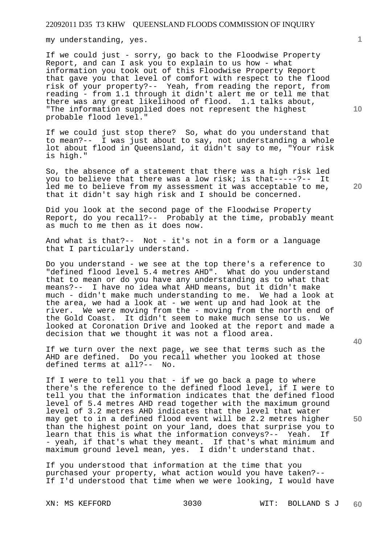my understanding, yes.

If we could just - sorry, go back to the Floodwise Property Report, and can I ask you to explain to us how - what information you took out of this Floodwise Property Report that gave you that level of comfort with respect to the flood risk of your property?-- Yeah, from reading the report, from reading - from 1.1 through it didn't alert me or tell me that there was any great likelihood of flood. 1.1 talks about, "The information supplied does not represent the highest probable flood level."

If we could just stop there? So, what do you understand that to mean?-- I was just about to say, not understanding a whole lot about flood in Queensland, it didn't say to me, "Your risk is high."

So, the absence of a statement that there was a high risk led you to believe that there was a low risk; is that-----?-- It led me to believe from my assessment it was acceptable to me, that it didn't say high risk and I should be concerned.

Did you look at the second page of the Floodwise Property Report, do you recall?-- Probably at the time, probably meant as much to me then as it does now.

And what is that?-- Not - it's not in a form or a language that I particularly understand.

Do you understand - we see at the top there's a reference to "defined flood level 5.4 metres AHD". What do you understand that to mean or do you have any understanding as to what that means?-- I have no idea what AHD means, but it didn't make much - didn't make much understanding to me. We had a look at the area, we had a look at - we went up and had look at the river. We were moving from the - moving from the north end of the Gold Coast. It didn't seem to make much sense to us. We looked at Coronation Drive and looked at the report and made a decision that we thought it was not a flood area.

If we turn over the next page, we see that terms such as the AHD are defined. Do you recall whether you looked at those defined terms at all?-- No.

If I were to tell you that - if we go back a page to where there's the reference to the defined flood level, if I were to tell you that the information indicates that the defined flood level of 5.4 metres AHD read together with the maximum ground level of 3.2 metres AHD indicates that the level that water may get to in a defined flood event will be 2.2 metres higher than the highest point on your land, does that surprise you to learn that this is what the information conveys?-- Yeah. If - yeah, if that's what they meant. If that's what minimum and maximum ground level mean, yes. I didn't understand that.

If you understood that information at the time that you purchased your property, what action would you have taken?-- If I'd understood that time when we were looking, I would have

**10** 

**1**

**20** 

**40**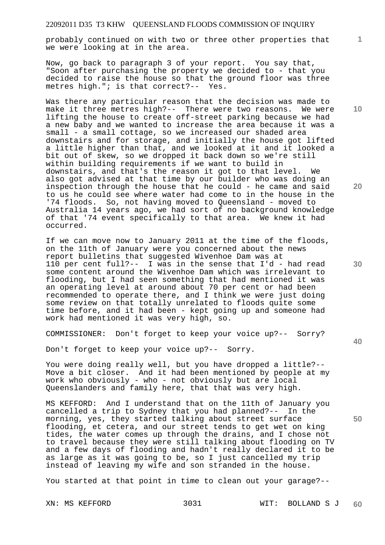probably continued on with two or three other properties that we were looking at in the area.

Now, go back to paragraph 3 of your report. You say that, "Soon after purchasing the property we decided to - that you decided to raise the house so that the ground floor was three metres high."; is that correct?-- Yes.

Was there any particular reason that the decision was made to make it three metres high?-- There were two reasons. We were lifting the house to create off-street parking because we had a new baby and we wanted to increase the area because it was a small - a small cottage, so we increased our shaded area downstairs and for storage, and initially the house got lifted a little higher than that, and we looked at it and it looked a bit out of skew, so we dropped it back down so we're still within building requirements if we want to build in downstairs, and that's the reason it got to that level. We also got advised at that time by our builder who was doing an inspection through the house that he could - he came and said to us he could see where water had come to in the house in the '74 floods. So, not having moved to Queensland - moved to Australia 14 years ago, we had sort of no background knowledge of that '74 event specifically to that area. We knew it had occurred.

If we can move now to January 2011 at the time of the floods, on the 11th of January were you concerned about the news report bulletins that suggested Wivenhoe Dam was at 110 per cent full?-- I was in the sense that I'd - had read some content around the Wivenhoe Dam which was irrelevant to flooding, but I had seen something that had mentioned it was an operating level at around about 70 per cent or had been recommended to operate there, and I think we were just doing some review on that totally unrelated to floods quite some time before, and it had been - kept going up and someone had work had mentioned it was very high, so.

COMMISSIONER: Don't forget to keep your voice up?-- Sorry?

Don't forget to keep your voice up?-- Sorry.

You were doing really well, but you have dropped a little?-- Move a bit closer. And it had been mentioned by people at my work who obviously - who - not obviously but are local Queenslanders and family here, that that was very high.

MS KEFFORD: And I understand that on the 11th of January you cancelled a trip to Sydney that you had planned?-- In the morning, yes, they started talking about street surface flooding, et cetera, and our street tends to get wet on king tides, the water comes up through the drains, and I chose not to travel because they were still talking about flooding on TV and a few days of flooding and hadn't really declared it to be as large as it was going to be, so I just cancelled my trip instead of leaving my wife and son stranded in the house.

You started at that point in time to clean out your garage?--

**10** 

**1**

**20** 

**30** 

**40**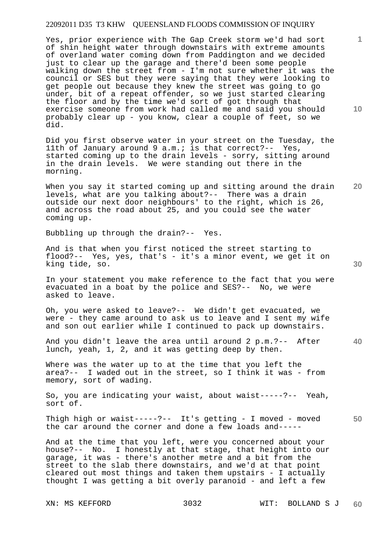Yes, prior experience with The Gap Creek storm we'd had sort of shin height water through downstairs with extreme amounts of overland water coming down from Paddington and we decided just to clear up the garage and there'd been some people walking down the street from - I'm not sure whether it was the council or SES but they were saying that they were looking to get people out because they knew the street was going to go under, bit of a repeat offender, so we just started clearing the floor and by the time we'd sort of got through that exercise someone from work had called me and said you should probably clear up - you know, clear a couple of feet, so we did.

Did you first observe water in your street on the Tuesday, the 11th of January around 9 a.m.; is that correct?-- Yes, started coming up to the drain levels - sorry, sitting around in the drain levels. We were standing out there in the morning.

**20**  When you say it started coming up and sitting around the drain levels, what are you talking about?-- There was a drain outside our next door neighbours' to the right, which is 26, and across the road about 25, and you could see the water coming up.

Bubbling up through the drain?-- Yes.

And is that when you first noticed the street starting to flood?-- Yes, yes, that's - it's a minor event, we get it on king tide, so.

In your statement you make reference to the fact that you were evacuated in a boat by the police and SES?-- No, we were asked to leave.

Oh, you were asked to leave?-- We didn't get evacuated, we were - they came around to ask us to leave and I sent my wife and son out earlier while I continued to pack up downstairs.

**40**  And you didn't leave the area until around 2 p.m.?-- After lunch, yeah, 1, 2, and it was getting deep by then.

Where was the water up to at the time that you left the area?-- I waded out in the street, so I think it was - from memory, sort of wading.

So, you are indicating your waist, about waist-----?-- Yeah, sort of.

**50**  Thigh high or waist-----?-- It's getting - I moved - moved the car around the corner and done a few loads and-----

And at the time that you left, were you concerned about your house?-- No. I honestly at that stage, that height into our garage, it was - there's another metre and a bit from the street to the slab there downstairs, and we'd at that point cleared out most things and taken them upstairs - I actually thought I was getting a bit overly paranoid - and left a few

**10** 

**1**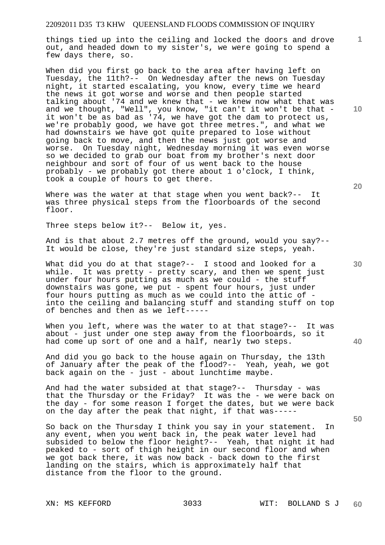things tied up into the ceiling and locked the doors and drove out, and headed down to my sister's, we were going to spend a few days there, so.

When did you first go back to the area after having left on Tuesday, the 11th?-- On Wednesday after the news on Tuesday night, it started escalating, you know, every time we heard the news it got worse and worse and then people started talking about '74 and we knew that - we knew now what that was and we thought, "Well", you know, "it can't it won't be that it won't be as bad as '74, we have got the dam to protect us, we're probably good, we have got three metres.", and what we had downstairs we have got quite prepared to lose without going back to move, and then the news just got worse and worse. On Tuesday night, Wednesday morning it was even worse so we decided to grab our boat from my brother's next door neighbour and sort of four of us went back to the house probably - we probably got there about 1 o'clock, I think, took a couple of hours to get there.

Where was the water at that stage when you went back?-- It was three physical steps from the floorboards of the second floor.

Three steps below it?-- Below it, yes.

And is that about 2.7 metres off the ground, would you say?-- It would be close, they're just standard size steps, yeah.

What did you do at that stage? -- I stood and looked for a while. It was pretty - pretty scary, and then we spent just under four hours putting as much as we could - the stuff downstairs was gone, we put - spent four hours, just under four hours putting as much as we could into the attic of into the ceiling and balancing stuff and standing stuff on top of benches and then as we left-----

When you left, where was the water to at that stage?-- It was about - just under one step away from the floorboards, so it had come up sort of one and a half, nearly two steps.

And did you go back to the house again on Thursday, the 13th of January after the peak of the flood?-- Yeah, yeah, we got back again on the - just - about lunchtime maybe.

And had the water subsided at that stage?-- Thursday - was that the Thursday or the Friday? It was the - we were back on the day - for some reason I forget the dates, but we were back on the day after the peak that night, if that was-----

So back on the Thursday I think you say in your statement. In any event, when you went back in, the peak water level had subsided to below the floor height?-- Yeah, that night it had peaked to - sort of thigh height in our second floor and when we got back there, it was now back - back down to the first landing on the stairs, which is approximately half that distance from the floor to the ground.

**10** 

**1**

**20** 

**40**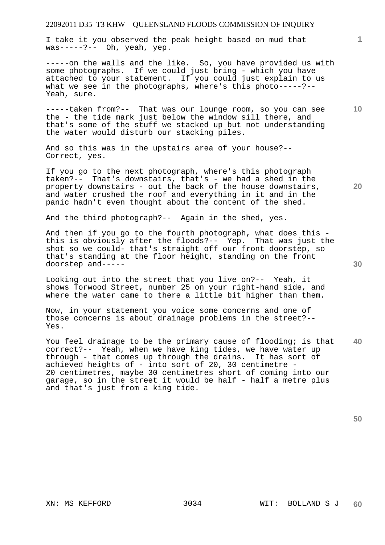I take it you observed the peak height based on mud that was-----?-- Oh, yeah, yep.

-----on the walls and the like. So, you have provided us with some photographs. If we could just bring - which you have attached to your statement. If you could just explain to us what we see in the photographs, where's this photo-----?-- Yeah, sure.

-----taken from?-- That was our lounge room, so you can see the - the tide mark just below the window sill there, and that's some of the stuff we stacked up but not understanding the water would disturb our stacking piles.

If you go to the next photograph, where's this photograph taken?-- That's downstairs, that's - we had a shed in the property downstairs - out the back of the house downstairs, and water crushed the roof and everything in it and in the panic hadn't even thought about the content of the shed.

And the third photograph?-- Again in the shed, yes.

And then if you go to the fourth photograph, what does this this is obviously after the floods?-- Yep. That was just the shot so we could- that's straight off our front doorstep, so that's standing at the floor height, standing on the front doorstep and-----

Looking out into the street that you live on?-- Yeah, it shows Torwood Street, number 25 on your right-hand side, and where the water came to there a little bit higher than them.

Now, in your statement you voice some concerns and one of those concerns is about drainage problems in the street?-- Yes.

**40**  You feel drainage to be the primary cause of flooding; is that correct?-- Yeah, when we have king tides, we have water up through - that comes up through the drains. It has sort of achieved heights of - into sort of 20, 30 centimetre - 20 centimetres, maybe 30 centimetres short of coming into our garage, so in the street it would be half - half a metre plus and that's just from a king tide.

**50** 

**20** 

**30** 

And so this was in the upstairs area of your house?-- Correct, yes.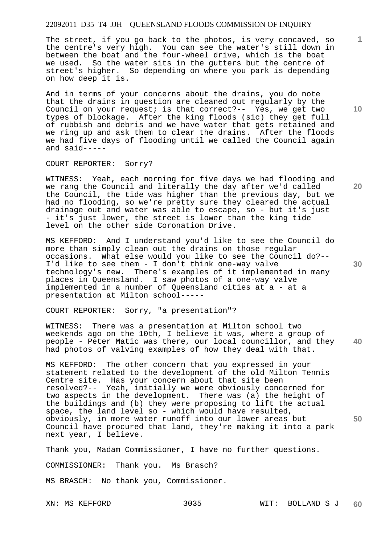The street, if you go back to the photos, is very concaved, so the centre's very high. You can see the water's still down in between the boat and the four-wheel drive, which is the boat we used. So the water sits in the gutters but the centre of street's higher. So depending on where you park is depending on how deep it is.

And in terms of your concerns about the drains, you do note that the drains in question are cleaned out regularly by the Council on your request; is that correct?-- Yes, we get two types of blockage. After the king floods (sic) they get full of rubbish and debris and we have water that gets retained and we ring up and ask them to clear the drains. After the floods we had five days of flooding until we called the Council again and said-----

COURT REPORTER: Sorry?

WITNESS: Yeah, each morning for five days we had flooding and we rang the Council and literally the day after we'd called the Council, the tide was higher than the previous day, but we had no flooding, so we're pretty sure they cleared the actual drainage out and water was able to escape, so - but it's just - it's just lower, the street is lower than the king tide level on the other side Coronation Drive.

MS KEFFORD: And I understand you'd like to see the Council do more than simply clean out the drains on those regular occasions. What else would you like to see the Council do?-- I'd like to see them - I don't think one-way valve technology's new. There's examples of it implemented in many places in Queensland. I saw photos of a one-way valve implemented in a number of Queensland cities at a - at a presentation at Milton school-----

COURT REPORTER: Sorry, "a presentation"?

**40**  WITNESS: There was a presentation at Milton school two weekends ago on the 10th, I believe it was, where a group of people - Peter Matic was there, our local councillor, and they had photos of valving examples of how they deal with that.

**50**  MS KEFFORD: The other concern that you expressed in your statement related to the development of the old Milton Tennis Centre site. Has your concern about that site been resolved?-- Yeah, initially we were obviously concerned for two aspects in the development. There was (a) the height of the buildings and (b) they were proposing to lift the actual space, the land level so - which would have resulted, obviously, in more water runoff into our lower areas but Council have procured that land, they're making it into a park next year, I believe.

Thank you, Madam Commissioner, I have no further questions.

COMMISSIONER: Thank you. Ms Brasch?

MS BRASCH: No thank you, Commissioner.

**10** 

**1**

**20**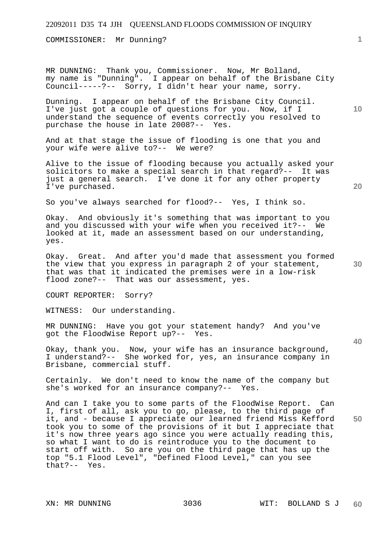COMMISSIONER: Mr Dunning?

MR DUNNING: Thank you, Commissioner. Now, Mr Bolland, my name is "Dunning". I appear on behalf of the Brisbane City Council-----?-- Sorry, I didn't hear your name, sorry.

Dunning. I appear on behalf of the Brisbane City Council. I've just got a couple of questions for you. Now, if I understand the sequence of events correctly you resolved to purchase the house in late 2008?-- Yes.

And at that stage the issue of flooding is one that you and your wife were alive to?-- We were?

Alive to the issue of flooding because you actually asked your solicitors to make a special search in that regard?-- It was just a general search. I've done it for any other property I've purchased.

So you've always searched for flood?-- Yes, I think so.

Okay. And obviously it's something that was important to you and you discussed with your wife when you received it?-- We looked at it, made an assessment based on our understanding, yes.

Okay. Great. And after you'd made that assessment you formed the view that you express in paragraph 2 of your statement, that was that it indicated the premises were in a low-risk flood zone?-- That was our assessment, yes.

COURT REPORTER: Sorry?

WITNESS: Our understanding.

MR DUNNING: Have you got your statement handy? And you've got the FloodWise Report up?-- Yes.

Okay, thank you. Now, your wife has an insurance background, I understand?-- She worked for, yes, an insurance company in Brisbane, commercial stuff.

Certainly. We don't need to know the name of the company but she's worked for an insurance company?-- Yes.

And can I take you to some parts of the FloodWise Report. Can I, first of all, ask you to go, please, to the third page of it, and - because I appreciate our learned friend Miss Kefford took you to some of the provisions of it but I appreciate that it's now three years ago since you were actually reading this, so what I want to do is reintroduce you to the document to start off with. So are you on the third page that has up the top "5.1 Flood Level", "Defined Flood Level," can you see that?-- Yes.

**10** 

**1**

**30** 

**20** 

**40**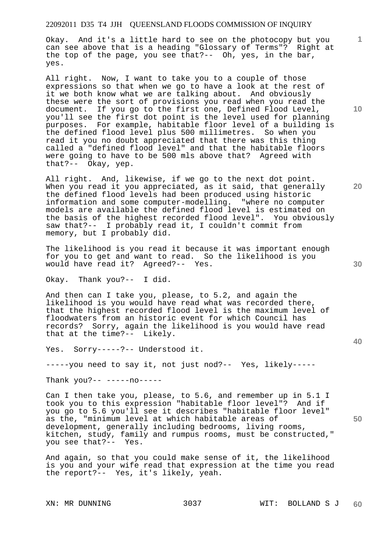Okay. And it's a little hard to see on the photocopy but you can see above that is a heading "Glossary of Terms"? Right at the top of the page, you see that?-- Oh, yes, in the bar, yes.

All right. Now, I want to take you to a couple of those expressions so that when we go to have a look at the rest of it we both know what we are talking about. And obviously these were the sort of provisions you read when you read the document. If you go to the first one, Defined Flood Level, you'll see the first dot point is the level used for planning purposes. For example, habitable floor level of a building is the defined flood level plus 500 millimetres. So when you read it you no doubt appreciated that there was this thing called a "defined flood level" and that the habitable floors were going to have to be 500 mls above that? Agreed with that?-- Okay, yep.

All right. And, likewise, if we go to the next dot point. When you read it you appreciated, as it said, that generally the defined flood levels had been produced using historic information and some computer-modelling. "where no computer models are available the defined flood level is estimated on the basis of the highest recorded flood level". You obviously saw that?-- I probably read it, I couldn't commit from memory, but I probably did.

The likelihood is you read it because it was important enough for you to get and want to read. So the likelihood is you would have read it? Agreed?-- Yes.

Okay. Thank you?-- I did.

And then can I take you, please, to 5.2, and again the likelihood is you would have read what was recorded there, that the highest recorded flood level is the maximum level of floodwaters from an historic event for which Council has records? Sorry, again the likelihood is you would have read that at the time?-- Likely.

Yes. Sorry-----?-- Understood it.

-----you need to say it, not just nod?-- Yes, likely-----

Thank you?-- -----no-----

Can I then take you, please, to 5.6, and remember up in 5.1 I took you to this expression "habitable floor level"? And if you go to 5.6 you'll see it describes "habitable floor level" as the, "minimum level at which habitable areas of development, generally including bedrooms, living rooms, kitchen, study, family and rumpus rooms, must be constructed,"<br>vou see that ?-- Yes. you see that?--

And again, so that you could make sense of it, the likelihood is you and your wife read that expression at the time you read the report?-- Yes, it's likely, yeah.

**10** 

**1**

**30** 

**20** 

**40**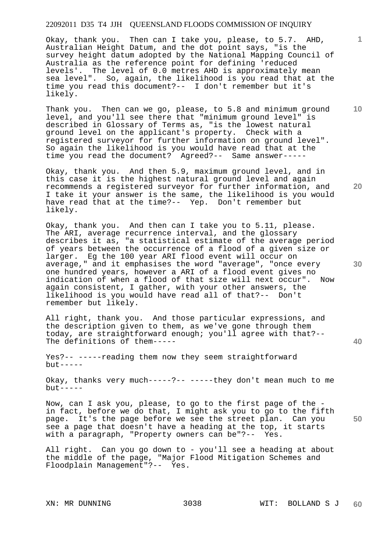Okay, thank you. Then can I take you, please, to 5.7. AHD, Australian Height Datum, and the dot point says, "is the survey height datum adopted by the National Mapping Council of Australia as the reference point for defining 'reduced levels'. The level of 0.0 metres AHD is approximately mean sea level". So, again, the likelihood is you read that at the time you read this document?-- I don't remember but it's likely.

Thank you. Then can we go, please, to 5.8 and minimum ground level, and you'll see there that "minimum ground level" is described in Glossary of Terms as, "is the lowest natural ground level on the applicant's property. Check with a registered surveyor for further information on ground level". So again the likelihood is you would have read that at the time you read the document? Agreed?-- Same answer-----

Okay, thank you. And then 5.9, maximum ground level, and in this case it is the highest natural ground level and again recommends a registered surveyor for further information, and I take it your answer is the same, the likelihood is you would have read that at the time?-- Yep. Don't remember but likely.

Okay, thank you. And then can I take you to 5.11, please. The ARI, average recurrence interval, and the glossary describes it as, "a statistical estimate of the average period of years between the occurrence of a flood of a given size or larger. Eg the 100 year ARI flood event will occur on average," and it emphasises the word "average", "once every one hundred years, however a ARI of a flood event gives no indication of when a flood of that size will next occur". Now again consistent, I gather, with your other answers, the likelihood is you would have read all of that?-- Don't remember but likely.

All right, thank you. And those particular expressions, and the description given to them, as we've gone through them today, are straightforward enough; you'll agree with that?-- The definitions of them-----

Yes?-- -----reading them now they seem straightforward but-----

Okay, thanks very much-----?-- -----they don't mean much to me  $but --- -$ 

Now, can I ask you, please, to go to the first page of the in fact, before we do that, I might ask you to go to the fifth page. It's the page before we see the street plan. Can you see a page that doesn't have a heading at the top, it starts with a paragraph, "Property owners can be"?-- Yes.

All right. Can you go down to - you'll see a heading at about the middle of the page, "Major Flood Mitigation Schemes and Floodplain Management"?-- Yes.

**20** 

**30** 

**40** 

**50** 

**10**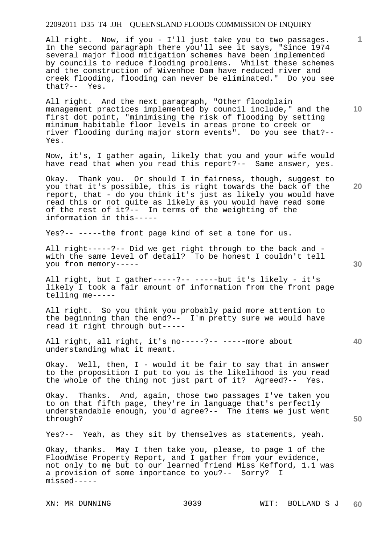All right. Now, if you - I'll just take you to two passages. In the second paragraph there you'll see it says, "Since 1974 several major flood mitigation schemes have been implemented by councils to reduce flooding problems. Whilst these schemes and the construction of Wivenhoe Dam have reduced river and creek flooding, flooding can never be eliminated." Do you see that?-- Yes.

All right. And the next paragraph, "Other floodplain management practices implemented by council include," and the first dot point, "minimising the risk of flooding by setting minimum habitable floor levels in areas prone to creek or river flooding during major storm events". Do you see that?-- Yes.

Now, it's, I gather again, likely that you and your wife would have read that when you read this report?-- Same answer, yes.

Okay. Thank you. Or should I in fairness, though, suggest to you that it's possible, this is right towards the back of the report, that - do you think it's just as likely you would have read this or not quite as likely as you would have read some of the rest of it?-- In terms of the weighting of the information in this-----

Yes?-- -----the front page kind of set a tone for us.

All right-----?-- Did we get right through to the back and with the same level of detail? To be honest I couldn't tell you from memory-----

All right, but I gather-----?-- -----but it's likely - it's likely I took a fair amount of information from the front page telling me-----

All right. So you think you probably paid more attention to the beginning than the end?-- I'm pretty sure we would have read it right through but-----

All right, all right, it's no-----?-- -----more about understanding what it meant.

Okay. Well, then,  $I$  - would it be fair to say that in answer to the proposition I put to you is the likelihood is you read the whole of the thing not just part of it? Agreed?-- Yes.

Okay. Thanks. And, again, those two passages I've taken you to on that fifth page, they're in language that's perfectly understandable enough, you'd agree?-- The items we just went through?

Yes?-- Yeah, as they sit by themselves as statements, yeah.

Okay, thanks. May I then take you, please, to page 1 of the FloodWise Property Report, and I gather from your evidence, not only to me but to our learned friend Miss Kefford, 1.1 was a provision of some importance to you?-- Sorry? I missed-----

**20** 

**40** 

**30** 

**50** 

**1**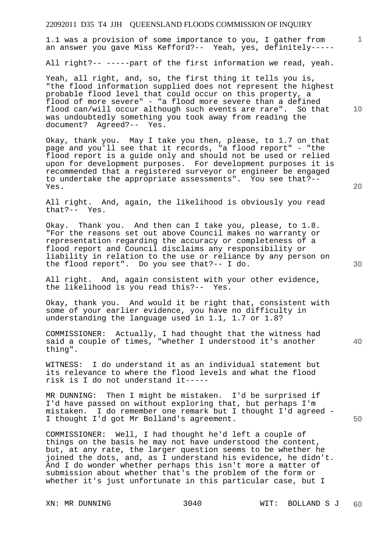1.1 was a provision of some importance to you, I gather from an answer you gave Miss Kefford?-- Yeah, yes, definitely-----

All right?-- -----part of the first information we read, yeah.

Yeah, all right, and, so, the first thing it tells you is, "the flood information supplied does not represent the highest probable flood level that could occur on this property, a flood of more severe" - "a flood more severe than a defined flood can/will occur although such events are rare". So that was undoubtedly something you took away from reading the document? Agreed?-- Yes.

Okay, thank you. May I take you then, please, to 1.7 on that page and you'll see that it records, "a flood report" - "the flood report is a guide only and should not be used or relied upon for development purposes. For development purposes it is recommended that a registered surveyor or engineer be engaged to undertake the appropriate assessments". You see that?-- Yes.

All right. And, again, the likelihood is obviously you read that?-- Yes.

Okay. Thank you. And then can I take you, please, to 1.8. "For the reasons set out above Council makes no warranty or representation regarding the accuracy or completeness of a flood report and Council disclaims any responsibility or liability in relation to the use or reliance by any person on the flood report". Do you see that?-- I do.

All right. And, again consistent with your other evidence, the likelihood is you read this?-- Yes.

Okay, thank you. And would it be right that, consistent with some of your earlier evidence, you have no difficulty in understanding the language used in 1.1, 1.7 or 1.8?

COMMISSIONER: Actually, I had thought that the witness had said a couple of times, "whether I understood it's another thing".

WITNESS: I do understand it as an individual statement but its relevance to where the flood levels and what the flood risk is I do not understand it-----

MR DUNNING: Then I might be mistaken. I'd be surprised if I'd have passed on without exploring that, but perhaps I'm mistaken. I do remember one remark but I thought I'd agreed - I thought I'd got Mr Bolland's agreement.

COMMISSIONER: Well, I had thought he'd left a couple of things on the basis he may not have understood the content, but, at any rate, the larger question seems to be whether he joined the dots, and, as I understand his evidence, he didn't. And I do wonder whether perhaps this isn't more a matter of submission about whether that's the problem of the form or whether it's just unfortunate in this particular case, but I

**20** 

**40** 

**50** 

**10**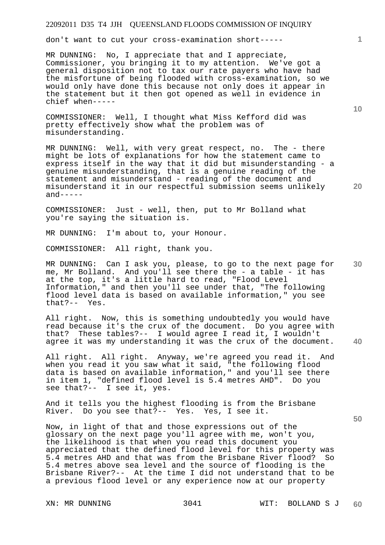don't want to cut your cross-examination short-----

MR DUNNING: No, I appreciate that and I appreciate, Commissioner, you bringing it to my attention. We've got a general disposition not to tax our rate payers who have had the misfortune of being flooded with cross-examination, so we would only have done this because not only does it appear in the statement but it then got opened as well in evidence in chief when-----

COMMISSIONER: Well, I thought what Miss Kefford did was pretty effectively show what the problem was of misunderstanding.

MR DUNNING: Well, with very great respect, no. The - there might be lots of explanations for how the statement came to express itself in the way that it did but misunderstanding - a genuine misunderstanding, that is a genuine reading of the statement and misunderstand - reading of the document and misunderstand it in our respectful submission seems unlikely  $and----$ 

COMMISSIONER: Just - well, then, put to Mr Bolland what you're saying the situation is.

MR DUNNING: I'm about to, your Honour.

COMMISSIONER: All right, thank you.

**30**  MR DUNNING: Can I ask you, please, to go to the next page for me, Mr Bolland. And you'll see there the - a table - it has at the top, it's a little hard to read, "Flood Level Information," and then you'll see under that, "The following flood level data is based on available information," you see that?-- Yes.

**40**  All right. Now, this is something undoubtedly you would have read because it's the crux of the document. Do you agree with that? These tables?-- I would agree I read it, I wouldn't agree it was my understanding it was the crux of the document.

All right. All right. Anyway, we're agreed you read it. And when you read it you saw what it said, "the following flood data is based on available information," and you'll see there in item 1, "defined flood level is 5.4 metres AHD". Do you see that?-- I see it, yes.

And it tells you the highest flooding is from the Brisbane River. Do you see that?-- Yes. Yes, I see it.

Now, in light of that and those expressions out of the glossary on the next page you'll agree with me, won't you, the likelihood is that when you read this document you appreciated that the defined flood level for this property was 5.4 metres AHD and that was from the Brisbane River flood? So 5.4 metres above sea level and the source of flooding is the Brisbane River?-- At the time I did not understand that to be a previous flood level or any experience now at our property

**10** 

**1**

**20**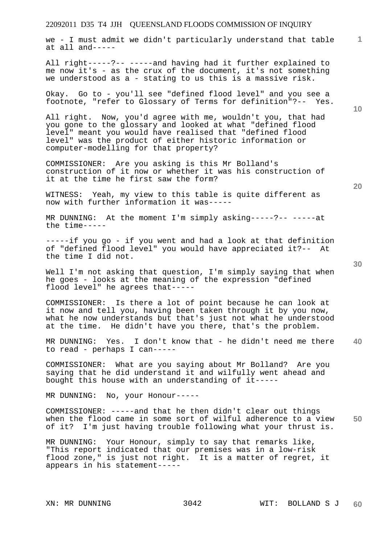we - I must admit we didn't particularly understand that table at all and-----

All right-----?-- -----and having had it further explained to me now it's - as the crux of the document, it's not something we understood as a - stating to us this is a massive risk.

Okay. Go to - you'll see "defined flood level" and you see a footnote, "refer to Glossary of Terms for definition"?-- Yes.

All right. Now, you'd agree with me, wouldn't you, that had you gone to the glossary and looked at what "defined flood level" meant you would have realised that "defined flood level" was the product of either historic information or computer-modelling for that property?

COMMISSIONER: Are you asking is this Mr Bolland's construction of it now or whether it was his construction of it at the time he first saw the form?

WITNESS: Yeah, my view to this table is quite different as now with further information it was-----

MR DUNNING: At the moment I'm simply asking-----?-- -----at the time-----

-----if you go - if you went and had a look at that definition of "defined flood level" you would have appreciated it?-- At the time I did not.

Well I'm not asking that question, I'm simply saying that when he goes - looks at the meaning of the expression "defined flood level" he agrees that-----

COMMISSIONER: Is there a lot of point because he can look at it now and tell you, having been taken through it by you now, what he now understands but that's just not what he understood at the time. He didn't have you there, that's the problem.

**40**  MR DUNNING: Yes. I don't know that - he didn't need me there to read - perhaps I can-----

COMMISSIONER: What are you saying about Mr Bolland? Are you saying that he did understand it and wilfully went ahead and bought this house with an understanding of it-----

MR DUNNING: No, your Honour-----

**50**  COMMISSIONER: -----and that he then didn't clear out things when the flood came in some sort of wilful adherence to a view of it? I'm just having trouble following what your thrust is.

MR DUNNING: Your Honour, simply to say that remarks like, "This report indicated that our premises was in a low-risk flood zone," is just not right. It is a matter of regret, it appears in his statement-----

**20** 

**10**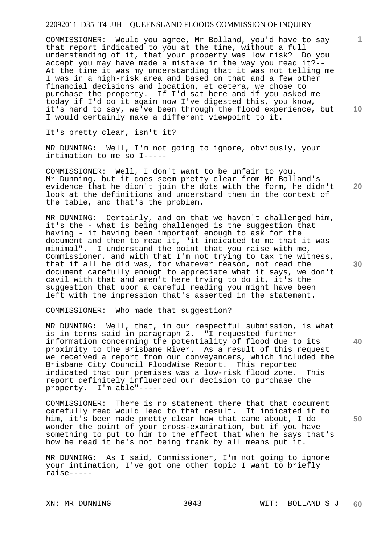COMMISSIONER: Would you agree, Mr Bolland, you'd have to say that report indicated to you at the time, without a full understanding of it, that your property was low risk? Do you accept you may have made a mistake in the way you read it?-- At the time it was my understanding that it was not telling me I was in a high-risk area and based on that and a few other financial decisions and location, et cetera, we chose to purchase the property. If I'd sat here and if you asked me today if I'd do it again now I've digested this, you know, it's hard to say, we've been through the flood experience, but I would certainly make a different viewpoint to it.

It's pretty clear, isn't it?

MR DUNNING: Well, I'm not going to ignore, obviously, your intimation to me so I-----

**20**  COMMISSIONER: Well, I don't want to be unfair to you, Mr Dunning, but it does seem pretty clear from Mr Bolland's evidence that he didn't join the dots with the form, he didn't look at the definitions and understand them in the context of the table, and that's the problem.

MR DUNNING: Certainly, and on that we haven't challenged him, it's the - what is being challenged is the suggestion that having - it having been important enough to ask for the document and then to read it, "it indicated to me that it was minimal". I understand the point that you raise with me, Commissioner, and with that I'm not trying to tax the witness, that if all he did was, for whatever reason, not read the document carefully enough to appreciate what it says, we don't cavil with that and aren't here trying to do it, it's the suggestion that upon a careful reading you might have been left with the impression that's asserted in the statement.

COMMISSIONER: Who made that suggestion?

MR DUNNING: Well, that, in our respectful submission, is what is in terms said in paragraph 2. "I requested further information concerning the potentiality of flood due to its proximity to the Brisbane River. As a result of this request we received a report from our conveyancers, which included the Brisbane City Council FloodWise Report. This reported indicated that our premises was a low-risk flood zone. This report definitely influenced our decision to purchase the property. I'm able"-----

COMMISSIONER: There is no statement there that that document carefully read would lead to that result. It indicated it to him, it's been made pretty clear how that came about, I do wonder the point of your cross-examination, but if you have something to put to him to the effect that when he says that's how he read it he's not being frank by all means put it.

MR DUNNING: As I said, Commissioner, I'm not going to ignore your intimation, I've got one other topic I want to briefly raise-----

**10** 

**1**

**30** 

**40**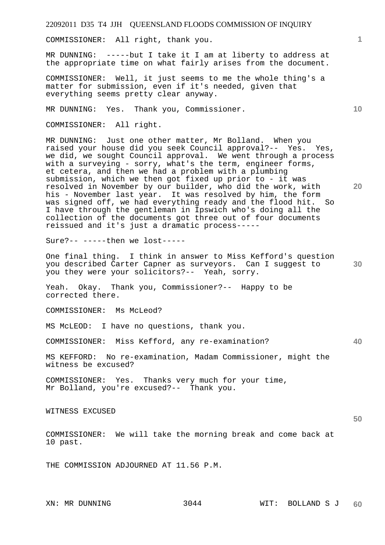COMMISSIONER: All right, thank you.

MR DUNNING: -----but I take it I am at liberty to address at the appropriate time on what fairly arises from the document.

COMMISSIONER: Well, it just seems to me the whole thing's a matter for submission, even if it's needed, given that everything seems pretty clear anyway.

MR DUNNING: Yes. Thank you, Commissioner.

COMMISSIONER: All right.

MR DUNNING: Just one other matter, Mr Bolland. When you raised your house did you seek Council approval?-- Yes. Yes, we did, we sought Council approval. We went through a process with a surveying - sorry, what's the term, engineer forms, et cetera, and then we had a problem with a plumbing submission, which we then got fixed up prior to - it was resolved in November by our builder, who did the work, with his - November last year. It was resolved by him, the form was signed off, we had everything ready and the flood hit. So I have through the gentleman in Ipswich who's doing all the collection of the documents got three out of four documents reissued and it's just a dramatic process-----

Sure?-- -----then we lost-----

**30**  One final thing. I think in answer to Miss Kefford's question you described Carter Capner as surveyors. Can I suggest to you they were your solicitors?-- Yeah, sorry.

Yeah. Okay. Thank you, Commissioner?-- Happy to be corrected there.

COMMISSIONER: Ms McLeod?

MS McLEOD: I have no questions, thank you.

COMMISSIONER: Miss Kefford, any re-examination?

MS KEFFORD: No re-examination, Madam Commissioner, might the witness be excused?

COMMISSIONER: Yes. Thanks very much for your time, Mr Bolland, you're excused?-- Thank you.

WITNESS EXCUSED

**50** 

**40** 

**1**

**10** 

**20** 

COMMISSIONER: We will take the morning break and come back at 10 past.

THE COMMISSION ADJOURNED AT 11.56 P.M.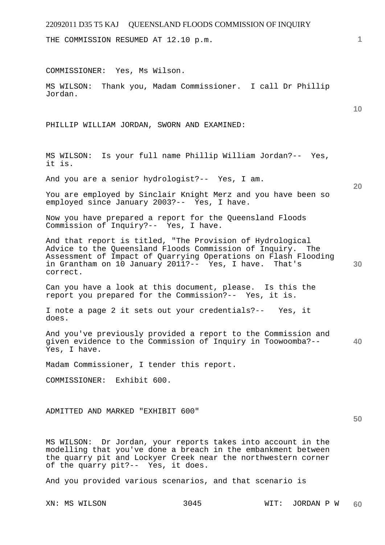THE COMMISSION RESUMED AT 12.10 p.m.

COMMISSIONER: Yes, Ms Wilson.

MS WILSON: Thank you, Madam Commissioner. I call Dr Phillip Jordan.

PHILLIP WILLIAM JORDAN, SWORN AND EXAMINED:

MS WILSON: Is your full name Phillip William Jordan?-- Yes, it is.

And you are a senior hydrologist?-- Yes, I am.

You are employed by Sinclair Knight Merz and you have been so employed since January 2003?-- Yes, I have.

Now you have prepared a report for the Queensland Floods Commission of Inquiry?-- Yes, I have.

**30**  And that report is titled, "The Provision of Hydrological Advice to the Queensland Floods Commission of Inquiry. The Assessment of Impact of Quarrying Operations on Flash Flooding in Grantham on 10 January 2011?-- Yes, I have. That's correct.

Can you have a look at this document, please. Is this the report you prepared for the Commission?-- Yes, it is.

I note a page 2 it sets out your credentials?-- Yes, it does.

**40**  And you've previously provided a report to the Commission and given evidence to the Commission of Inquiry in Toowoomba?-- Yes, I have.

Madam Commissioner, I tender this report.

COMMISSIONER: Exhibit 600.

ADMITTED AND MARKED "EXHIBIT 600"

MS WILSON: Dr Jordan, your reports takes into account in the modelling that you've done a breach in the embankment between the quarry pit and Lockyer Creek near the northwestern corner of the quarry pit?-- Yes, it does.

And you provided various scenarios, and that scenario is

**1**

**10** 

**20**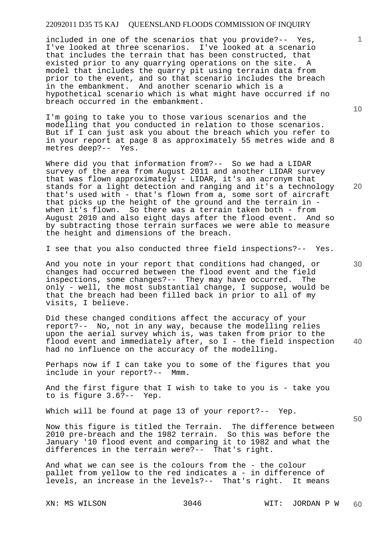included in one of the scenarios that you provide?-- Yes, I've looked at three scenarios. I've looked at a scenario that includes the terrain that has been constructed, that existed prior to any quarrying operations on the site. A model that includes the quarry pit using terrain data from prior to the event, and so that scenario includes the breach in the embankment. And another scenario which is a hypothetical scenario which is what might have occurred if no breach occurred in the embankment.

I'm going to take you to those various scenarios and the modelling that you conducted in relation to those scenarios. But if I can just ask you about the breach which you refer to in your report at page 8 as approximately 55 metres wide and 8 metres deep?-- Yes.

Where did you that information from?-- So we had a LIDAR survey of the area from August 2011 and another LIDAR survey that was flown approximately - LIDAR, it's an acronym that stands for a light detection and ranging and it's a technology that's used with - that's flown from a, some sort of aircraft that picks up the height of the ground and the terrain in when it's flown. So there was a terrain taken both - from August 2010 and also eight days after the flood event. And so by subtracting those terrain surfaces we were able to measure the height and dimensions of the breach.

I see that you also conducted three field inspections?-- Yes.

And you note in your report that conditions had changed, or changes had occurred between the flood event and the field inspections, some changes?-- They may have occurred. The only - well, the most substantial change, I suppose, would be that the breach had been filled back in prior to all of my visits, I believe.

**40**  Did these changed conditions affect the accuracy of your report?-- No, not in any way, because the modelling relies upon the aerial survey which is, was taken from prior to the flood event and immediately after, so I - the field inspection had no influence on the accuracy of the modelling.

Perhaps now if I can take you to some of the figures that you include in your report?-- Mmm.

And the first figure that I wish to take to you is - take you to is figure 3.6?-- Yep.

Which will be found at page 13 of your report?-- Yep.

Now this figure is titled the Terrain. The difference between 2010 pre-breach and the 1982 terrain. So this was before the January '10 flood event and comparing it to 1982 and what the differences in the terrain were?-- That's right.

And what we can see is the colours from the - the colour pallet from yellow to the red indicates a - in difference of levels, an increase in the levels?-- That's right. It means

**10** 

**1**

**30** 

**50**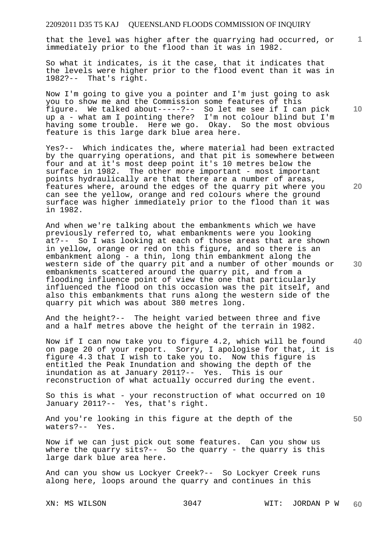that the level was higher after the quarrying had occurred, or immediately prior to the flood than it was in 1982.

So what it indicates, is it the case, that it indicates that the levels were higher prior to the flood event than it was in 1982?-- That's right.

Now I'm going to give you a pointer and I'm just going to ask you to show me and the Commission some features of this figure. We talked about-----?-- So let me see if I can pick up a - what am I pointing there? I'm not colour blind but I'm having some trouble. Here we go. Okay. So the most obvious feature is this large dark blue area here.

Yes?-- Which indicates the, where material had been extracted by the quarrying operations, and that pit is somewhere between four and at it's most deep point it's 10 metres below the surface in 1982. The other more important - most important points hydraulically are that there are a number of areas, features where, around the edges of the quarry pit where you can see the yellow, orange and red colours where the ground surface was higher immediately prior to the flood than it was in 1982.

And when we're talking about the embankments which we have previously referred to, what embankments were you looking at?-- So I was looking at each of those areas that are shown in yellow, orange or red on this figure, and so there is an embankment along - a thin, long thin embankment along the western side of the quarry pit and a number of other mounds or embankments scattered around the quarry pit, and from a flooding influence point of view the one that particularly influenced the flood on this occasion was the pit itself, and also this embankments that runs along the western side of the quarry pit which was about 380 metres long.

And the height?-- The height varied between three and five and a half metres above the height of the terrain in 1982.

**40**  Now if I can now take you to figure 4.2, which will be found on page 20 of your report. Sorry, I apologise for that, it is figure 4.3 that I wish to take you to. Now this figure is entitled the Peak Inundation and showing the depth of the inundation as at January 2011?-- Yes. This is our reconstruction of what actually occurred during the event.

So this is what - your reconstruction of what occurred on 10 January 2011?-- Yes, that's right.

And you're looking in this figure at the depth of the waters?-- Yes.

Now if we can just pick out some features. Can you show us where the quarry sits?-- So the quarry - the quarry is this large dark blue area here.

And can you show us Lockyer Creek?-- So Lockyer Creek runs along here, loops around the quarry and continues in this

**10** 

**1**

**20** 

**30**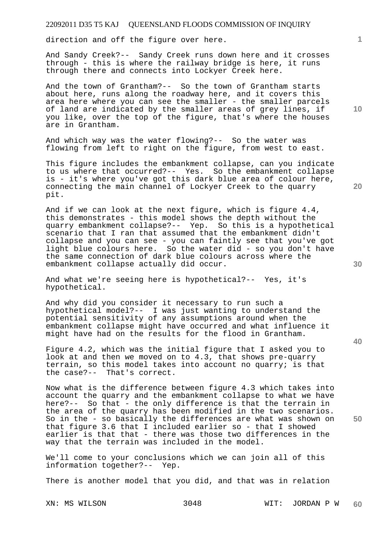direction and off the figure over here.

And Sandy Creek?-- Sandy Creek runs down here and it crosses through - this is where the railway bridge is here, it runs through there and connects into Lockyer Creek here.

And the town of Grantham?-- So the town of Grantham starts about here, runs along the roadway here, and it covers this area here where you can see the smaller - the smaller parcels of land are indicated by the smaller areas of grey lines, if you like, over the top of the figure, that's where the houses are in Grantham.

And which way was the water flowing?-- So the water was flowing from left to right on the figure, from west to east.

This figure includes the embankment collapse, can you indicate to us where that occurred?-- Yes. So the embankment collapse is - it's where you've got this dark blue area of colour here, connecting the main channel of Lockyer Creek to the quarry pit.

And if we can look at the next figure, which is figure 4.4, this demonstrates - this model shows the depth without the quarry embankment collapse?-- Yep. So this is a hypothetical scenario that I ran that assumed that the embankment didn't collapse and you can see - you can faintly see that you've got light blue colours here. So the water did - so you don't have the same connection of dark blue colours across where the embankment collapse actually did occur.

And what we're seeing here is hypothetical?-- Yes, it's hypothetical.

And why did you consider it necessary to run such a hypothetical model?-- I was just wanting to understand the potential sensitivity of any assumptions around when the embankment collapse might have occurred and what influence it might have had on the results for the flood in Grantham.

Figure 4.2, which was the initial figure that I asked you to look at and then we moved on to 4.3, that shows pre-quarry terrain, so this model takes into account no quarry; is that the case?-- That's correct.

Now what is the difference between figure 4.3 which takes into account the quarry and the embankment collapse to what we have here?-- So that - the only difference is that the terrain in the area of the quarry has been modified in the two scenarios. So in the - so basically the differences are what was shown on that figure 3.6 that I included earlier so - that I showed earlier is that that - there was those two differences in the way that the terrain was included in the model.

We'll come to your conclusions which we can join all of this information together?-- Yep.

There is another model that you did, and that was in relation

XN: MS WILSON 3048 WIT: JORDAN P W **60** 

**30** 

**20** 

**50** 

**10**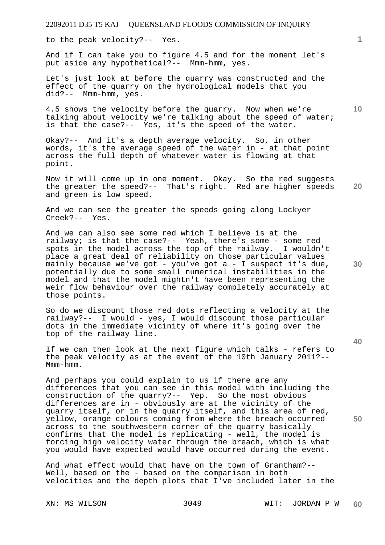to the peak velocity?-- Yes.

And if I can take you to figure 4.5 and for the moment let's put aside any hypothetical?-- Mmm-hmm, yes.

Let's just look at before the quarry was constructed and the effect of the quarry on the hydrological models that you did?-- Mmm-hmm, yes.

4.5 shows the velocity before the quarry. Now when we're talking about velocity we're talking about the speed of water; is that the case?-- Yes, it's the speed of the water.

Okay?-- And it's a depth average velocity. So, in other words, it's the average speed of the water in - at that point across the full depth of whatever water is flowing at that point.

**20**  Now it will come up in one moment. Okay. So the red suggests the greater the speed?-- That's right. Red are higher speeds and green is low speed.

And we can see the greater the speeds going along Lockyer Creek?-- Yes.

And we can also see some red which I believe is at the railway; is that the case?-- Yeah, there's some - some red spots in the model across the top of the railway. I wouldn't place a great deal of reliability on those particular values mainly because we've got - you've got a - I suspect it's due, potentially due to some small numerical instabilities in the model and that the model mightn't have been representing the weir flow behaviour over the railway completely accurately at those points.

So do we discount those red dots reflecting a velocity at the railway?-- I would - yes, I would discount those particular dots in the immediate vicinity of where it's going over the top of the railway line.

If we can then look at the next figure which talks - refers to the peak velocity as at the event of the 10th January 2011?-- Mmm-hmm.

And perhaps you could explain to us if there are any differences that you can see in this model with including the construction of the quarry?-- Yep. So the most obvious differences are in - obviously are at the vicinity of the quarry itself, or in the quarry itself, and this area of red, yellow, orange colours coming from where the breach occurred across to the southwestern corner of the quarry basically confirms that the model is replicating - well, the model is forcing high velocity water through the breach, which is what you would have expected would have occurred during the event.

And what effect would that have on the town of Grantham?-- Well, based on the - based on the comparison in both velocities and the depth plots that I've included later in the

**10** 

**30** 

**40**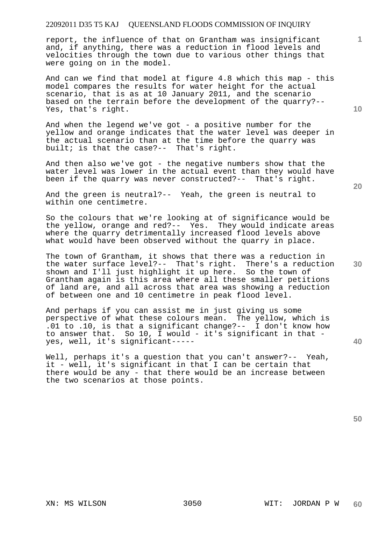report, the influence of that on Grantham was insignificant and, if anything, there was a reduction in flood levels and velocities through the town due to various other things that were going on in the model.

And can we find that model at figure 4.8 which this map - this model compares the results for water height for the actual scenario, that is as at 10 January 2011, and the scenario based on the terrain before the development of the quarry?-- Yes, that's right.

And when the legend we've got - a positive number for the yellow and orange indicates that the water level was deeper in the actual scenario than at the time before the quarry was built; is that the case?-- That's right.

And then also we've got - the negative numbers show that the water level was lower in the actual event than they would have been if the quarry was never constructed?-- That's right.

And the green is neutral?-- Yeah, the green is neutral to within one centimetre.

So the colours that we're looking at of significance would be the yellow, orange and red?-- Yes. They would indicate areas where the quarry detrimentally increased flood levels above what would have been observed without the quarry in place.

The town of Grantham, it shows that there was a reduction in the water surface level?-- That's right. There's a reduction shown and I'll just highlight it up here. So the town of Grantham again is this area where all these smaller petitions of land are, and all across that area was showing a reduction of between one and 10 centimetre in peak flood level.

And perhaps if you can assist me in just giving us some perspective of what these colours mean. The yellow, which is .01 to .10, is that a significant change?-- I don't know how to answer that. So 10, I would - it's significant in that yes, well, it's significant-----

Well, perhaps it's a question that you can't answer?-- Yeah, it - well, it's significant in that I can be certain that there would be any - that there would be an increase between the two scenarios at those points.

**50** 

**20** 

**40** 

**30** 

**10**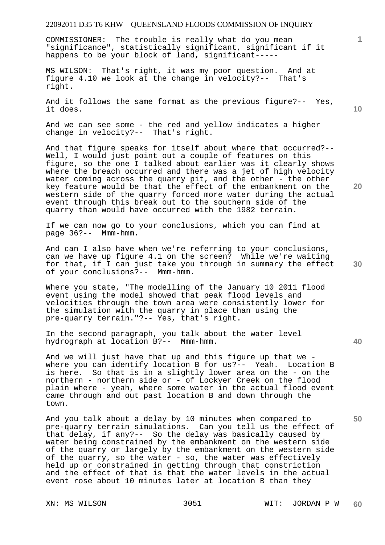COMMISSIONER: The trouble is really what do you mean "significance", statistically significant, significant if it happens to be your block of land, significant-----

MS WILSON: That's right, it was my poor question. And at figure 4.10 we look at the change in velocity?-- That's right.

And it follows the same format as the previous figure?-- Yes, it does.

And we can see some - the red and yellow indicates a higher change in velocity?-- That's right.

And that figure speaks for itself about where that occurred?-- Well, I would just point out a couple of features on this figure, so the one I talked about earlier was it clearly shows where the breach occurred and there was a jet of high velocity water coming across the quarry pit, and the other - the other key feature would be that the effect of the embankment on the western side of the quarry forced more water during the actual event through this break out to the southern side of the quarry than would have occurred with the 1982 terrain.

If we can now go to your conclusions, which you can find at page 36?-- Mmm-hmm.

And can I also have when we're referring to your conclusions, can we have up figure 4.1 on the screen? While we're waiting for that, if I can just take you through in summary the effect of your conclusions?-- Mmm-hmm.

Where you state, "The modelling of the January 10 2011 flood event using the model showed that peak flood levels and velocities through the town area were consistently lower for the simulation with the quarry in place than using the pre-quarry terrain."?-- Yes, that's right.

In the second paragraph, you talk about the water level hydrograph at location B?-- Mmm-hmm.

And we will just have that up and this figure up that we where you can identify location B for us?-- Yeah. Location B is here. So that is in a slightly lower area on the - on the northern - northern side or - of Lockyer Creek on the flood plain where - yeah, where some water in the actual flood event came through and out past location B and down through the town.

And you talk about a delay by 10 minutes when compared to pre-quarry terrain simulations. Can you tell us the effect of that delay, if any?-- So the delay was basically caused by water being constrained by the embankment on the western side of the quarry or largely by the embankment on the western side of the quarry, so the water - so, the water was effectively held up or constrained in getting through that constriction and the effect of that is that the water levels in the actual event rose about 10 minutes later at location B than they

**10** 

**20** 

**1**

**40** 

**50**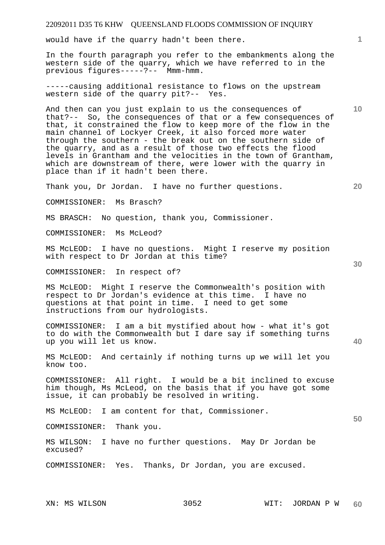would have if the quarry hadn't been there.

In the fourth paragraph you refer to the embankments along the western side of the quarry, which we have referred to in the previous figures-----?-- Mmm-hmm.

-----causing additional resistance to flows on the upstream western side of the quarry pit?-- Yes.

And then can you just explain to us the consequences of that?-- So, the consequences of that or a few consequences of that, it constrained the flow to keep more of the flow in the main channel of Lockyer Creek, it also forced more water through the southern - the break out on the southern side of the quarry, and as a result of those two effects the flood levels in Grantham and the velocities in the town of Grantham, which are downstream of there, were lower with the quarry in place than if it hadn't been there.

Thank you, Dr Jordan. I have no further questions.

COMMISSIONER: Ms Brasch?

MS BRASCH: No question, thank you, Commissioner.

COMMISSIONER: Ms McLeod?

MS McLEOD: I have no questions. Might I reserve my position with respect to Dr Jordan at this time?

COMMISSIONER: In respect of?

MS McLEOD: Might I reserve the Commonwealth's position with respect to Dr Jordan's evidence at this time. I have no questions at that point in time. I need to get some instructions from our hydrologists.

COMMISSIONER: I am a bit mystified about how - what it's got to do with the Commonwealth but I dare say if something turns up you will let us know.

MS McLEOD: And certainly if nothing turns up we will let you know too.

COMMISSIONER: All right. I would be a bit inclined to excuse him though, Ms McLeod, on the basis that if you have got some issue, it can probably be resolved in writing.

MS McLEOD: I am content for that, Commissioner.

COMMISSIONER: Thank you.

MS WILSON: I have no further questions. May Dr Jordan be excused?

COMMISSIONER: Yes. Thanks, Dr Jordan, you are excused.

**1**

**10** 

**30** 

**40** 

**50**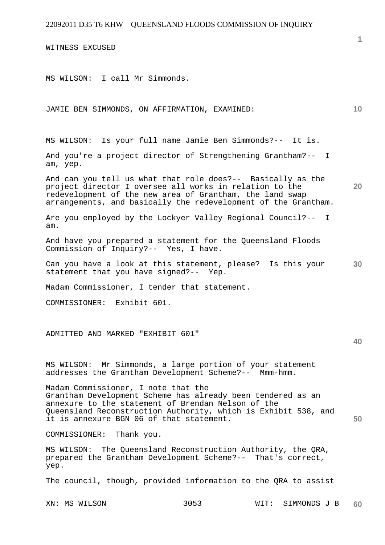WITNESS EXCUSED

MS WILSON: I call Mr Simmonds.

JAMIE BEN SIMMONDS, ON AFFIRMATION, EXAMINED:

MS WILSON: Is your full name Jamie Ben Simmonds?-- It is.

And you're a project director of Strengthening Grantham?-- I am, yep.

And can you tell us what that role does?-- Basically as the project director I oversee all works in relation to the redevelopment of the new area of Grantham, the land swap arrangements, and basically the redevelopment of the Grantham.

Are you employed by the Lockyer Valley Regional Council?-- I am.

And have you prepared a statement for the Queensland Floods Commission of Inquiry?-- Yes, I have.

**30**  Can you have a look at this statement, please? Is this your statement that you have signed?-- Yep.

Madam Commissioner, I tender that statement.

COMMISSIONER: Exhibit 601.

ADMITTED AND MARKED "EXHIBIT 601"

MS WILSON: Mr Simmonds, a large portion of your statement addresses the Grantham Development Scheme?-- Mmm-hmm.

Madam Commissioner, I note that the Grantham Development Scheme has already been tendered as an annexure to the statement of Brendan Nelson of the Queensland Reconstruction Authority, which is Exhibit 538, and it is annexure BGN 06 of that statement.

COMMISSIONER: Thank you.

MS WILSON: The Queensland Reconstruction Authority, the QRA, prepared the Grantham Development Scheme?-- That's correct, yep.

The council, though, provided information to the QRA to assist

XN: MS WILSON 3053 WIT: SIMMONDS J B **60** 

**1**

**10** 

**20** 

**40**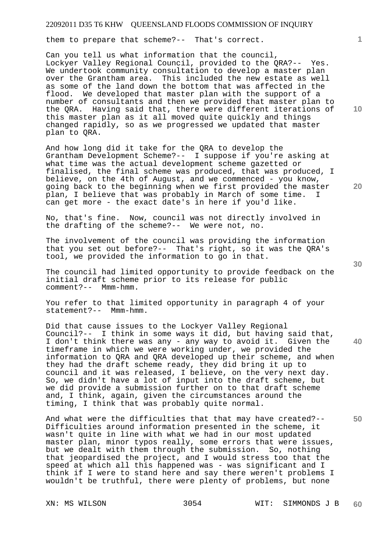them to prepare that scheme?-- That's correct.

Can you tell us what information that the council, Lockyer Valley Regional Council, provided to the QRA?-- Yes. We undertook community consultation to develop a master plan over the Grantham area. This included the new estate as well as some of the land down the bottom that was affected in the flood. We developed that master plan with the support of a number of consultants and then we provided that master plan to the QRA. Having said that, there were different iterations of this master plan as it all moved quite quickly and things changed rapidly, so as we progressed we updated that master plan to QRA.

And how long did it take for the QRA to develop the Grantham Development Scheme?-- I suppose if you're asking at what time was the actual development scheme gazetted or finalised, the final scheme was produced, that was produced, I believe, on the 4th of August, and we commenced - you know, going back to the beginning when we first provided the master plan, I believe that was probably in March of some time. I can get more - the exact date's in here if you'd like.

No, that's fine. Now, council was not directly involved in the drafting of the scheme?-- We were not, no.

The involvement of the council was providing the information that you set out before?-- That's right, so it was the QRA's tool, we provided the information to go in that.

The council had limited opportunity to provide feedback on the initial draft scheme prior to its release for public comment?-- Mmm-hmm.

You refer to that limited opportunity in paragraph 4 of your statement?-- Mmm-hmm.

Did that cause issues to the Lockyer Valley Regional Council?-- I think in some ways it did, but having said that, I don't think there was any - any way to avoid it. Given the timeframe in which we were working under, we provided the information to QRA and QRA developed up their scheme, and when they had the draft scheme ready, they did bring it up to council and it was released, I believe, on the very next day. So, we didn't have a lot of input into the draft scheme, but we did provide a submission further on to that draft scheme and, I think, again, given the circumstances around the timing, I think that was probably quite normal.

And what were the difficulties that that may have created?-- Difficulties around information presented in the scheme, it wasn't quite in line with what we had in our most updated master plan, minor typos really, some errors that were issues, but we dealt with them through the submission. So, nothing that jeopardised the project, and I would stress too that the speed at which all this happened was - was significant and I think if I were to stand here and say there weren't problems I wouldn't be truthful, there were plenty of problems, but none

**10** 

**1**

**20** 

**40**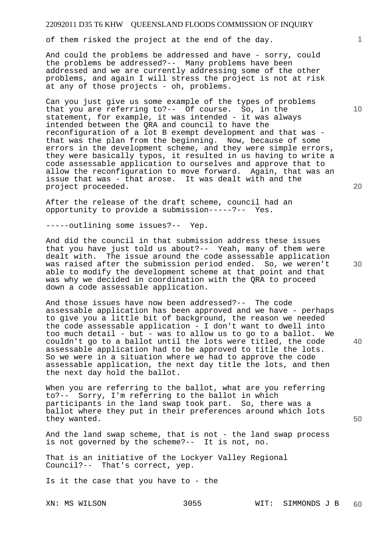of them risked the project at the end of the day.

And could the problems be addressed and have - sorry, could the problems be addressed?-- Many problems have been addressed and we are currently addressing some of the other problems, and again I will stress the project is not at risk at any of those projects - oh, problems.

Can you just give us some example of the types of problems that you are referring to?-- Of course. So, in the statement, for example, it was intended - it was always intended between the QRA and council to have the reconfiguration of a lot B exempt development and that was that was the plan from the beginning. Now, because of some errors in the development scheme, and they were simple errors, they were basically typos, it resulted in us having to write a code assessable application to ourselves and approve that to allow the reconfiguration to move forward. Again, that was an issue that was - that arose. It was dealt with and the project proceeded.

After the release of the draft scheme, council had an opportunity to provide a submission-----?-- Yes.

-----outlining some issues?-- Yep.

And did the council in that submission address these issues that you have just told us about?-- Yeah, many of them were dealt with. The issue around the code assessable application was raised after the submission period ended. So, we weren't able to modify the development scheme at that point and that was why we decided in coordination with the QRA to proceed down a code assessable application.

And those issues have now been addressed?-- The code assessable application has been approved and we have - perhaps to give you a little bit of background, the reason we needed the code assessable application - I don't want to dwell into too much detail - but - was to allow us to go to a ballot. We couldn't go to a ballot until the lots were titled, the code assessable application had to be approved to title the lots. So we were in a situation where we had to approve the code assessable application, the next day title the lots, and then the next day hold the ballot.

When you are referring to the ballot, what are you referring to?-- Sorry, I'm referring to the ballot in which participants in the land swap took part. So, there was a ballot where they put in their preferences around which lots they wanted.

And the land swap scheme, that is not - the land swap process is not governed by the scheme?-- It is not, no.

That is an initiative of the Lockyer Valley Regional Council?-- That's correct, yep.

Is it the case that you have to - the

**10** 

**1**

**30** 

**40**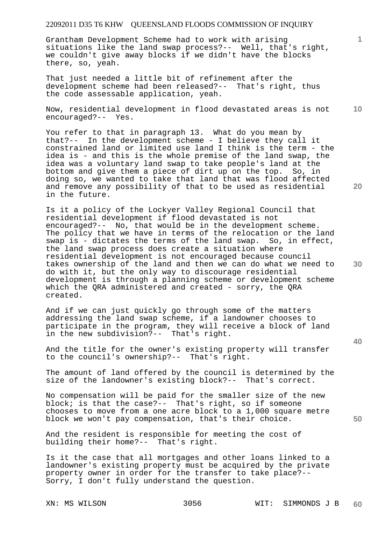Grantham Development Scheme had to work with arising situations like the land swap process?-- Well, that's right, we couldn't give away blocks if we didn't have the blocks there, so, yeah.

That just needed a little bit of refinement after the development scheme had been released?-- That's right, thus the code assessable application, yeah.

**10**  Now, residential development in flood devastated areas is not encouraged?-- Yes.

You refer to that in paragraph 13. What do you mean by that?-- In the development scheme - I believe they call it constrained land or limited use land I think is the term - the idea is - and this is the whole premise of the land swap, the idea was a voluntary land swap to take people's land at the bottom and give them a piece of dirt up on the top. So, in doing so, we wanted to take that land that was flood affected and remove any possibility of that to be used as residential in the future.

Is it a policy of the Lockyer Valley Regional Council that residential development if flood devastated is not encouraged?-- No, that would be in the development scheme. The policy that we have in terms of the relocation or the land swap is - dictates the terms of the land swap. So, in effect, the land swap process does create a situation where residential development is not encouraged because council takes ownership of the land and then we can do what we need to do with it, but the only way to discourage residential development is through a planning scheme or development scheme which the QRA administered and created - sorry, the QRA created.

And if we can just quickly go through some of the matters addressing the land swap scheme, if a landowner chooses to participate in the program, they will receive a block of land in the new subdivision?-- That's right.

And the title for the owner's existing property will transfer to the council's ownership?-- That's right.

The amount of land offered by the council is determined by the size of the landowner's existing block?-- That's correct.

No compensation will be paid for the smaller size of the new block; is that the case?-- That's right, so if someone chooses to move from a one acre block to a 1,000 square metre block we won't pay compensation, that's their choice.

And the resident is responsible for meeting the cost of building their home?-- That's right.

Is it the case that all mortgages and other loans linked to a landowner's existing property must be acquired by the private property owner in order for the transfer to take place?-- Sorry, I don't fully understand the question.

**1**

**20** 

**30** 

**40**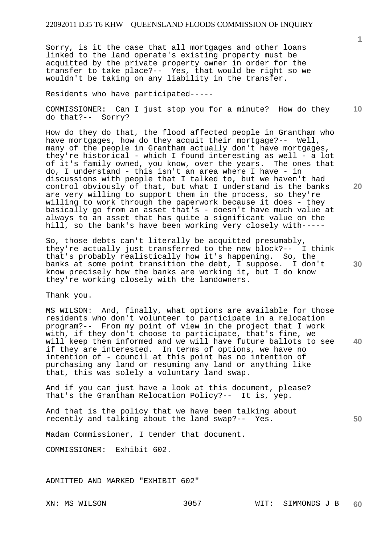Sorry, is it the case that all mortgages and other loans linked to the land operate's existing property must be acquitted by the private property owner in order for the transfer to take place?-- Yes, that would be right so we wouldn't be taking on any liability in the transfer.

Residents who have participated-----

**10**  COMMISSIONER: Can I just stop you for a minute? How do they do that?-- Sorry?

How do they do that, the flood affected people in Grantham who have mortgages, how do they acquit their mortgage?-- Well, many of the people in Grantham actually don't have mortgages, they're historical - which I found interesting as well - a lot of it's family owned, you know, over the years. The ones that do, I understand - this isn't an area where I have - in discussions with people that I talked to, but we haven't had control obviously of that, but what I understand is the banks are very willing to support them in the process, so they're willing to work through the paperwork because it does - they basically go from an asset that's - doesn't have much value at always to an asset that has quite a significant value on the hill, so the bank's have been working very closely with-----

So, those debts can't literally be acquitted presumably, they're actually just transferred to the new block?-- I think that's probably realistically how it's happening. So, the banks at some point transition the debt, I suppose. I don't know precisely how the banks are working it, but I do know they're working closely with the landowners.

Thank you.

**40**  MS WILSON: And, finally, what options are available for those residents who don't volunteer to participate in a relocation program?-- From my point of view in the project that I work with, if they don't choose to participate, that's fine, we will keep them informed and we will have future ballots to see if they are interested. In terms of options, we have no intention of - council at this point has no intention of purchasing any land or resuming any land or anything like that, this was solely a voluntary land swap.

And if you can just have a look at this document, please? That's the Grantham Relocation Policy?-- It is, yep.

And that is the policy that we have been talking about recently and talking about the land swap?-- Yes.

Madam Commissioner, I tender that document.

COMMISSIONER: Exhibit 602.

ADMITTED AND MARKED "EXHIBIT 602"

**1**

**20** 

**50**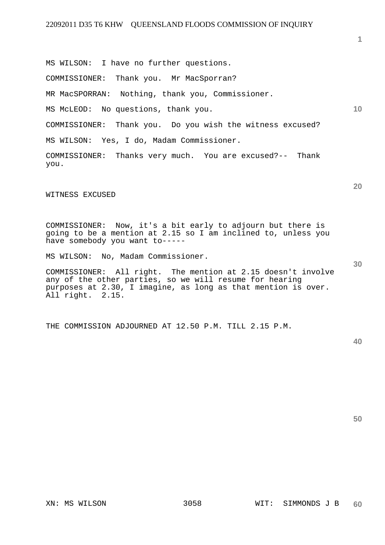MS WILSON: I have no further questions. COMMISSIONER: Thank you. Mr MacSporran? MR MacSPORRAN: Nothing, thank you, Commissioner. MS McLEOD: No questions, thank you. COMMISSIONER: Thank you. Do you wish the witness excused? MS WILSON: Yes, I do, Madam Commissioner. COMMISSIONER: Thanks very much. You are excused?-- Thank

WITNESS EXCUSED

you.

COMMISSIONER: Now, it's a bit early to adjourn but there is going to be a mention at 2.15 so I am inclined to, unless you have somebody you want to-----

MS WILSON: No, Madam Commissioner.

COMMISSIONER: All right. The mention at 2.15 doesn't involve any of the other parties, so we will resume for hearing purposes at 2.30, I imagine, as long as that mention is over. All right. 2.15.

THE COMMISSION ADJOURNED AT 12.50 P.M. TILL 2.15 P.M.

**50** 

**30** 

**1**

**10**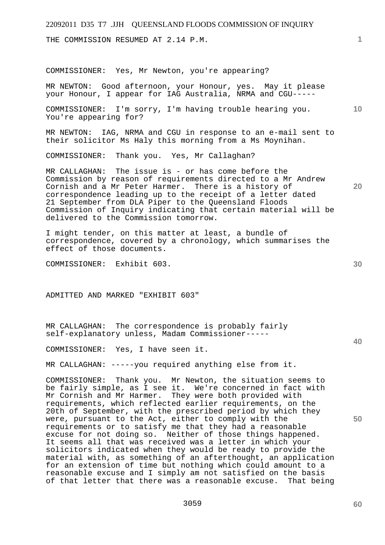THE COMMISSION RESUMED AT 2.14 P.M.

COMMISSIONER: Yes, Mr Newton, you're appearing?

MR NEWTON: Good afternoon, your Honour, yes. May it please your Honour, I appear for IAG Australia, NRMA and CGU-----

**10**  COMMISSIONER: I'm sorry, I'm having trouble hearing you. You're appearing for?

MR NEWTON: IAG, NRMA and CGU in response to an e-mail sent to their solicitor Ms Haly this morning from a Ms Moynihan.

COMMISSIONER: Thank you. Yes, Mr Callaghan?

MR CALLAGHAN: The issue is - or has come before the Commission by reason of requirements directed to a Mr Andrew Cornish and a Mr Peter Harmer. There is a history of correspondence leading up to the receipt of a letter dated 21 September from DLA Piper to the Queensland Floods Commission of Inquiry indicating that certain material will be delivered to the Commission tomorrow.

I might tender, on this matter at least, a bundle of correspondence, covered by a chronology, which summarises the effect of those documents.

COMMISSIONER: Exhibit 603.

ADMITTED AND MARKED "EXHIBIT 603"

MR CALLAGHAN: The correspondence is probably fairly self-explanatory unless, Madam Commissioner-----

COMMISSIONER: Yes, I have seen it.

MR CALLAGHAN: -----you required anything else from it.

COMMISSIONER: Thank you. Mr Newton, the situation seems to be fairly simple, as I see it. We're concerned in fact with Mr Cornish and Mr Harmer. They were both provided with requirements, which reflected earlier requirements, on the 20th of September, with the prescribed period by which they were, pursuant to the Act, either to comply with the requirements or to satisfy me that they had a reasonable excuse for not doing so. Neither of those things happened. It seems all that was received was a letter in which your solicitors indicated when they would be ready to provide the material with, as something of an afterthought, an application for an extension of time but nothing which could amount to a reasonable excuse and I simply am not satisfied on the basis of that letter that there was a reasonable excuse. That being

**60** 

**40** 

**50** 

**1**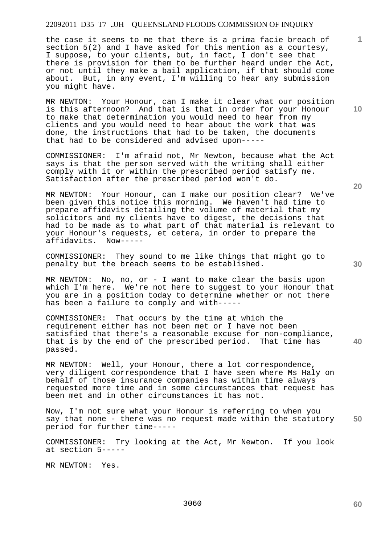the case it seems to me that there is a prima facie breach of section 5(2) and I have asked for this mention as a courtesy, I suppose, to your clients, but, in fact, I don't see that there is provision for them to be further heard under the Act, or not until they make a bail application, if that should come about. But, in any event, I'm willing to hear any submission you might have.

MR NEWTON: Your Honour, can I make it clear what our position is this afternoon? And that is that in order for your Honour to make that determination you would need to hear from my clients and you would need to hear about the work that was done, the instructions that had to be taken, the documents that had to be considered and advised upon-----

COMMISSIONER: I'm afraid not, Mr Newton, because what the Act says is that the person served with the writing shall either comply with it or within the prescribed period satisfy me. Satisfaction after the prescribed period won't do.

MR NEWTON: Your Honour, can I make our position clear? We've been given this notice this morning. We haven't had time to prepare affidavits detailing the volume of material that my solicitors and my clients have to digest, the decisions that had to be made as to what part of that material is relevant to your Honour's requests, et cetera, in order to prepare the affidavits. Now-----

COMMISSIONER: They sound to me like things that might go to penalty but the breach seems to be established.

MR NEWTON: No, no, or - I want to make clear the basis upon which I'm here. We're not here to suggest to your Honour that you are in a position today to determine whether or not there has been a failure to comply and with-----

COMMISSIONER: That occurs by the time at which the requirement either has not been met or I have not been satisfied that there's a reasonable excuse for non-compliance, that is by the end of the prescribed period. That time has passed.

MR NEWTON: Well, your Honour, there a lot correspondence, very diligent correspondence that I have seen where Ms Haly on behalf of those insurance companies has within time always requested more time and in some circumstances that request has been met and in other circumstances it has not.

**50**  Now, I'm not sure what your Honour is referring to when you say that none - there was no request made within the statutory period for further time-----

COMMISSIONER: Try looking at the Act, Mr Newton. If you look at section 5-----

MR NEWTON: Yes.

**20** 

**10** 

**1**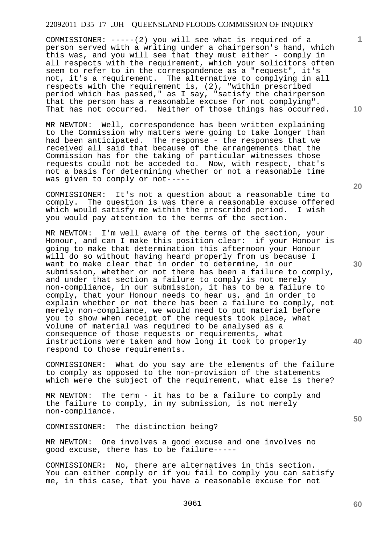COMMISSIONER: -----(2) you will see what is required of a person served with a writing under a chairperson's hand, which this was, and you will see that they must either - comply in all respects with the requirement, which your solicitors often seem to refer to in the correspondence as a "request", it's not, it's a requirement. The alternative to complying in all respects with the requirement is, (2), "within prescribed period which has passed," as I say, "satisfy the chairperson that the person has a reasonable excuse for not complying". That has not occurred. Neither of those things has occurred.

MR NEWTON: Well, correspondence has been written explaining to the Commission why matters were going to take longer than had been anticipated. The response - the responses that we received all said that because of the arrangements that the Commission has for the taking of particular witnesses those requests could not be acceded to. Now, with respect, that's not a basis for determining whether or not a reasonable time was given to comply or not-----

COMMISSIONER: It's not a question about a reasonable time to comply. The question is was there a reasonable excuse offered which would satisfy me within the prescribed period. I wish you would pay attention to the terms of the section.

MR NEWTON: I'm well aware of the terms of the section, your Honour, and can I make this position clear: if your Honour is going to make that determination this afternoon your Honour will do so without having heard properly from us because I want to make clear that in order to determine, in our submission, whether or not there has been a failure to comply, and under that section a failure to comply is not merely non-compliance, in our submission, it has to be a failure to comply, that your Honour needs to hear us, and in order to explain whether or not there has been a failure to comply, not merely non-compliance, we would need to put material before you to show when receipt of the requests took place, what volume of material was required to be analysed as a consequence of those requests or requirements, what instructions were taken and how long it took to properly respond to those requirements.

COMMISSIONER: What do you say are the elements of the failure to comply as opposed to the non-provision of the statements which were the subject of the requirement, what else is there?

MR NEWTON: The term - it has to be a failure to comply and the failure to comply, in my submission, is not merely non-compliance.

COMMISSIONER: The distinction being?

MR NEWTON: One involves a good excuse and one involves no good excuse, there has to be failure-----

COMMISSIONER: No, there are alternatives in this section. You can either comply or if you fail to comply you can satisfy me, in this case, that you have a reasonable excuse for not

**10** 

**1**

**20** 

**30** 

**40**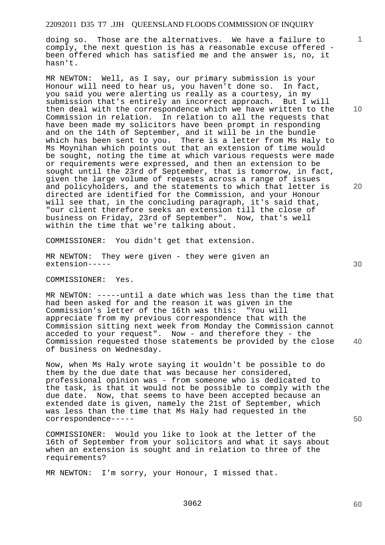doing so. Those are the alternatives. We have a failure to comply, the next question is has a reasonable excuse offered been offered which has satisfied me and the answer is, no, it hasn't.

MR NEWTON: Well, as I say, our primary submission is your Honour will need to hear us, you haven't done so. In fact, you said you were alerting us really as a courtesy, in my submission that's entirely an incorrect approach. But I will then deal with the correspondence which we have written to the Commission in relation. In relation to all the requests that have been made my solicitors have been prompt in responding and on the 14th of September, and it will be in the bundle which has been sent to you. There is a letter from Ms Haly to Ms Moynihan which points out that an extension of time would be sought, noting the time at which various requests were made or requirements were expressed, and then an extension to be sought until the 23rd of September, that is tomorrow, in fact, given the large volume of requests across a range of issues and policyholders, and the statements to which that letter is directed are identified for the Commission, and your Honour will see that, in the concluding paragraph, it's said that, "our client therefore seeks an extension till the close of business on Friday, 23rd of September". Now, that's well within the time that we're talking about.

COMMISSIONER: You didn't get that extension.

MR NEWTON: They were given - they were given an extension-----

COMMISSIONER: Yes.

MR NEWTON: -----until a date which was less than the time that had been asked for and the reason it was given in the Commission's letter of the 16th was this: "You will appreciate from my previous correspondence that with the Commission sitting next week from Monday the Commission cannot acceded to your request". Now - and therefore they - the Commission requested those statements be provided by the close of business on Wednesday.

Now, when Ms Haly wrote saying it wouldn't be possible to do them by the due date that was because her considered, professional opinion was - from someone who is dedicated to the task, is that it would not be possible to comply with the due date. Now, that seems to have been accepted because an extended date is given, namely the 21st of September, which was less than the time that Ms Haly had requested in the correspondence-----

COMMISSIONER: Would you like to look at the letter of the 16th of September from your solicitors and what it says about when an extension is sought and in relation to three of the requirements?

MR NEWTON: I'm sorry, your Honour, I missed that.

**10** 

**1**

**20** 

**40**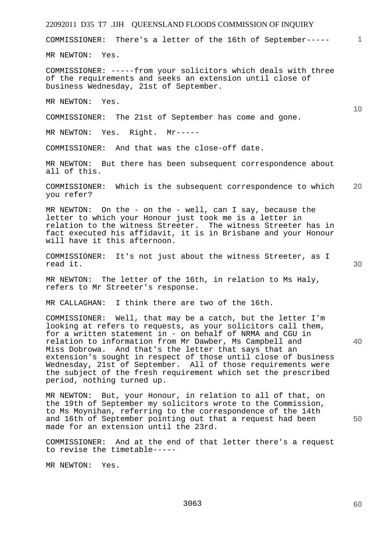# 22092011 D35 T7 .JJH QUEENSLAND FLOODS COMMISSION OF INQUIRY **1 10 20 30 40 50**  COMMISSIONER: There's a letter of the 16th of September----- MR NEWTON: Yes. COMMISSIONER: -----from your solicitors which deals with three of the requirements and seeks an extension until close of business Wednesday, 21st of September. MR NEWTON: Yes. COMMISSIONER: The 21st of September has come and gone. MR NEWTON: Yes. Right. Mr----- COMMISSIONER: And that was the close-off date. MR NEWTON: But there has been subsequent correspondence about all of this. COMMISSIONER: Which is the subsequent correspondence to which you refer? MR NEWTON: On the - on the - well, can I say, because the letter to which your Honour just took me is a letter in relation to the witness Streeter. The witness Streeter has in fact executed his affidavit, it is in Brisbane and your Honour will have it this afternoon. COMMISSIONER: It's not just about the witness Streeter, as I read it. MR NEWTON: The letter of the 16th, in relation to Ms Haly, refers to Mr Streeter's response. MR CALLAGHAN: I think there are two of the 16th. COMMISSIONER: Well, that may be a catch, but the letter I'm looking at refers to requests, as your solicitors call them, for a written statement in - on behalf of NRMA and CGU in relation to information from Mr Dawber, Ms Campbell and Miss Dobrowa. And that's the letter that says that an extension's sought in respect of those until close of business Wednesday, 21st of September. All of those requirements were the subject of the fresh requirement which set the prescribed period, nothing turned up. MR NEWTON: But, your Honour, in relation to all of that, on the 19th of September my solicitors wrote to the Commission, to Ms Moynihan, referring to the correspondence of the 14th and 16th of September pointing out that a request had been made for an extension until the 23rd. COMMISSIONER: And at the end of that letter there's a request to revise the timetable----- MR NEWTON: Yes.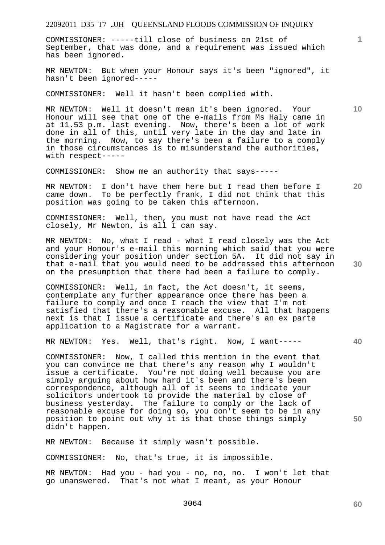COMMISSIONER: -----till close of business on 21st of September, that was done, and a requirement was issued which has been ignored.

MR NEWTON: But when your Honour says it's been "ignored", it hasn't been ignored-----

COMMISSIONER: Well it hasn't been complied with.

MR NEWTON: Well it doesn't mean it's been ignored. Your Honour will see that one of the e-mails from Ms Haly came in at 11.53 p.m. last evening. Now, there's been a lot of work done in all of this, until very late in the day and late in the morning. Now, to say there's been a failure to a comply in those circumstances is to misunderstand the authorities, with respect-----

COMMISSIONER: Show me an authority that says-----

MR NEWTON: I don't have them here but I read them before I came down. To be perfectly frank, I did not think that this position was going to be taken this afternoon.

COMMISSIONER: Well, then, you must not have read the Act closely, Mr Newton, is all I can say.

MR NEWTON: No, what I read - what I read closely was the Act and your Honour's e-mail this morning which said that you were considering your position under section 5A. It did not say in that e-mail that you would need to be addressed this afternoon on the presumption that there had been a failure to comply.

COMMISSIONER: Well, in fact, the Act doesn't, it seems, contemplate any further appearance once there has been a failure to comply and once I reach the view that I'm not satisfied that there's a reasonable excuse. All that happens next is that I issue a certificate and there's an ex parte application to a Magistrate for a warrant.

MR NEWTON: Yes. Well, that's right. Now, I want-----

COMMISSIONER: Now, I called this mention in the event that you can convince me that there's any reason why I wouldn't issue a certificate. You're not doing well because you are simply arguing about how hard it's been and there's been correspondence, although all of it seems to indicate your solicitors undertook to provide the material by close of business yesterday. The failure to comply or the lack of reasonable excuse for doing so, you don't seem to be in any position to point out why it is that those things simply didn't happen.

MR NEWTON: Because it simply wasn't possible.

COMMISSIONER: No, that's true, it is impossible.

MR NEWTON: Had you - had you - no, no, no. I won't let that go unanswered. That's not what I meant, as your Honour

**60** 

**10** 

**1**

**20** 

**30** 

**40**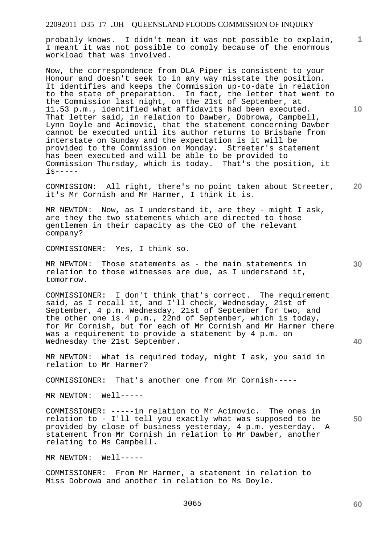probably knows. I didn't mean it was not possible to explain, I meant it was not possible to comply because of the enormous workload that was involved.

Now, the correspondence from DLA Piper is consistent to your Honour and doesn't seek to in any way misstate the position. It identifies and keeps the Commission up-to-date in relation to the state of preparation. In fact, the letter that went to the Commission last night, on the 21st of September, at 11.53 p.m., identified what affidavits had been executed. That letter said, in relation to Dawber, Dobrowa, Campbell, Lynn Doyle and Acimovic, that the statement concerning Dawber cannot be executed until its author returns to Brisbane from interstate on Sunday and the expectation is it will be provided to the Commission on Monday. Streeter's statement has been executed and will be able to be provided to Commission Thursday, which is today. That's the position, it is-----

**20**  COMMISSION: All right, there's no point taken about Streeter, it's Mr Cornish and Mr Harmer, I think it is.

MR NEWTON: Now, as I understand it, are they - might I ask, are they the two statements which are directed to those gentlemen in their capacity as the CEO of the relevant company?

COMMISSIONER: Yes, I think so.

MR NEWTON: Those statements as - the main statements in relation to those witnesses are due, as I understand it, tomorrow.

COMMISSIONER: I don't think that's correct. The requirement said, as I recall it, and I'll check, Wednesday, 21st of September, 4 p.m. Wednesday, 21st of September for two, and the other one is 4 p.m., 22nd of September, which is today, for Mr Cornish, but for each of Mr Cornish and Mr Harmer there was a requirement to provide a statement by 4 p.m. on Wednesday the 21st September.

MR NEWTON: What is required today, might I ask, you said in relation to Mr Harmer?

COMMISSIONER: That's another one from Mr Cornish-----

MR NEWTON: Well-----

COMMISSIONER: -----in relation to Mr Acimovic. The ones in relation to - I'll tell you exactly what was supposed to be provided by close of business yesterday, 4 p.m. yesterday. A statement from Mr Cornish in relation to Mr Dawber, another relating to Ms Campbell.

MR NEWTON: Well-----

COMMISSIONER: From Mr Harmer, a statement in relation to Miss Dobrowa and another in relation to Ms Doyle.

**60** 

**30** 

**40** 

**50** 

**10**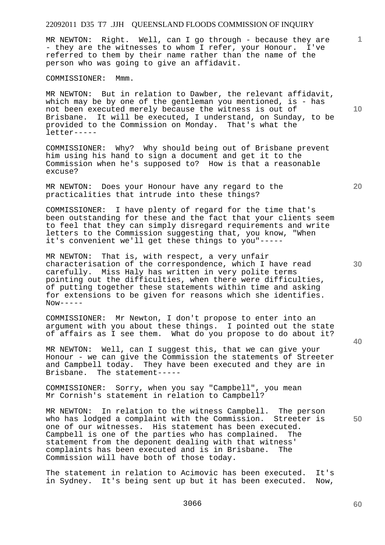MR NEWTON: Right. Well, can I go through - because they are - they are the witnesses to whom I refer, your Honour. I've referred to them by their name rather than the name of the person who was going to give an affidavit.

COMMISSIONER: Mmm.

MR NEWTON: But in relation to Dawber, the relevant affidavit, which may be by one of the gentleman you mentioned, is - has not been executed merely because the witness is out of Brisbane. It will be executed, I understand, on Sunday, to be provided to the Commission on Monday. That's what the letter-----

COMMISSIONER: Why? Why should being out of Brisbane prevent him using his hand to sign a document and get it to the Commission when he's supposed to? How is that a reasonable excuse?

MR NEWTON: Does your Honour have any regard to the practicalities that intrude into these things?

COMMISSIONER: I have plenty of regard for the time that's been outstanding for these and the fact that your clients seem to feel that they can simply disregard requirements and write letters to the Commission suggesting that, you know, "When it's convenient we'll get these things to you"-----

MR NEWTON: That is, with respect, a very unfair characterisation of the correspondence, which I have read carefully. Miss Haly has written in very polite terms pointing out the difficulties, when there were difficulties, of putting together these statements within time and asking for extensions to be given for reasons which she identifies.  $Now----$ 

COMMISSIONER: Mr Newton, I don't propose to enter into an argument with you about these things. I pointed out the state of affairs as I see them. What do you propose to do about it?

MR NEWTON: Well, can I suggest this, that we can give your Honour - we can give the Commission the statements of Streeter and Campbell today. They have been executed and they are in Brisbane. The statement-----

COMMISSIONER: Sorry, when you say "Campbell", you mean Mr Cornish's statement in relation to Campbell?

MR NEWTON: In relation to the witness Campbell. The person who has lodged a complaint with the Commission. Streeter is one of our witnesses. His statement has been executed. Campbell is one of the parties who has complained. The statement from the deponent dealing with that witness' complaints has been executed and is in Brisbane. The Commission will have both of those today.

The statement in relation to Acimovic has been executed. It's in Sydney. It's being sent up but it has been executed. Now,

**30** 

**20** 

**1**

**10** 

**50**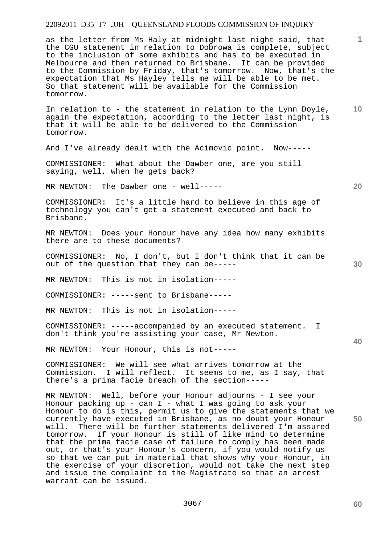as the letter from Ms Haly at midnight last night said, that the CGU statement in relation to Dobrowa is complete, subject to the inclusion of some exhibits and has to be executed in Melbourne and then returned to Brisbane. It can be provided to the Commission by Friday, that's tomorrow. Now, that's the expectation that Ms Hayley tells me will be able to be met. So that statement will be available for the Commission tomorrow.

**10**  In relation to - the statement in relation to the Lynn Doyle, again the expectation, according to the letter last night, is that it will be able to be delivered to the Commission tomorrow.

And I've already dealt with the Acimovic point. Now-----

COMMISSIONER: What about the Dawber one, are you still saying, well, when he gets back?

MR NEWTON: The Dawber one - well-----

COMMISSIONER: It's a little hard to believe in this age of technology you can't get a statement executed and back to Brisbane.

MR NEWTON: Does your Honour have any idea how many exhibits there are to these documents?

COMMISSIONER: No, I don't, but I don't think that it can be out of the question that they can be-----

MR NEWTON: This is not in isolation-----

COMMISSIONER: -----sent to Brisbane-----

MR NEWTON: This is not in isolation-----

COMMISSIONER: -----accompanied by an executed statement. I don't think you're assisting your case, Mr Newton.

MR NEWTON: Your Honour, this is not-----

COMMISSIONER: We will see what arrives tomorrow at the Commission. I will reflect. It seems to me, as I say, that there's a prima facie breach of the section-----

MR NEWTON: Well, before your Honour adjourns - I see your Honour packing up - can I - what I was going to ask your Honour to do is this, permit us to give the statements that we currently have executed in Brisbane, as no doubt your Honour will. There will be further statements delivered I'm assured tomorrow. If your Honour is still of like mind to determine that the prima facie case of failure to comply has been made out, or that's your Honour's concern, if you would notify us so that we can put in material that shows why your Honour, in the exercise of your discretion, would not take the next step and issue the complaint to the Magistrate so that an arrest warrant can be issued.

**60** 

**50** 

**20** 

**1**

**30**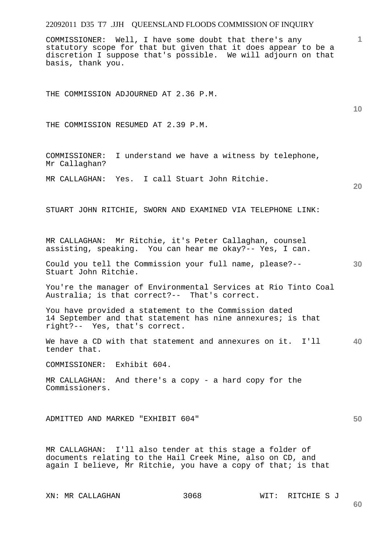COMMISSIONER: Well, I have some doubt that there's any statutory scope for that but given that it does appear to be a discretion I suppose that's possible. We will adjourn on that basis, thank you.

THE COMMISSION ADJOURNED AT 2.36 P.M.

THE COMMISSION RESUMED AT 2.39 P.M.

COMMISSIONER: I understand we have a witness by telephone, Mr Callaghan?

MR CALLAGHAN: Yes. I call Stuart John Ritchie.

STUART JOHN RITCHIE, SWORN AND EXAMINED VIA TELEPHONE LINK:

MR CALLAGHAN: Mr Ritchie, it's Peter Callaghan, counsel assisting, speaking. You can hear me okay?-- Yes, I can.

**30**  Could you tell the Commission your full name, please?-- Stuart John Ritchie.

You're the manager of Environmental Services at Rio Tinto Coal Australia; is that correct?-- That's correct.

You have provided a statement to the Commission dated 14 September and that statement has nine annexures; is that right?-- Yes, that's correct.

**40**  We have a CD with that statement and annexures on it. I'll tender that.

COMMISSIONER: Exhibit 604.

MR CALLAGHAN: And there's a copy - a hard copy for the Commissioners.

**50**  ADMITTED AND MARKED "EXHIBIT 604"

MR CALLAGHAN: I'll also tender at this stage a folder of documents relating to the Hail Creek Mine, also on CD, and again I believe, Mr Ritchie, you have a copy of that; is that

XN: MR CALLAGHAN 3068 WIT: RITCHIE S J

**1**

**10**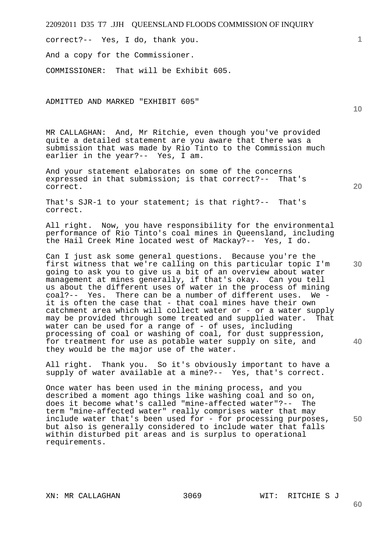correct?-- Yes, I do, thank you.

And a copy for the Commissioner.

COMMISSIONER: That will be Exhibit 605.

ADMITTED AND MARKED "EXHIBIT 605"

MR CALLAGHAN: And, Mr Ritchie, even though you've provided quite a detailed statement are you aware that there was a submission that was made by Rio Tinto to the Commission much earlier in the year?-- Yes, I am.

And your statement elaborates on some of the concerns expressed in that submission; is that correct?-- That's correct.

That's SJR-1 to your statement; is that right?-- That's correct.

All right. Now, you have responsibility for the environmental performance of Rio Tinto's coal mines in Queensland, including the Hail Creek Mine located west of Mackay?-- Yes, I do.

Can I just ask some general questions. Because you're the first witness that we're calling on this particular topic I'm going to ask you to give us a bit of an overview about water management at mines generally, if that's okay. Can you tell us about the different uses of water in the process of mining coal?-- Yes. There can be a number of different uses. We it is often the case that - that coal mines have their own catchment area which will collect water or - or a water supply may be provided through some treated and supplied water. That water can be used for a range of - of uses, including processing of coal or washing of coal, for dust suppression, for treatment for use as potable water supply on site, and they would be the major use of the water.

All right. Thank you. So it's obviously important to have a supply of water available at a mine?-- Yes, that's correct.

Once water has been used in the mining process, and you described a moment ago things like washing coal and so on, does it become what's called "mine-affected water"?-- The term "mine-affected water" really comprises water that may include water that's been used for - for processing purposes, but also is generally considered to include water that falls within disturbed pit areas and is surplus to operational requirements.

**20** 

**10** 

**40** 

**30** 

**50**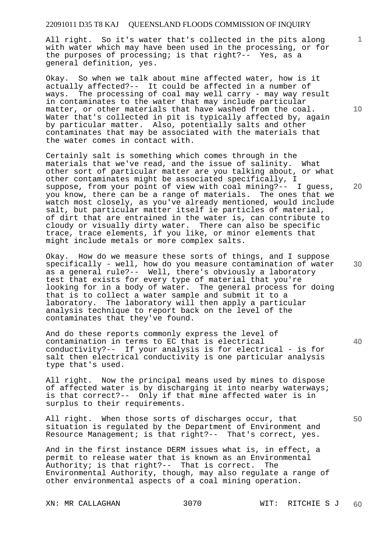All right. So it's water that's collected in the pits along with water which may have been used in the processing, or for the purposes of processing; is that right?-- Yes, as a general definition, yes.

Okay. So when we talk about mine affected water, how is it actually affected?-- It could be affected in a number of ways. The processing of coal may well carry - may way result in contaminates to the water that may include particular matter, or other materials that have washed from the coal. Water that's collected in pit is typically affected by, again by particular matter. Also, potentially salts and other contaminates that may be associated with the materials that the water comes in contact with.

Certainly salt is something which comes through in the materials that we've read, and the issue of salinity. What other sort of particular matter are you talking about, or what other contaminates might be associated specifically, I suppose, from your point of view with coal mining?-- I guess, you know, there can be a range of materials. The ones that we watch most closely, as you've already mentioned, would include salt, but particular matter itself ie particles of material, of dirt that are entrained in the water is, can contribute to cloudy or visually dirty water. There can also be specific trace, trace elements, if you like, or minor elements that might include metals or more complex salts.

Okay. How do we measure these sorts of things, and I suppose specifically - well, how do you measure contamination of water as a general rule?-- Well, there's obviously a laboratory test that exists for every type of material that you're looking for in a body of water. The general process for doing that is to collect a water sample and submit it to a laboratory. The laboratory will then apply a particular analysis technique to report back on the level of the contaminates that they've found.

And do these reports commonly express the level of contamination in terms to EC that is electrical conductivity?-- If your analysis is for electrical - is for salt then electrical conductivity is one particular analysis type that's used.

All right. Now the principal means used by mines to dispose of affected water is by discharging it into nearby waterways; is that correct?-- Only if that mine affected water is in surplus to their requirements.

All right. When those sorts of discharges occur, that situation is regulated by the Department of Environment and Resource Management; is that right?-- That's correct, yes.

And in the first instance DERM issues what is, in effect, a permit to release water that is known as an Environmental Authority; is that right?-- That is correct. The Environmental Authority, though, may also regulate a range of other environmental aspects of a coal mining operation.

**10** 

**1**

**20** 

**40** 

**50**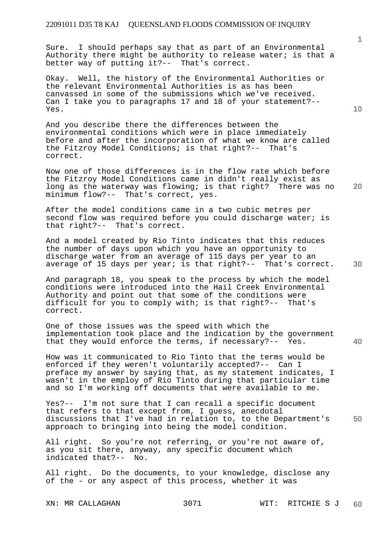Sure. I should perhaps say that as part of an Environmental Authority there might be authority to release water; is that a better way of putting it?-- That's correct.

Okay. Well, the history of the Environmental Authorities or the relevant Environmental Authorities is as has been canvassed in some of the submissions which we've received. Can I take you to paragraphs 17 and 18 of your statement?-- Yes.

And you describe there the differences between the environmental conditions which were in place immediately before and after the incorporation of what we know are called the Fitzroy Model Conditions; is that right?-- That's correct.

Now one of those differences is in the flow rate which before the Fitzroy Model Conditions came in didn't really exist as long as the waterway was flowing; is that right? There was no minimum flow?-- That's correct, yes.

After the model conditions came in a two cubic metres per second flow was required before you could discharge water; is that right?-- That's correct.

And a model created by Rio Tinto indicates that this reduces the number of days upon which you have an opportunity to discharge water from an average of 115 days per year to an average of 15 days per year; is that right?-- That's correct.

And paragraph 18, you speak to the process by which the model conditions were introduced into the Hail Creek Environmental Authority and point out that some of the conditions were difficult for you to comply with; is that right?-- That's correct.

One of those issues was the speed with which the implementation took place and the indication by the government that they would enforce the terms, if necessary?-- Yes.

How was it communicated to Rio Tinto that the terms would be enforced if they weren't voluntarily accepted?-- Can I preface my answer by saying that, as my statement indicates, I wasn't in the employ of Rio Tinto during that particular time and so I'm working off documents that were available to me.

**50**  Yes?-- I'm not sure that I can recall a specific document that refers to that except from, I guess, anecdotal discussions that I've had in relation to, to the Department's approach to bringing into being the model condition.

All right. So you're not referring, or you're not aware of, as you sit there, anyway, any specific document which indicated that?-- No.

All right. Do the documents, to your knowledge, disclose any of the - or any aspect of this process, whether it was

**10** 

**1**

**30**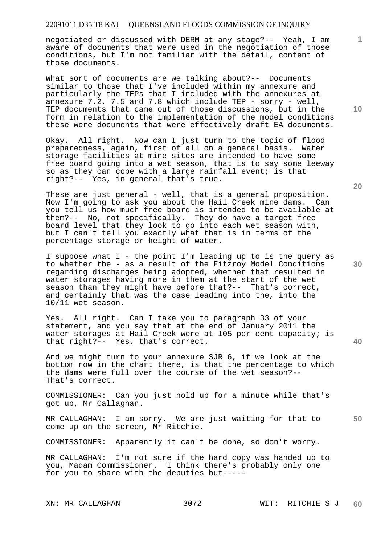negotiated or discussed with DERM at any stage?-- Yeah, I am aware of documents that were used in the negotiation of those conditions, but I'm not familiar with the detail, content of those documents.

What sort of documents are we talking about?-- Documents similar to those that I've included within my annexure and particularly the TEPs that I included with the annexures at annexure 7.2, 7.5 and 7.8 which include TEP - sorry - well, TEP documents that came out of those discussions, but in the form in relation to the implementation of the model conditions these were documents that were effectively draft EA documents.

Okay. All right. Now can I just turn to the topic of flood preparedness, again, first of all on a general basis. Water storage facilities at mine sites are intended to have some free board going into a wet season, that is to say some leeway so as they can cope with a large rainfall event; is that right?-- Yes, in general that's true.

These are just general - well, that is a general proposition. Now I'm going to ask you about the Hail Creek mine dams. Can you tell us how much free board is intended to be available at them?-- No, not specifically. They do have a target free board level that they look to go into each wet season with, but I can't tell you exactly what that is in terms of the percentage storage or height of water.

I suppose what I - the point I'm leading up to is the query as to whether the - as a result of the Fitzroy Model Conditions regarding discharges being adopted, whether that resulted in water storages having more in them at the start of the wet season than they might have before that?-- That's correct, and certainly that was the case leading into the, into the 10/11 wet season.

Yes. All right. Can I take you to paragraph 33 of your statement, and you say that at the end of January 2011 the water storages at Hail Creek were at 105 per cent capacity; is that right?-- Yes, that's correct.

And we might turn to your annexure SJR 6, if we look at the bottom row in the chart there, is that the percentage to which the dams were full over the course of the wet season?-- That's correct.

COMMISSIONER: Can you just hold up for a minute while that's got up, Mr Callaghan.

**50**  MR CALLAGHAN: I am sorry. We are just waiting for that to come up on the screen, Mr Ritchie.

COMMISSIONER: Apparently it can't be done, so don't worry.

MR CALLAGHAN: I'm not sure if the hard copy was handed up to you, Madam Commissioner. I think there's probably only one for you to share with the deputies but-----

**10** 

**1**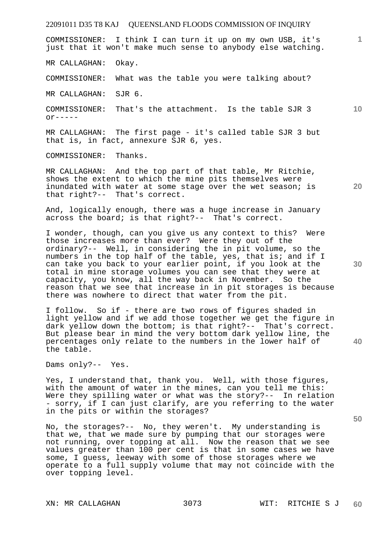COMMISSIONER: I think I can turn it up on my own USB, it's just that it won't make much sense to anybody else watching.

MR CALLAGHAN: Okay.

COMMISSIONER: What was the table you were talking about?

MR CALLAGHAN: SJR 6.

COMMISSIONER: That's the attachment. Is the table SJR 3  $or---$ 

MR CALLAGHAN: The first page - it's called table SJR 3 but that is, in fact, annexure SJR 6, yes.

COMMISSIONER: Thanks.

MR CALLAGHAN: And the top part of that table, Mr Ritchie, shows the extent to which the mine pits themselves were inundated with water at some stage over the wet season; is that right?-- That's correct.

And, logically enough, there was a huge increase in January across the board; is that right?-- That's correct.

I wonder, though, can you give us any context to this? Were those increases more than ever? Were they out of the ordinary?-- Well, in considering the in pit volume, so the numbers in the top half of the table, yes, that is; and if I can take you back to your earlier point, if you look at the total in mine storage volumes you can see that they were at capacity, you know, all the way back in November. So the reason that we see that increase in in pit storages is because there was nowhere to direct that water from the pit.

I follow. So if - there are two rows of figures shaded in light yellow and if we add those together we get the figure in dark yellow down the bottom; is that right?-- That's correct. But please bear in mind the very bottom dark yellow line, the percentages only relate to the numbers in the lower half of the table.

Dams only?-- Yes.

Yes, I understand that, thank you. Well, with those figures, with the amount of water in the mines, can you tell me this: Were they spilling water or what was the story?-- In relation - sorry, if I can just clarify, are you referring to the water in the pits or within the storages?

No, the storages?-- No, they weren't. My understanding is that we, that we made sure by pumping that our storages were not running, over topping at all. Now the reason that we see values greater than 100 per cent is that in some cases we have some, I guess, leeway with some of those storages where we operate to a full supply volume that may not coincide with the over topping level.

**30** 

**1**

**10** 

**20** 

**50**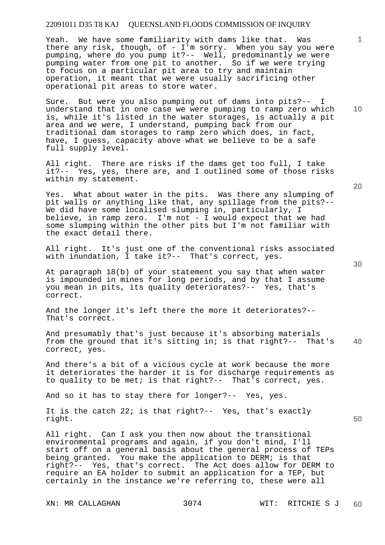Yeah. We have some familiarity with dams like that. Was there any risk, though, of - I'm sorry. When you say you were pumping, where do you pump it?-- Well, predominantly we were pumping water from one pit to another. So if we were trying to focus on a particular pit area to try and maintain operation, it meant that we were usually sacrificing other operational pit areas to store water.

Sure. But were you also pumping out of dams into pits?-- I understand that in one case we were pumping to ramp zero which is, while it's listed in the water storages, is actually a pit area and we were, I understand, pumping back from our traditional dam storages to ramp zero which does, in fact, have, I guess, capacity above what we believe to be a safe full supply level.

All right. There are risks if the dams get too full, I take it?-- Yes, yes, there are, and I outlined some of those risks within my statement.

Yes. What about water in the pits. Was there any slumping of pit walls or anything like that, any spillage from the pits?-- We did have some localised slumping in, particularly, I believe, in ramp zero. I'm not - I would expect that we had some slumping within the other pits but I'm not familiar with the exact detail there.

All right. It's just one of the conventional risks associated with inundation, I take it?-- That's correct, yes.

At paragraph 18(b) of your statement you say that when water is impounded in mines for long periods, and by that I assume you mean in pits, its quality deteriorates?-- Yes, that's correct.

And the longer it's left there the more it deteriorates?-- That's correct.

**40**  And presumably that's just because it's absorbing materials from the ground that it's sitting in; is that right?-- That's correct, yes.

And there's a bit of a vicious cycle at work because the more it deteriorates the harder it is for discharge requirements as to quality to be met; is that right?-- That's correct, yes.

And so it has to stay there for longer?-- Yes, yes.

It is the catch 22; is that right?-- Yes, that's exactly right.

All right. Can I ask you then now about the transitional environmental programs and again, if you don't mind, I'll start off on a general basis about the general process of TEPs being granted. You make the application to DERM; is that right?-- Yes, that's correct. The Act does allow for DERM to require an EA holder to submit an application for a TEP, but certainly in the instance we're referring to, these were all

**20** 

**50** 

**10**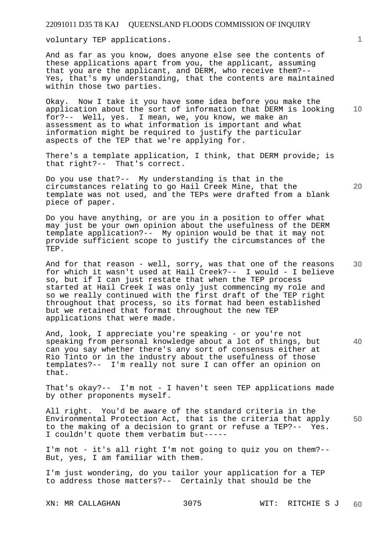voluntary TEP applications.

And as far as you know, does anyone else see the contents of these applications apart from you, the applicant, assuming that you are the applicant, and DERM, who receive them?-- Yes, that's my understanding, that the contents are maintained within those two parties.

**10**  Okay. Now I take it you have some idea before you make the application about the sort of information that DERM is looking for?-- Well, yes. I mean, we, you know, we make an assessment as to what information is important and what information might be required to justify the particular aspects of the TEP that we're applying for.

There's a template application, I think, that DERM provide; is that right?-- That's correct.

Do you use that?-- My understanding is that in the circumstances relating to go Hail Creek Mine, that the template was not used, and the TEPs were drafted from a blank piece of paper.

Do you have anything, or are you in a position to offer what may just be your own opinion about the usefulness of the DERM template application?-- My opinion would be that it may not provide sufficient scope to justify the circumstances of the TEP.

**30**  And for that reason - well, sorry, was that one of the reasons for which it wasn't used at Hail Creek?-- I would - I believe so, but if I can just restate that when the TEP process started at Hail Creek I was only just commencing my role and so we really continued with the first draft of the TEP right throughout that process, so its format had been established but we retained that format throughout the new TEP applications that were made.

And, look, I appreciate you're speaking - or you're not speaking from personal knowledge about a lot of things, but can you say whether there's any sort of consensus either at Rio Tinto or in the industry about the usefulness of those templates?-- I'm really not sure I can offer an opinion on that.

That's okay?-- I'm not - I haven't seen TEP applications made by other proponents myself.

**50**  All right. You'd be aware of the standard criteria in the Environmental Protection Act, that is the criteria that apply to the making of a decision to grant or refuse a TEP?-- Yes. I couldn't quote them verbatim but-----

I'm not - it's all right I'm not going to quiz you on them?-- But, yes, I am familiar with them.

I'm just wondering, do you tailor your application for a TEP to address those matters?-- Certainly that should be the

**1**

**20**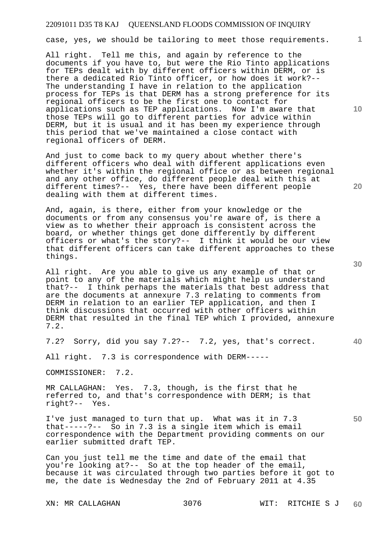case, yes, we should be tailoring to meet those requirements.

All right. Tell me this, and again by reference to the documents if you have to, but were the Rio Tinto applications for TEPs dealt with by different officers within DERM, or is there a dedicated Rio Tinto officer, or how does it work?-- The understanding I have in relation to the application process for TEPs is that DERM has a strong preference for its regional officers to be the first one to contact for applications such as TEP applications. Now I'm aware that those TEPs will go to different parties for advice within DERM, but it is usual and it has been my experience through this period that we've maintained a close contact with regional officers of DERM.

And just to come back to my query about whether there's different officers who deal with different applications even whether it's within the regional office or as between regional and any other office, do different people deal with this at different times?-- Yes, there have been different people dealing with them at different times.

And, again, is there, either from your knowledge or the documents or from any consensus you're aware of, is there a view as to whether their approach is consistent across the board, or whether things get done differently by different officers or what's the story?-- I think it would be our view that different officers can take different approaches to these things.

All right. Are you able to give us any example of that or point to any of the materials which might help us understand that?-- I think perhaps the materials that best address that are the documents at annexure 7.3 relating to comments from DERM in relation to an earlier TEP application, and then I think discussions that occurred with other officers within DERM that resulted in the final TEP which I provided, annexure 7.2.

7.2? Sorry, did you say 7.2?-- 7.2, yes, that's correct.

All right. 7.3 is correspondence with DERM-----

COMMISSIONER: 7.2.

MR CALLAGHAN: Yes. 7.3, though, is the first that he referred to, and that's correspondence with DERM; is that right?-- Yes.

I've just managed to turn that up. What was it in 7.3 that-----?-- So in 7.3 is a single item which is email correspondence with the Department providing comments on our earlier submitted draft TEP.

Can you just tell me the time and date of the email that you're looking at?-- So at the top header of the email, because it was circulated through two parties before it got to me, the date is Wednesday the 2nd of February 2011 at 4.35

**10** 

**1**

**30** 

**40** 

**50**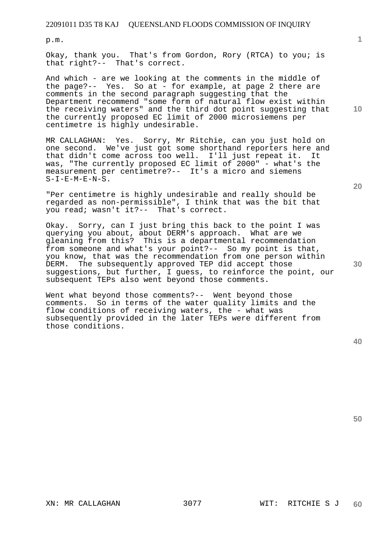p.m.

Okay, thank you. That's from Gordon, Rory (RTCA) to you; is that right?-- That's correct.

And which - are we looking at the comments in the middle of the page?-- Yes. So at - for example, at page 2 there are comments in the second paragraph suggesting that the Department recommend "some form of natural flow exist within the receiving waters" and the third dot point suggesting that the currently proposed EC limit of 2000 microsiemens per centimetre is highly undesirable.

MR CALLAGHAN: Yes. Sorry, Mr Ritchie, can you just hold on one second. We've just got some shorthand reporters here and that didn't come across too well. I'll just repeat it. It was, "The currently proposed EC limit of 2000" - what's the measurement per centimetre?-- It's a micro and siemens  $S-I-E-M-E-N-S.$ 

"Per centimetre is highly undesirable and really should be regarded as non-permissible", I think that was the bit that you read; wasn't it?-- That's correct.

Okay. Sorry, can I just bring this back to the point I was querying you about, about DERM's approach. What are we gleaning from this? This is a departmental recommendation from someone and what's your point?-- So my point is that, you know, that was the recommendation from one person within DERM. The subsequently approved TEP did accept those suggestions, but further, I guess, to reinforce the point, our subsequent TEPs also went beyond those comments.

Went what beyond those comments?-- Went beyond those comments. So in terms of the water quality limits and the flow conditions of receiving waters, the - what was subsequently provided in the later TEPs were different from those conditions.

**50** 

**30** 

**20**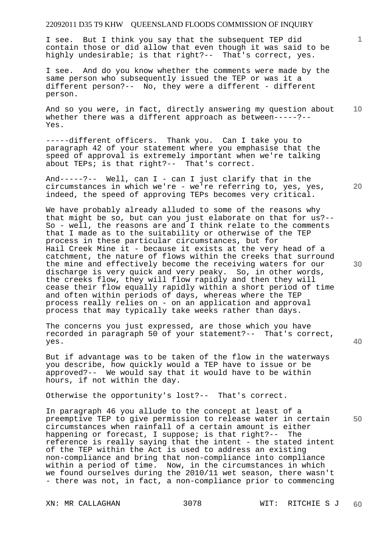I see. But I think you say that the subsequent TEP did contain those or did allow that even though it was said to be highly undesirable; is that right?-- That's correct, yes.

I see. And do you know whether the comments were made by the same person who subsequently issued the TEP or was it a different person?-- No, they were a different - different person.

And so you were, in fact, directly answering my question about whether there was a different approach as between-----?-- Yes.

-----different officers. Thank you. Can I take you to paragraph 42 of your statement where you emphasise that the speed of approval is extremely important when we're talking about TEPs; is that right?-- That's correct.

And-----?-- Well, can I - can I just clarify that in the circumstances in which we're - we're referring to, yes, yes, indeed, the speed of approving TEPs becomes very critical.

We have probably already alluded to some of the reasons why that might be so, but can you just elaborate on that for us?-- So - well, the reasons are and I think relate to the comments that I made as to the suitability or otherwise of the TEP process in these particular circumstances, but for Hail Creek Mine it - because it exists at the very head of a catchment, the nature of flows within the creeks that surround the mine and effectively become the receiving waters for our discharge is very quick and very peaky. So, in other words, the creeks flow, they will flow rapidly and then they will cease their flow equally rapidly within a short period of time and often within periods of days, whereas where the TEP process really relies on - on an application and approval process that may typically take weeks rather than days.

The concerns you just expressed, are those which you have recorded in paragraph 50 of your statement?-- That's correct, yes.

But if advantage was to be taken of the flow in the waterways you describe, how quickly would a TEP have to issue or be approved?-- We would say that it would have to be within hours, if not within the day.

Otherwise the opportunity's lost?-- That's correct.

**50**  In paragraph 46 you allude to the concept at least of a preemptive TEP to give permission to release water in certain circumstances when rainfall of a certain amount is either happening or forecast, I suppose; is that right?-- The reference is really saying that the intent - the stated intent of the TEP within the Act is used to address an existing non-compliance and bring that non-compliance into compliance within a period of time. Now, in the circumstances in which we found ourselves during the 2010/11 wet season, there wasn't - there was not, in fact, a non-compliance prior to commencing

**40** 

**20** 

**10**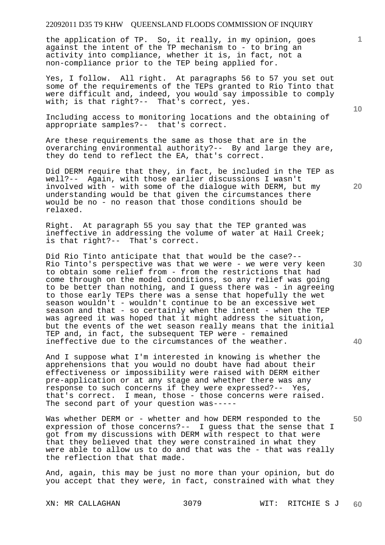the application of TP. So, it really, in my opinion, goes against the intent of the TP mechanism to - to bring an activity into compliance, whether it is, in fact, not a non-compliance prior to the TEP being applied for.

Yes, I follow. All right. At paragraphs 56 to 57 you set out some of the requirements of the TEPs granted to Rio Tinto that were difficult and, indeed, you would say impossible to comply with; is that right?-- That's correct, yes.

Including access to monitoring locations and the obtaining of appropriate samples?-- that's correct.

Are these requirements the same as those that are in the overarching environmental authority?-- By and large they are, they do tend to reflect the EA, that's correct.

Did DERM require that they, in fact, be included in the TEP as well?-- Again, with those earlier discussions I wasn't involved with - with some of the dialogue with DERM, but my understanding would be that given the circumstances there would be no - no reason that those conditions should be relaxed.

Right. At paragraph 55 you say that the TEP granted was ineffective in addressing the volume of water at Hail Creek; is that right?-- That's correct.

Did Rio Tinto anticipate that that would be the case?-- Rio Tinto's perspective was that we were - we were very keen to obtain some relief from - from the restrictions that had come through on the model conditions, so any relief was going to be better than nothing, and I guess there was - in agreeing to those early TEPs there was a sense that hopefully the wet season wouldn't - wouldn't continue to be an excessive wet season and that - so certainly when the intent - when the TEP was agreed it was hoped that it might address the situation, but the events of the wet season really means that the initial TEP and, in fact, the subsequent TEP were - remained ineffective due to the circumstances of the weather.

And I suppose what I'm interested in knowing is whether the apprehensions that you would no doubt have had about their effectiveness or impossibility were raised with DERM either pre-application or at any stage and whether there was any response to such concerns if they were expressed?-- Yes, that's correct. I mean, those - those concerns were raised. The second part of your question was-----

Was whether DERM or - whetter and how DERM responded to the expression of those concerns?-- I guess that the sense that I got from my discussions with DERM with respect to that were that they believed that they were constrained in what they were able to allow us to do and that was the - that was really the reflection that that made.

And, again, this may be just no more than your opinion, but do you accept that they were, in fact, constrained with what they

**10** 

**1**

**30** 

**20** 

**50**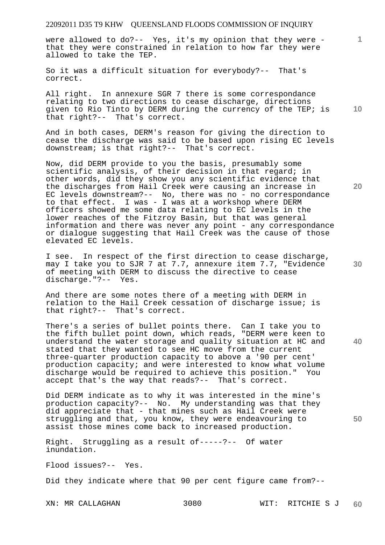were allowed to do?-- Yes, it's my opinion that they were that they were constrained in relation to how far they were allowed to take the TEP.

So it was a difficult situation for everybody?-- That's correct.

All right. In annexure SGR 7 there is some correspondance relating to two directions to cease discharge, directions given to Rio Tinto by DERM during the currency of the TEP; is that right?-- That's correct.

And in both cases, DERM's reason for giving the direction to cease the discharge was said to be based upon rising EC levels downstream; is that right?-- That's correct.

Now, did DERM provide to you the basis, presumably some scientific analysis, of their decision in that regard; in other words, did they show you any scientific evidence that the discharges from Hail Creek were causing an increase in EC levels downstream?-- No, there was no - no correspondance to that effect. I was  $-$  I was at a workshop where DERM officers showed me some data relating to EC levels in the lower reaches of the Fitzroy Basin, but that was general information and there was never any point - any correspondance or dialogue suggesting that Hail Creek was the cause of those elevated EC levels.

I see. In respect of the first direction to cease discharge, may I take you to SJR 7 at 7.7, annexure item 7.7, "Evidence of meeting with DERM to discuss the directive to cease discharge."?-- Yes.

And there are some notes there of a meeting with DERM in relation to the Hail Creek cessation of discharge issue; is that right?-- That's correct.

There's a series of bullet points there. Can I take you to the fifth bullet point down, which reads, "DERM were keen to understand the water storage and quality situation at HC and stated that they wanted to see HC move from the current three-quarter production capacity to above a '90 per cent' production capacity; and were interested to know what volume discharge would be required to achieve this position." You accept that's the way that reads?-- That's correct.

Did DERM indicate as to why it was interested in the mine's production capacity?-- No. My understanding was that they did appreciate that - that mines such as Hail Creek were struggling and that, you know, they were endeavouring to assist those mines come back to increased production.

Right. Struggling as a result of-----?-- Of water inundation.

Flood issues?-- Yes.

Did they indicate where that 90 per cent figure came from?--

**10** 

**1**

**20** 

**50**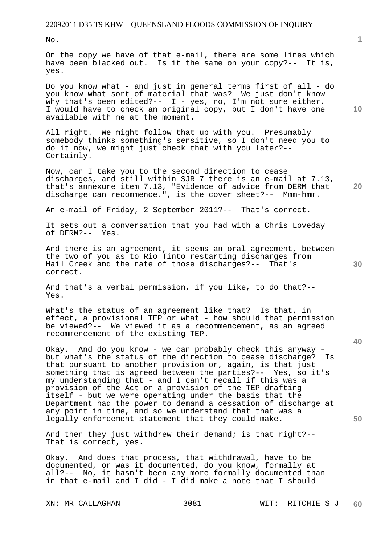No.

On the copy we have of that e-mail, there are some lines which have been blacked out. Is it the same on your copy?-- It is, yes.

Do you know what - and just in general terms first of all - do you know what sort of material that was? We just don't know why that's been edited?--  $I - \gamma e s$ , no, I'm not sure either. I would have to check an original copy, but I don't have one available with me at the moment.

All right. We might follow that up with you. Presumably somebody thinks something's sensitive, so I don't need you to do it now, we might just check that with you later?-- Certainly.

Now, can I take you to the second direction to cease discharges, and still within SJR 7 there is an e-mail at 7.13, that's annexure item 7.13, "Evidence of advice from DERM that discharge can recommence.", is the cover sheet?-- Mmm-hmm.

An e-mail of Friday, 2 September 2011?-- That's correct.

It sets out a conversation that you had with a Chris Loveday of DERM?-- Yes.

And there is an agreement, it seems an oral agreement, between the two of you as to Rio Tinto restarting discharges from Hail Creek and the rate of those discharges?-- That's correct.

And that's a verbal permission, if you like, to do that?-- Yes.

What's the status of an agreement like that? Is that, in effect, a provisional TEP or what - how should that permission be viewed?-- We viewed it as a recommencement, as an agreed recommencement of the existing TEP.

Okay. And do you know - we can probably check this anyway but what's the status of the direction to cease discharge? Is that pursuant to another provision or, again, is that just something that is agreed between the parties?-- Yes, so it's my understanding that - and I can't recall if this was a provision of the Act or a provision of the TEP drafting itself - but we were operating under the basis that the Department had the power to demand a cessation of discharge at any point in time, and so we understand that that was a legally enforcement statement that they could make.

And then they just withdrew their demand; is that right?-- That is correct, yes.

Okay. And does that process, that withdrawal, have to be documented, or was it documented, do you know, formally at all?-- No, it hasn't been any more formally documented than in that e-mail and I did - I did make a note that I should

**20** 

**10** 

**1**

**30**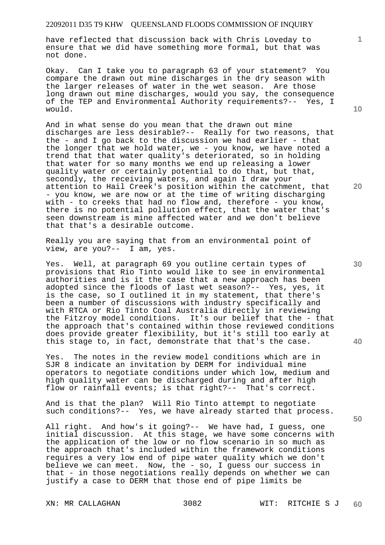have reflected that discussion back with Chris Loveday to ensure that we did have something more formal, but that was not done.

Okay. Can I take you to paragraph 63 of your statement? You compare the drawn out mine discharges in the dry season with the larger releases of water in the wet season. Are those long drawn out mine discharges, would you say, the consequence of the TEP and Environmental Authority requirements?-- Yes, I would.

And in what sense do you mean that the drawn out mine discharges are less desirable?-- Really for two reasons, that the - and I go back to the discussion we had earlier - that the longer that we hold water, we - you know, we have noted a trend that that water quality's deteriorated, so in holding that water for so many months we end up releasing a lower quality water or certainly potential to do that, but that, secondly, the receiving waters, and again I draw your attention to Hail Creek's position within the catchment, that - you know, we are now or at the time of writing discharging with - to creeks that had no flow and, therefore - you know, there is no potential pollution effect, that the water that's seen downstream is mine affected water and we don't believe that that's a desirable outcome.

Really you are saying that from an environmental point of view, are you?-- I am, yes.

Yes. Well, at paragraph 69 you outline certain types of provisions that Rio Tinto would like to see in environmental authorities and is it the case that a new approach has been adopted since the floods of last wet season?-- Yes, yes, it is the case, so I outlined it in my statement, that there's been a number of discussions with industry specifically and with RTCA or Rio Tinto Coal Australia directly in reviewing the Fitzroy model conditions. It's our belief that the - that the approach that's contained within those reviewed conditions does provide greater flexibility, but it's still too early at this stage to, in fact, demonstrate that that's the case.

Yes. The notes in the review model conditions which are in SJR 8 indicate an invitation by DERM for individual mine operators to negotiate conditions under which low, medium and high quality water can be discharged during and after high flow or rainfall events; is that right?-- That's correct.

And is that the plan? Will Rio Tinto attempt to negotiate such conditions?-- Yes, we have already started that process.

All right. And how's it going?-- We have had, I guess, one initial discussion. At this stage, we have some concerns with the application of the low or no flow scenario in so much as the approach that's included within the framework conditions requires a very low end of pipe water quality which we don't believe we can meet. Now, the - so, I guess our success in that - in those negotiations really depends on whether we can justify a case to DERM that those end of pipe limits be

**10** 

**1**

**20** 

**40**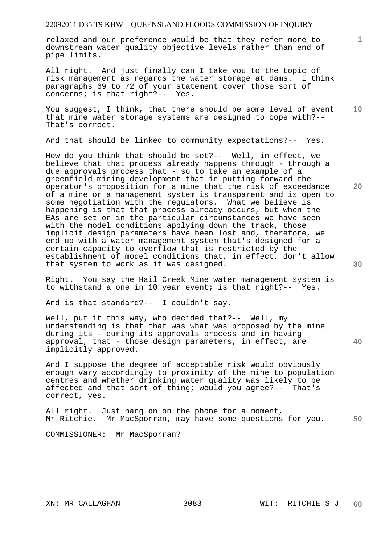relaxed and our preference would be that they refer more to downstream water quality objective levels rather than end of pipe limits.

All right. And just finally can I take you to the topic of risk management as regards the water storage at dams. I think paragraphs 69 to 72 of your statement cover those sort of concerns; is that right?-- Yes.

**10**  You suggest, I think, that there should be some level of event that mine water storage systems are designed to cope with?-- That's correct.

And that should be linked to community expectations?-- Yes.

How do you think that should be set?-- Well, in effect, we believe that that process already happens through - through a due approvals process that - so to take an example of a greenfield mining development that in putting forward the operator's proposition for a mine that the risk of exceedance of a mine or a management system is transparent and is open to some negotiation with the regulators. What we believe is happening is that that process already occurs, but when the EAs are set or in the particular circumstances we have seen with the model conditions applying down the track, those implicit design parameters have been lost and, therefore, we end up with a water management system that's designed for a certain capacity to overflow that is restricted by the establishment of model conditions that, in effect, don't allow that system to work as it was designed.

Right. You say the Hail Creek Mine water management system is to withstand a one in 10 year event; is that right?-- Yes.

And is that standard?-- I couldn't say.

Well, put it this way, who decided that?-- Well, my understanding is that that was what was proposed by the mine during its - during its approvals process and in having approval, that - those design parameters, in effect, are implicitly approved.

And I suppose the degree of acceptable risk would obviously enough vary accordingly to proximity of the mine to population centres and whether drinking water quality was likely to be affected and that sort of thing; would you agree?-- That's correct, yes.

**50**  All right. Just hang on on the phone for a moment, Mr Ritchie. Mr MacSporran, may have some questions for you.

COMMISSIONER: Mr MacSporran?

**1**

**20**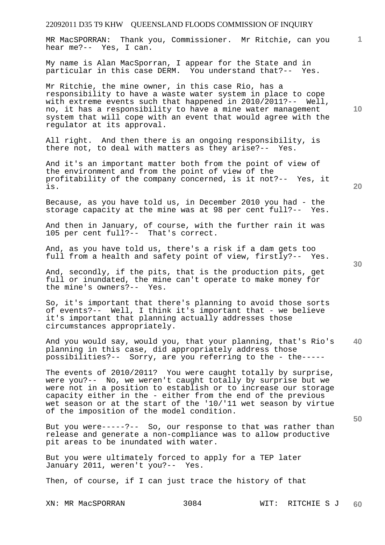MR MacSPORRAN: Thank you, Commissioner. Mr Ritchie, can you hear me?-- Yes, I can.

My name is Alan MacSporran, I appear for the State and in particular in this case DERM. You understand that?-- Yes.

Mr Ritchie, the mine owner, in this case Rio, has a responsibility to have a waste water system in place to cope with extreme events such that happened in 2010/2011?-- Well, no, it has a responsibility to have a mine water management system that will cope with an event that would agree with the regulator at its approval.

All right. And then there is an ongoing responsibility, is there not, to deal with matters as they arise?-- Yes.

And it's an important matter both from the point of view of the environment and from the point of view of the profitability of the company concerned, is it not?-- Yes, it is.

Because, as you have told us, in December 2010 you had - the storage capacity at the mine was at 98 per cent full?-- Yes.

And then in January, of course, with the further rain it was 105 per cent full?-- That's correct.

And, as you have told us, there's a risk if a dam gets too full from a health and safety point of view, firstly?-- Yes.

And, secondly, if the pits, that is the production pits, get full or inundated, the mine can't operate to make money for the mine's owners?-- Yes.

So, it's important that there's planning to avoid those sorts of events?-- Well, I think it's important that - we believe it's important that planning actually addresses those circumstances appropriately.

**40**  And you would say, would you, that your planning, that's Rio's planning in this case, did appropriately address those possibilities?-- Sorry, are you referring to the - the-----

The events of 2010/2011? You were caught totally by surprise, were you?-- No, we weren't caught totally by surprise but we were not in a position to establish or to increase our storage capacity either in the - either from the end of the previous wet season or at the start of the '10/'11 wet season by virtue of the imposition of the model condition.

But you were-----?-- So, our response to that was rather than release and generate a non-compliance was to allow productive pit areas to be inundated with water.

But you were ultimately forced to apply for a TEP later January 2011, weren't you?-- Yes.

Then, of course, if I can just trace the history of that

**10** 

**1**

**20**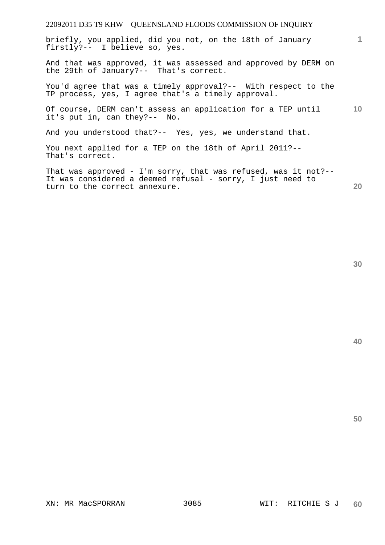briefly, you applied, did you not, on the 18th of January firstly?-- I believe so, yes.

And that was approved, it was assessed and approved by DERM on the 29th of January?-- That's correct.

You'd agree that was a timely approval?-- With respect to the TP process, yes, I agree that's a timely approval.

**10**  Of course, DERM can't assess an application for a TEP until it's put in, can they?-- No.

And you understood that?-- Yes, yes, we understand that.

You next applied for a TEP on the 18th of April 2011?-- That's correct.

That was approved - I'm sorry, that was refused, was it not?-- It was considered a deemed refusal - sorry, I just need to turn to the correct annexure.

**30** 

**20** 

**1**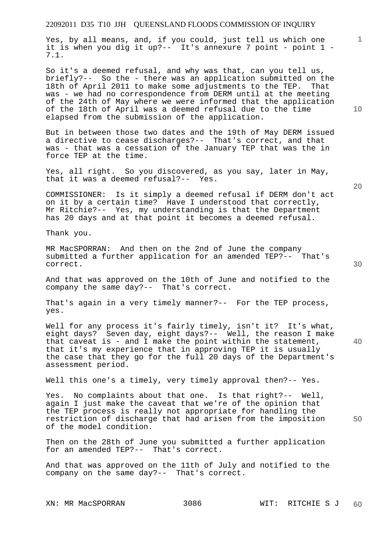Yes, by all means, and, if you could, just tell us which one it is when you dig it up?-- It's annexure 7 point - point 1 -7.1.

So it's a deemed refusal, and why was that, can you tell us, briefly?-- So the - there was an application submitted on the 18th of April 2011 to make some adjustments to the TEP. That was - we had no correspondence from DERM until at the meeting of the 24th of May where we were informed that the application of the 18th of April was a deemed refusal due to the time elapsed from the submission of the application.

But in between those two dates and the 19th of May DERM issued a directive to cease discharges?-- That's correct, and that was - that was a cessation of the January TEP that was the in force TEP at the time.

Yes, all right. So you discovered, as you say, later in May, that it was a deemed refusal?-- Yes.

COMMISSIONER: Is it simply a deemed refusal if DERM don't act on it by a certain time? Have I understood that correctly, Mr Ritchie?-- Yes, my understanding is that the Department has 20 days and at that point it becomes a deemed refusal.

Thank you.

MR MacSPORRAN: And then on the 2nd of June the company submitted a further application for an amended TEP?-- That's correct.

And that was approved on the 10th of June and notified to the company the same day?-- That's correct.

That's again in a very timely manner?-- For the TEP process, yes.

Well for any process it's fairly timely, isn't it? It's what, eight days? Seven day, eight days?-- Well, the reason I make that caveat is - and I make the point within the statement, that it's my experience that in approving TEP it is usually the case that they go for the full 20 days of the Department's assessment period.

Well this one's a timely, very timely approval then?-- Yes.

Yes. No complaints about that one. Is that right?-- Well, again I just make the caveat that we're of the opinion that the TEP process is really not appropriate for handling the restriction of discharge that had arisen from the imposition of the model condition.

Then on the 28th of June you submitted a further application for an amended TEP?-- That's correct.

And that was approved on the 11th of July and notified to the company on the same day?-- That's correct.

**10** 

**1**

**40** 

**50**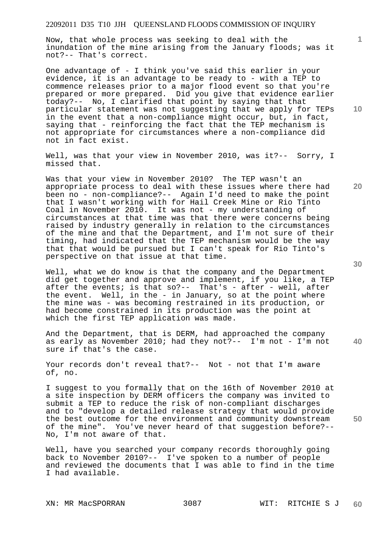Now, that whole process was seeking to deal with the inundation of the mine arising from the January floods; was it not?-- That's correct.

One advantage of - I think you've said this earlier in your evidence, it is an advantage to be ready to - with a TEP to commence releases prior to a major flood event so that you're prepared or more prepared. Did you give that evidence earlier today?-- No, I clarified that point by saying that that particular statement was not suggesting that we apply for TEPs in the event that a non-compliance might occur, but, in fact, saying that - reinforcing the fact that the TEP mechanism is not appropriate for circumstances where a non-compliance did not in fact exist.

Well, was that your view in November 2010, was it?-- Sorry, I missed that.

Was that your view in November 2010? The TEP wasn't an appropriate process to deal with these issues where there had been no - non-compliance?-- Again I'd need to make the point that I wasn't working with for Hail Creek Mine or Rio Tinto Coal in November 2010. It was not - my understanding of circumstances at that time was that there were concerns being raised by industry generally in relation to the circumstances of the mine and that the Department, and I'm not sure of their timing, had indicated that the TEP mechanism would be the way that that would be pursued but I can't speak for Rio Tinto's perspective on that issue at that time.

Well, what we do know is that the company and the Department did get together and approve and implement, if you like, a TEP after the events; is that so?-- That's - after - well, after the event. Well, in the - in January, so at the point where the mine was - was becoming restrained in its production, or had become constrained in its production was the point at which the first TEP application was made.

**40**  And the Department, that is DERM, had approached the company as early as November 2010; had they not?-- I'm not - I'm not sure if that's the case.

Your records don't reveal that?-- Not - not that I'm aware of, no.

I suggest to you formally that on the 16th of November 2010 at a site inspection by DERM officers the company was invited to submit a TEP to reduce the risk of non-compliant discharges and to "develop a detailed release strategy that would provide the best outcome for the environment and community downstream of the mine". You've never heard of that suggestion before?-- No, I'm not aware of that.

Well, have you searched your company records thoroughly going back to November 2010?-- I've spoken to a number of people and reviewed the documents that I was able to find in the time I had available.

**30** 

**50** 

**20** 

**10**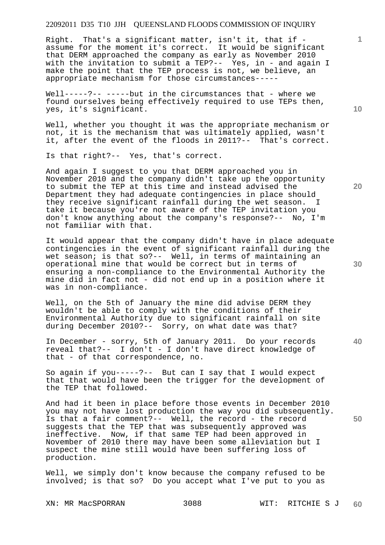Right. That's a significant matter, isn't it, that if assume for the moment it's correct. It would be significant that DERM approached the company as early as November 2010 with the invitation to submit a TEP?-- Yes, in - and again I make the point that the TEP process is not, we believe, an appropriate mechanism for those circumstances-----

Well-----?-- -----but in the circumstances that - where we found ourselves being effectively required to use TEPs then, yes, it's significant.

Well, whether you thought it was the appropriate mechanism or not, it is the mechanism that was ultimately applied, wasn't it, after the event of the floods in 2011?-- That's correct.

Is that right?-- Yes, that's correct.

And again I suggest to you that DERM approached you in November 2010 and the company didn't take up the opportunity to submit the TEP at this time and instead advised the Department they had adequate contingencies in place should they receive significant rainfall during the wet season. I take it because you're not aware of the TEP invitation you don't know anything about the company's response?-- No, I'm not familiar with that.

It would appear that the company didn't have in place adequate contingencies in the event of significant rainfall during the wet season; is that so?-- Well, in terms of maintaining an operational mine that would be correct but in terms of ensuring a non-compliance to the Environmental Authority the mine did in fact not - did not end up in a position where it was in non-compliance.

Well, on the 5th of January the mine did advise DERM they wouldn't be able to comply with the conditions of their Environmental Authority due to significant rainfall on site during December 2010?-- Sorry, on what date was that?

In December - sorry, 5th of January 2011. Do your records reveal that?-- I don't - I don't have direct knowledge of that - of that correspondence, no.

So again if you-----?-- But can I say that I would expect that that would have been the trigger for the development of the TEP that followed.

And had it been in place before those events in December 2010 you may not have lost production the way you did subsequently. Is that a fair comment?-- Well, the record - the record suggests that the TEP that was subsequently approved was ineffective. Now, if that same TEP had been approved in November of 2010 there may have been some alleviation but I suspect the mine still would have been suffering loss of production.

Well, we simply don't know because the company refused to be involved; is that so? Do you accept what I've put to you as

XN: MR MacSPORRAN 3088 WIT: RITCHIE S J

**10** 

**1**

**20** 

**30** 

**40**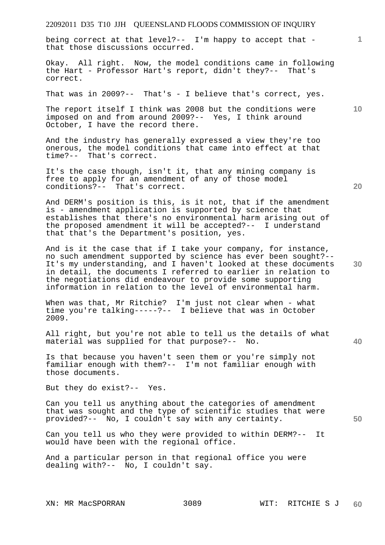being correct at that level?-- I'm happy to accept that that those discussions occurred.

Okay. All right. Now, the model conditions came in following the Hart - Professor Hart's report, didn't they?-- That's correct.

That was in 2009?-- That's - I believe that's correct, yes.

The report itself I think was 2008 but the conditions were imposed on and from around 2009?-- Yes, I think around October, I have the record there.

And the industry has generally expressed a view they're too onerous, the model conditions that came into effect at that time?-- That's correct.

It's the case though, isn't it, that any mining company is free to apply for an amendment of any of those model conditions?-- That's correct.

And DERM's position is this, is it not, that if the amendment is - amendment application is supported by science that establishes that there's no environmental harm arising out of the proposed amendment it will be accepted?-- I understand that that's the Department's position, yes.

And is it the case that if I take your company, for instance, no such amendment supported by science has ever been sought?-- It's my understanding, and I haven't looked at these documents in detail, the documents I referred to earlier in relation to the negotiations did endeavour to provide some supporting information in relation to the level of environmental harm.

When was that, Mr Ritchie? I'm just not clear when - what time you're talking-----?-- I believe that was in October 2009.

All right, but you're not able to tell us the details of what material was supplied for that purpose?-- No.

Is that because you haven't seen them or you're simply not familiar enough with them?-- I'm not familiar enough with those documents.

But they do exist?-- Yes.

Can you tell us anything about the categories of amendment that was sought and the type of scientific studies that were provided?-- No, I couldn't say with any certainty.

Can you tell us who they were provided to within DERM?-- It would have been with the regional office.

And a particular person in that regional office you were dealing with?-- No, I couldn't say.

**10** 

**1**

**40**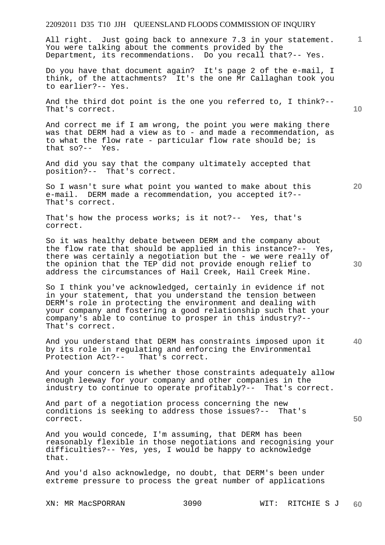All right. Just going back to annexure 7.3 in your statement. You were talking about the comments provided by the Department, its recommendations. Do you recall that?-- Yes.

Do you have that document again? It's page 2 of the e-mail, I think, of the attachments? It's the one Mr Callaghan took you to earlier?-- Yes.

And the third dot point is the one you referred to, I think?-- That's correct.

And correct me if I am wrong, the point you were making there was that DERM had a view as to - and made a recommendation, as to what the flow rate - particular flow rate should be; is that so?-- Yes.

And did you say that the company ultimately accepted that position?-- That's correct.

So I wasn't sure what point you wanted to make about this e-mail. DERM made a recommendation, you accepted it?-- That's correct.

That's how the process works; is it not?-- Yes, that's correct.

So it was healthy debate between DERM and the company about the flow rate that should be applied in this instance?-- Yes, there was certainly a negotiation but the - we were really of the opinion that the TEP did not provide enough relief to address the circumstances of Hail Creek, Hail Creek Mine.

So I think you've acknowledged, certainly in evidence if not in your statement, that you understand the tension between DERM's role in protecting the environment and dealing with your company and fostering a good relationship such that your company's able to continue to prosper in this industry?-- That's correct.

**40**  And you understand that DERM has constraints imposed upon it by its role in regulating and enforcing the Environmental Protection Act?-- That's correct.

And your concern is whether those constraints adequately allow enough leeway for your company and other companies in the industry to continue to operate profitably?-- That's correct.

And part of a negotiation process concerning the new conditions is seeking to address those issues?-- That's correct.

And you would concede, I'm assuming, that DERM has been reasonably flexible in those negotiations and recognising your difficulties?-- Yes, yes, I would be happy to acknowledge that.

And you'd also acknowledge, no doubt, that DERM's been under extreme pressure to process the great number of applications **10** 

**20** 

**1**

**30**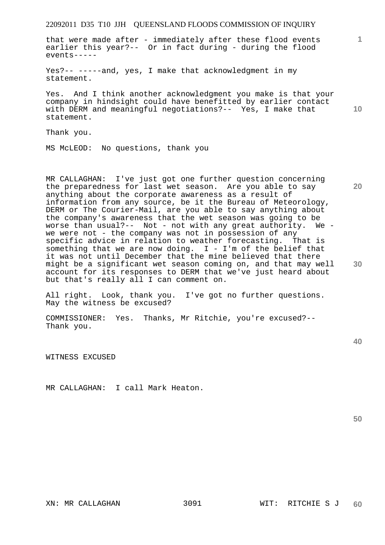that were made after - immediately after these flood events earlier this year?-- Or in fact during - during the flood events-----

Yes?-- -----and, yes, I make that acknowledgment in my statement.

**10**  Yes. And I think another acknowledgment you make is that your company in hindsight could have benefitted by earlier contact with DERM and meaningful negotiations?-- Yes, I make that statement.

Thank you.

MS McLEOD: No questions, thank you

MR CALLAGHAN: I've just got one further question concerning the preparedness for last wet season. Are you able to say anything about the corporate awareness as a result of information from any source, be it the Bureau of Meteorology, DERM or The Courier-Mail, are you able to say anything about the company's awareness that the wet season was going to be worse than usual?-- Not - not with any great authority. We worse than usual?--  $\overline{Not}$  - not with any great authority. we were not - the company was not in possession of any specific advice in relation to weather forecasting. That is something that we are now doing.  $I - I'm$  of the belief that it was not until December that the mine believed that there might be a significant wet season coming on, and that may well account for its responses to DERM that we've just heard about but that's really all I can comment on.

All right. Look, thank you. I've got no further questions. May the witness be excused?

COMMISSIONER: Yes. Thanks, Mr Ritchie, you're excused?-- Thank you.

WITNESS EXCUSED

MR CALLAGHAN: I call Mark Heaton.

**50** 

**20** 

**1**

**30**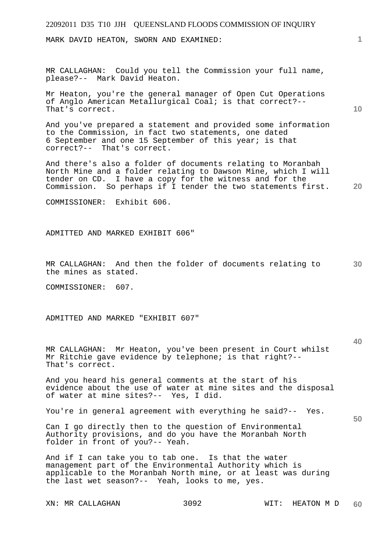MARK DAVID HEATON, SWORN AND EXAMINED:

MR CALLAGHAN: Could you tell the Commission your full name, please?-- Mark David Heaton.

Mr Heaton, you're the general manager of Open Cut Operations of Anglo American Metallurgical Coal; is that correct?-- That's correct.

And you've prepared a statement and provided some information to the Commission, in fact two statements, one dated 6 September and one 15 September of this year; is that correct?-- That's correct.

And there's also a folder of documents relating to Moranbah North Mine and a folder relating to Dawson Mine, which I will tender on CD. I have a copy for the witness and for the Commission. So perhaps if I tender the two statements first.

COMMISSIONER: Exhibit 606.

ADMITTED AND MARKED EXHIBIT 606"

**30**  MR CALLAGHAN: And then the folder of documents relating to the mines as stated.

COMMISSIONER: 607.

ADMITTED AND MARKED "EXHIBIT 607"

MR CALLAGHAN: Mr Heaton, you've been present in Court whilst Mr Ritchie gave evidence by telephone; is that right?-- That's correct.

And you heard his general comments at the start of his evidence about the use of water at mine sites and the disposal of water at mine sites?-- Yes, I did.

You're in general agreement with everything he said?-- Yes.

Can I go directly then to the question of Environmental Authority provisions, and do you have the Moranbah North folder in front of you?-- Yeah.

And if I can take you to tab one. Is that the water management part of the Environmental Authority which is applicable to the Moranbah North mine, or at least was during the last wet season?-- Yeah, looks to me, yes.

**1**

**10** 

**40** 

**50**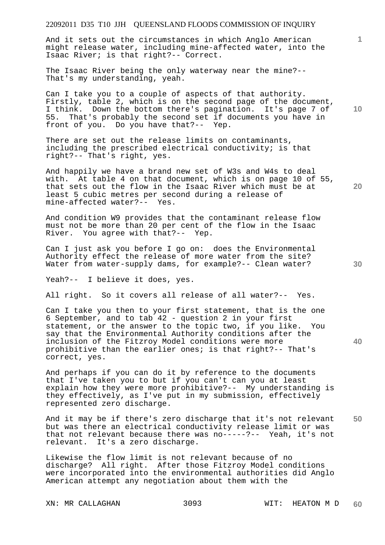And it sets out the circumstances in which Anglo American might release water, including mine-affected water, into the Isaac River; is that right?-- Correct.

The Isaac River being the only waterway near the mine?-- That's my understanding, yeah.

Can I take you to a couple of aspects of that authority. Firstly, table 2, which is on the second page of the document, I think. Down the bottom there's pagination. It's page 7 of 55. That's probably the second set if documents you have in front of you. Do you have that?-- Yep.

There are set out the release limits on contaminants, including the prescribed electrical conductivity; is that right?-- That's right, yes.

And happily we have a brand new set of W3s and W4s to deal with. At table 4 on that document, which is on page 10 of 55, that sets out the flow in the Isaac River which must be at least 5 cubic metres per second during a release of mine-affected water?-- Yes.

And condition W9 provides that the contaminant release flow must not be more than 20 per cent of the flow in the Isaac River. You agree with that?-- Yep.

Can I just ask you before I go on: does the Environmental Authority effect the release of more water from the site? Water from water-supply dams, for example?-- Clean water?

Yeah?-- I believe it does, yes.

All right. So it covers all release of all water?-- Yes.

Can I take you then to your first statement, that is the one 6 September, and to tab 42 - question 2 in your first statement, or the answer to the topic two, if you like. You say that the Environmental Authority conditions after the inclusion of the Fitzroy Model conditions were more prohibitive than the earlier ones; is that right?-- That's correct, yes.

And perhaps if you can do it by reference to the documents that I've taken you to but if you can't can you at least explain how they were more prohibitive?-- My understanding is they effectively, as I've put in my submission, effectively represented zero discharge.

**50**  And it may be if there's zero discharge that it's not relevant but was there an electrical conductivity release limit or was that not relevant because there was no-----?-- Yeah, it's not relevant. It's a zero discharge.

Likewise the flow limit is not relevant because of no discharge? All right. After those Fitzroy Model conditions were incorporated into the environmental authorities did Anglo American attempt any negotiation about them with the

XN: MR CALLAGHAN 3093 WIT: HEATON M D

**10** 

**1**

**20**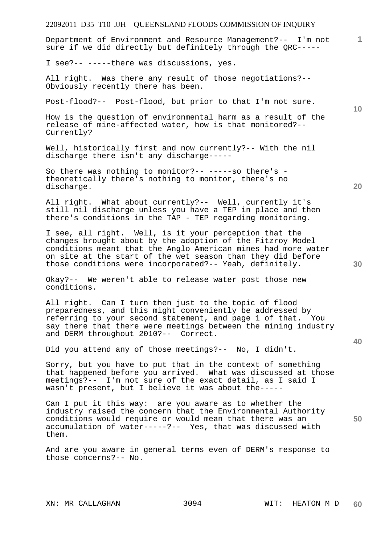**1 10 20 30 40 50**  Department of Environment and Resource Management?-- I'm not sure if we did directly but definitely through the QRC----- I see?-- -----there was discussions, yes. All right. Was there any result of those negotiations?-- Obviously recently there has been. Post-flood?-- Post-flood, but prior to that I'm not sure. How is the question of environmental harm as a result of the release of mine-affected water, how is that monitored?-- Currently? Well, historically first and now currently?-- With the nil discharge there isn't any discharge----- So there was nothing to monitor?-- -----so there's theoretically there's nothing to monitor, there's no discharge. All right. What about currently?-- Well, currently it's still nil discharge unless you have a TEP in place and then there's conditions in the TAP - TEP regarding monitoring. I see, all right. Well, is it your perception that the changes brought about by the adoption of the Fitzroy Model conditions meant that the Anglo American mines had more water on site at the start of the wet season than they did before those conditions were incorporated?-- Yeah, definitely. Okay?-- We weren't able to release water post those new conditions. All right. Can I turn then just to the topic of flood preparedness, and this might conveniently be addressed by referring to your second statement, and page 1 of that. You say there that there were meetings between the mining industry and DERM throughout 2010?-- Correct. Did you attend any of those meetings?-- No, I didn't. Sorry, but you have to put that in the context of something that happened before you arrived. What was discussed at those meetings?-- I'm not sure of the exact detail, as I said I wasn't present, but I believe it was about the----- Can I put it this way: are you aware as to whether the industry raised the concern that the Environmental Authority conditions would require or would mean that there was an accumulation of water-----?-- Yes, that was discussed with them. And are you aware in general terms even of DERM's response to those concerns?-- No.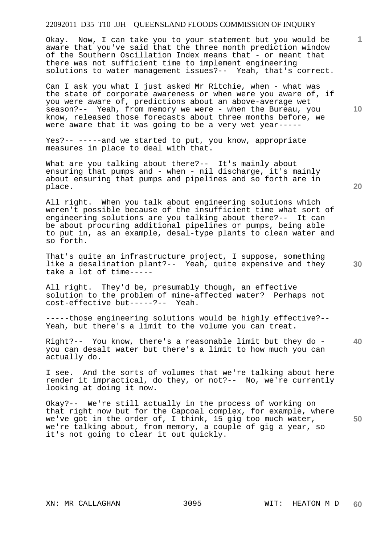Okay. Now, I can take you to your statement but you would be aware that you've said that the three month prediction window of the Southern Oscillation Index means that - or meant that there was not sufficient time to implement engineering solutions to water management issues?-- Yeah, that's correct.

Can I ask you what I just asked Mr Ritchie, when - what was the state of corporate awareness or when were you aware of, if you were aware of, predictions about an above-average wet season?-- Yeah, from memory we were - when the Bureau, you know, released those forecasts about three months before, we were aware that it was going to be a very wet year-----

Yes?-- -----and we started to put, you know, appropriate measures in place to deal with that.

What are you talking about there?-- It's mainly about ensuring that pumps and - when - nil discharge, it's mainly about ensuring that pumps and pipelines and so forth are in place.

All right. When you talk about engineering solutions which weren't possible because of the insufficient time what sort of engineering solutions are you talking about there?-- It can be about procuring additional pipelines or pumps, being able to put in, as an example, desal-type plants to clean water and so forth.

That's quite an infrastructure project, I suppose, something like a desalination plant?-- Yeah, quite expensive and they take a lot of time-----

All right. They'd be, presumably though, an effective solution to the problem of mine-affected water? Perhaps not cost-effective but-----?-- Yeah.

-----those engineering solutions would be highly effective?-- Yeah, but there's a limit to the volume you can treat.

**40**  Right?-- You know, there's a reasonable limit but they do you can desalt water but there's a limit to how much you can actually do.

I see. And the sorts of volumes that we're talking about here render it impractical, do they, or not?-- No, we're currently looking at doing it now.

**50**  Okay?-- We're still actually in the process of working on that right now but for the Capcoal complex, for example, where we've got in the order of, I think, 15 gig too much water, we're talking about, from memory, a couple of gig a year, so it's not going to clear it out quickly.

**20** 

**10** 

**1**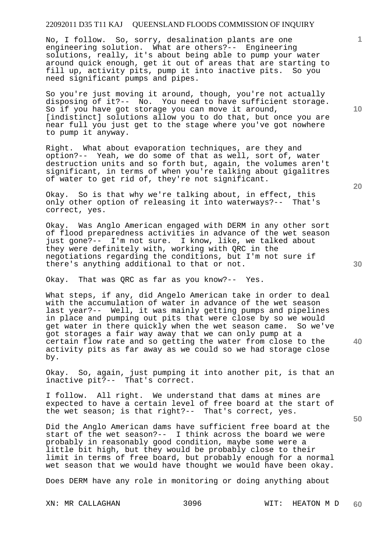No, I follow. So, sorry, desalination plants are one engineering solution. What are others?-- Engineering solutions, really, it's about being able to pump your water around quick enough, get it out of areas that are starting to fill up, activity pits, pump it into inactive pits. So you need significant pumps and pipes.

So you're just moving it around, though, you're not actually disposing of it?-- No. You need to have sufficient storage. So if you have got storage you can move it around, [indistinct] solutions allow you to do that, but once you are near full you just get to the stage where you've got nowhere to pump it anyway.

Right. What about evaporation techniques, are they and option?-- Yeah, we do some of that as well, sort of, water destruction units and so forth but, again, the volumes aren't significant, in terms of when you're talking about gigalitres of water to get rid of, they're not significant.

Okay. So is that why we're talking about, in effect, this only other option of releasing it into waterways?-- That's correct, yes.

Okay. Was Anglo American engaged with DERM in any other sort of flood preparedness activities in advance of the wet season just gone?-- I'm not sure. I know, like, we talked about they were definitely with, working with QRC in the negotiations regarding the conditions, but I'm not sure if there's anything additional to that or not.

Okay. That was QRC as far as you know?-- Yes.

What steps, if any, did Angelo American take in order to deal with the accumulation of water in advance of the wet season last year?-- Well, it was mainly getting pumps and pipelines in place and pumping out pits that were close by so we would get water in there quickly when the wet season came. So we've got storages a fair way away that we can only pump at a certain flow rate and so getting the water from close to the activity pits as far away as we could so we had storage close by.

Okay. So, again, just pumping it into another pit, is that an inactive pit?-- That's correct.

I follow. All right. We understand that dams at mines are expected to have a certain level of free board at the start of the wet season; is that right?-- That's correct, yes.

Did the Anglo American dams have sufficient free board at the start of the wet season?-- I think across the board we were probably in reasonably good condition, maybe some were a little bit high, but they would be probably close to their limit in terms of free board, but probably enough for a normal wet season that we would have thought we would have been okay.

Does DERM have any role in monitoring or doing anything about

**10** 

**1**

**20** 

**30**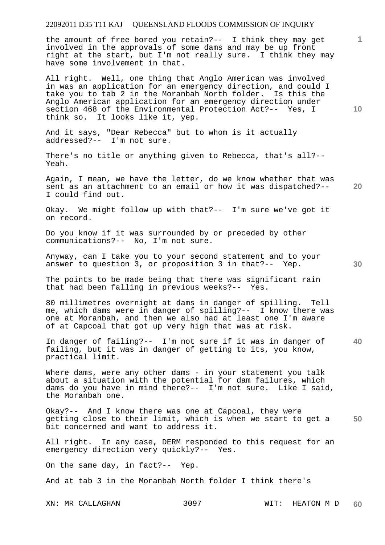the amount of free bored you retain?-- I think they may get involved in the approvals of some dams and may be up front right at the start, but I'm not really sure. I think they may have some involvement in that.

All right. Well, one thing that Anglo American was involved in was an application for an emergency direction, and could I take you to tab 2 in the Moranbah North folder. Is this the Anglo American application for an emergency direction under section 468 of the Environmental Protection Act?-- Yes, I think so. It looks like it, yep.

And it says, "Dear Rebecca" but to whom is it actually addressed?-- I'm not sure.

There's no title or anything given to Rebecca, that's all?-- Yeah.

**20**  Again, I mean, we have the letter, do we know whether that was sent as an attachment to an email or how it was dispatched?-- I could find out.

Okay. We might follow up with that?-- I'm sure we've got it on record.

Do you know if it was surrounded by or preceded by other communications?-- No, I'm not sure.

Anyway, can I take you to your second statement and to your answer to question 3, or proposition 3 in that?-- Yep.

The points to be made being that there was significant rain that had been falling in previous weeks?-- Yes.

80 millimetres overnight at dams in danger of spilling. Tell me, which dams were in danger of spilling?-- I know there was one at Moranbah, and then we also had at least one I'm aware of at Capcoal that got up very high that was at risk.

In danger of failing?-- I'm not sure if it was in danger of failing, but it was in danger of getting to its, you know, practical limit.

Where dams, were any other dams - in your statement you talk about a situation with the potential for dam failures, which dams do you have in mind there?-- I'm not sure. Like I said, the Moranbah one.

**50**  Okay?-- And I know there was one at Capcoal, they were getting close to their limit, which is when we start to get a bit concerned and want to address it.

All right. In any case, DERM responded to this request for an emergency direction very quickly?-- Yes.

On the same day, in fact?-- Yep.

And at tab 3 in the Moranbah North folder I think there's

XN: MR CALLAGHAN 3097 WIT: HEATON M D **60** 

**30** 

**1**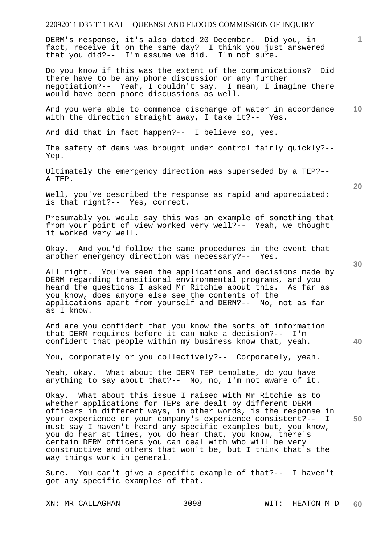DERM's response, it's also dated 20 December. Did you, in fact, receive it on the same day? I think you just answered that you did?-- I'm assume we did. I'm not sure.

Do you know if this was the extent of the communications? Did there have to be any phone discussion or any further negotiation?-- Yeah, I couldn't say. I mean, I imagine there would have been phone discussions as well.

**10**  And you were able to commence discharge of water in accordance with the direction straight away, I take it?-- Yes.

And did that in fact happen?-- I believe so, yes.

The safety of dams was brought under control fairly quickly?-- Yep.

Ultimately the emergency direction was superseded by a TEP?-- A TEP.

Well, you've described the response as rapid and appreciated; is that right?-- Yes, correct.

Presumably you would say this was an example of something that from your point of view worked very well?-- Yeah, we thought it worked very well.

Okay. And you'd follow the same procedures in the event that another emergency direction was necessary?-- Yes.

All right. You've seen the applications and decisions made by DERM regarding transitional environmental programs, and you heard the questions I asked Mr Ritchie about this. As far as you know, does anyone else see the contents of the applications apart from yourself and DERM?-- No, not as far as I know.

And are you confident that you know the sorts of information that DERM requires before it can make a decision?-- I'm confident that people within my business know that, yeah.

You, corporately or you collectively?-- Corporately, yeah.

Yeah, okay. What about the DERM TEP template, do you have anything to say about that?-- No, no, I'm not aware of it.

Okay. What about this issue I raised with Mr Ritchie as to whether applications for TEPs are dealt by different DERM officers in different ways, in other words, is the response in your experience or your company's experience consistent?-- I must say I haven't heard any specific examples but, you know, you do hear at times, you do hear that, you know, there's certain DERM officers you can deal with who will be very constructive and others that won't be, but I think that's the way things work in general.

Sure. You can't give a specific example of that?-- I haven't got any specific examples of that.

XN: MR CALLAGHAN 3098 WIT: HEATON M D

**20** 

**1**

**40**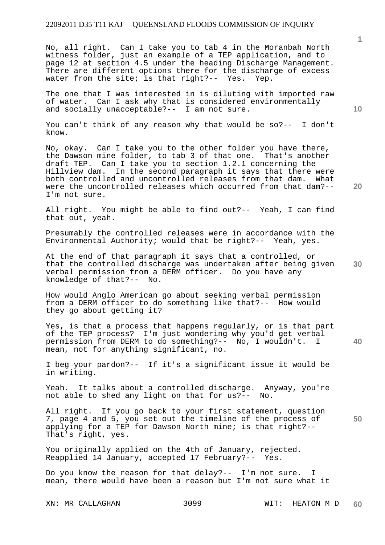No, all right. Can I take you to tab 4 in the Moranbah North witness folder, just an example of a TEP application, and to page 12 at section 4.5 under the heading Discharge Management. There are different options there for the discharge of excess<br>water from the site; is that right?-- Yes. Yep. water from the site; is that right?-- Yes. Yep.

The one that I was interested in is diluting with imported raw of water. Can I ask why that is considered environmentally and socially unacceptable?-- I am not sure.

You can't think of any reason why that would be so?-- I don't know.

No, okay. Can I take you to the other folder you have there, the Dawson mine folder, to tab 3 of that one. That's another draft TEP. Can I take you to section 1.2.1 concerning the Hillview dam. In the second paragraph it says that there were both controlled and uncontrolled releases from that dam. What were the uncontrolled releases which occurred from that dam?-- I'm not sure.

All right. You might be able to find out?-- Yeah, I can find that out, yeah.

Presumably the controlled releases were in accordance with the Environmental Authority; would that be right?-- Yeah, yes.

**30**  At the end of that paragraph it says that a controlled, or that the controlled discharge was undertaken after being given verbal permission from a DERM officer. Do you have any knowledge of that?-- No.

How would Anglo American go about seeking verbal permission from a DERM officer to do something like that?-- How would they go about getting it?

**40**  Yes, is that a process that happens regularly, or is that part of the TEP process? I'm just wondering why you'd get verbal permission from DERM to do something?-- No, I wouldn't. I mean, not for anything significant, no.

I beg your pardon?-- If it's a significant issue it would be in writing.

Yeah. It talks about a controlled discharge. Anyway, you're not able to shed any light on that for us?-- No.

**50**  All right. If you go back to your first statement, question 7, page 4 and 5, you set out the timeline of the process of applying for a TEP for Dawson North mine; is that right?-- That's right, yes.

You originally applied on the 4th of January, rejected. Reapplied 14 January, accepted 17 February?-- Yes.

Do you know the reason for that delay?-- I'm not sure. I mean, there would have been a reason but I'm not sure what it

**10**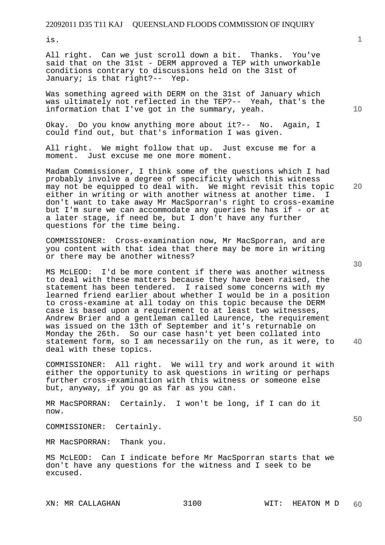is.

All right. Can we just scroll down a bit. Thanks. You've said that on the 31st - DERM approved a TEP with unworkable conditions contrary to discussions held on the 31st of January; is that right?-- Yep.

Was something agreed with DERM on the 31st of January which was ultimately not reflected in the TEP?-- Yeah, that's the information that I've got in the summary, yeah.

Okay. Do you know anything more about it?-- No. Again, I could find out, but that's information I was given.

All right. We might follow that up. Just excuse me for a moment. Just excuse me one more moment.

Madam Commissioner, I think some of the questions which I had probably involve a degree of specificity which this witness may not be equipped to deal with. We might revisit this topic either in writing or with another witness at another time. don't want to take away Mr MacSporran's right to cross-examine but I'm sure we can accommodate any queries he has if - or at a later stage, if need be, but I don't have any further questions for the time being.

COMMISSIONER: Cross-examination now, Mr MacSporran, and are you content with that idea that there may be more in writing or there may be another witness?

MS McLEOD: I'd be more content if there was another witness to deal with these matters because they have been raised, the statement has been tendered. I raised some concerns with my learned friend earlier about whether I would be in a position to cross-examine at all today on this topic because the DERM case is based upon a requirement to at least two witnesses, Andrew Brier and a gentleman called Laurence, the requirement was issued on the 13th of September and it's returnable on Monday the 26th. So our case hasn't yet been collated into statement form, so I am necessarily on the run, as it were, to deal with these topics.

COMMISSIONER: All right. We will try and work around it with either the opportunity to ask questions in writing or perhaps further cross-examination with this witness or someone else but, anyway, if you go as far as you can.

MR MacSPORRAN: Certainly. I won't be long, if I can do it now.

COMMISSIONER: Certainly.

MR MacSPORRAN: Thank you.

MS McLEOD: Can I indicate before Mr MacSporran starts that we don't have any questions for the witness and I seek to be excused.

**10** 

**20** 

**40**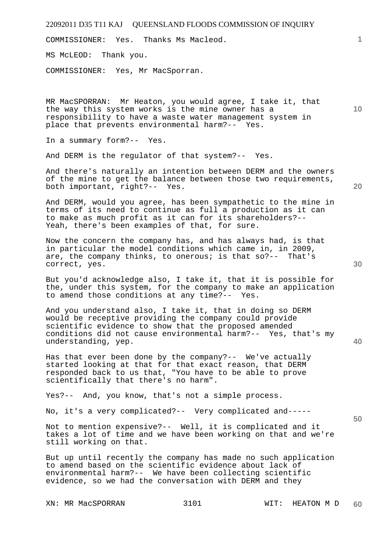| 22092011 D35 T11 KAJ QUEENSLAND FLOODS COMMISSION OF INQUIRY                                                                                                                                                                                                         |                 |
|----------------------------------------------------------------------------------------------------------------------------------------------------------------------------------------------------------------------------------------------------------------------|-----------------|
| COMMISSIONER: Yes. Thanks Ms Macleod.                                                                                                                                                                                                                                | 1               |
| MS McLEOD: Thank you.                                                                                                                                                                                                                                                |                 |
| COMMISSIONER: Yes, Mr MacSporran.                                                                                                                                                                                                                                    |                 |
| MR MacSPORRAN: Mr Heaton, you would agree, I take it, that<br>the way this system works is the mine owner has a<br>responsibility to have a waste water management system in<br>place that prevents environmental harm?-- Yes.                                       | 10 <sup>°</sup> |
| In a summary form?-- Yes.                                                                                                                                                                                                                                            |                 |
| And DERM is the requlator of that system?-- Yes.                                                                                                                                                                                                                     |                 |
| And there's naturally an intention between DERM and the owners<br>of the mine to get the balance between those two requirements,<br>both important, right?-- Yes.                                                                                                    | 20              |
| And DERM, would you agree, has been sympathetic to the mine in<br>terms of its need to continue as full a production as it can<br>to make as much profit as it can for its shareholders?--<br>Yeah, there's been examples of that, for sure.                         |                 |
| Now the concern the company has, and has always had, is that<br>in particular the model conditions which came in, in 2009,<br>are, the company thinks, to onerous; is that so?-- That's<br>correct, yes.                                                             | 30              |
| But you'd acknowledge also, I take it, that it is possible for<br>the, under this system, for the company to make an application<br>to amend those conditions at any time?-- Yes.                                                                                    |                 |
| And you understand also, I take it, that in doing so DERM<br>would be receptive providing the company could provide<br>scientific evidence to show that the proposed amended<br>conditions did not cause environmental harm?-- Yes, that's my<br>understanding, yep. | 40              |
| Has that ever been done by the company?-- We've actually<br>started looking at that for that exact reason, that DERM<br>responded back to us that, "You have to be able to prove<br>scientifically that there's no harm".                                            |                 |
| Yes?-- And, you know, that's not a simple process.                                                                                                                                                                                                                   |                 |
| No, it's a very complicated?-- Very complicated and-----                                                                                                                                                                                                             | 50              |
| Not to mention expensive?-- Well, it is complicated and it<br>takes a lot of time and we have been working on that and we're<br>still working on that.                                                                                                               |                 |
| But up until recently the company has made no such application<br>to amend based on the scientific evidence about lack of<br>environmental harm?-- We have been collecting scientific<br>evidence, so we had the conversation with DERM and they                     |                 |

XN: MR MacSPORRAN 3101 WIT: HEATON M D **60**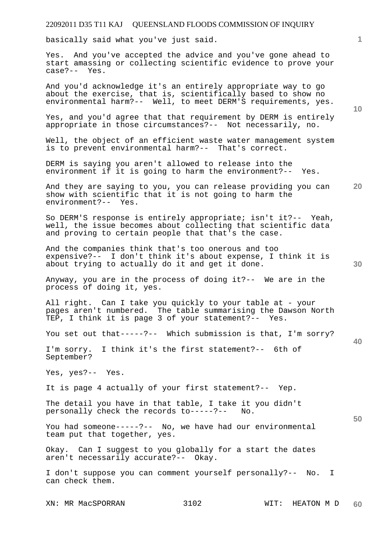basically said what you've just said.

Yes. And you've accepted the advice and you've gone ahead to start amassing or collecting scientific evidence to prove your case?-- Yes.

And you'd acknowledge it's an entirely appropriate way to go about the exercise, that is, scientifically based to show no environmental harm?-- Well, to meet DERM'S requirements, yes.

Yes, and you'd agree that that requirement by DERM is entirely appropriate in those circumstances?-- Not necessarily, no.

Well, the object of an efficient waste water management system is to prevent environmental harm?-- That's correct.

DERM is saying you aren't allowed to release into the environment if it is going to harm the environment?-- Yes.

And they are saying to you, you can release providing you can show with scientific that it is not going to harm the environment?-- Yes.

So DERM'S response is entirely appropriate; isn't it?-- Yeah, well, the issue becomes about collecting that scientific data and proving to certain people that that's the case.

And the companies think that's too onerous and too expensive?-- I don't think it's about expense, I think it is about trying to actually do it and get it done.

Anyway, you are in the process of doing it?-- We are in the process of doing it, yes.

All right. Can I take you quickly to your table at - your pages aren't numbered. The table summarising the Dawson North TEP, I think it is page 3 of your statement?-- Yes.

You set out that-----?-- Which submission is that, I'm sorry?

I'm sorry. I think it's the first statement?-- 6th of September?

Yes, yes?-- Yes.

It is page 4 actually of your first statement?-- Yep.

The detail you have in that table, I take it you didn't personally check the records to-----?-- No.

You had someone-----?-- No, we have had our environmental team put that together, yes.

Okay. Can I suggest to you globally for a start the dates aren't necessarily accurate?-- Okay.

I don't suppose you can comment yourself personally?-- No. I can check them.

XN: MR MacSPORRAN 3102 WIT: HEATON M D

**1**

**10** 

**30** 

**20** 

**50**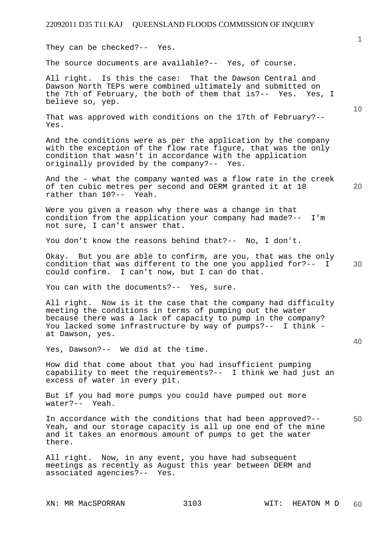They can be checked?-- Yes.

The source documents are available?-- Yes, of course.

All right. Is this the case: That the Dawson Central and Dawson North TEPs were combined ultimately and submitted on the 7th of February, the both of them that is?-- Yes. Yes, I believe so, yep.

That was approved with conditions on the 17th of February?-- Yes.

And the conditions were as per the application by the company with the exception of the flow rate figure, that was the only condition that wasn't in accordance with the application originally provided by the company?-- Yes.

**20**  And the - what the company wanted was a flow rate in the creek of ten cubic metres per second and DERM granted it at 18 rather than 10?-- Yeah.

Were you given a reason why there was a change in that condition from the application your company had made?-- I'm not sure, I can't answer that.

You don't know the reasons behind that?-- No, I don't.

**30**  Okay. But you are able to confirm, are you, that was the only condition that was different to the one you applied for?-- I could confirm. I can't now, but I can do that.

You can with the documents?-- Yes, sure.

All right. Now is it the case that the company had difficulty meeting the conditions in terms of pumping out the water because there was a lack of capacity to pump in the company? You lacked some infrastructure by way of pumps?-- I think at Dawson, yes.

Yes, Dawson?-- We did at the time.

How did that come about that you had insufficient pumping capability to meet the requirements?-- I think we had just an excess of water in every pit.

But if you had more pumps you could have pumped out more water?-- Yeah.

**50**  In accordance with the conditions that had been approved?-- Yeah, and our storage capacity is all up one end of the mine and it takes an enormous amount of pumps to get the water there.

All right. Now, in any event, you have had subsequent meetings as recently as August this year between DERM and associated agencies?-- Yes.

**1**

**10**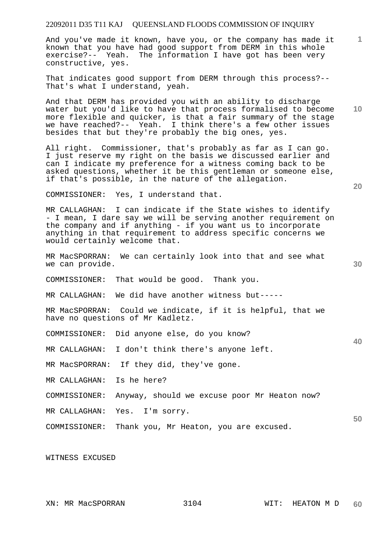And you've made it known, have you, or the company has made it known that you have had good support from DERM in this whole exercise?-- Yeah. The information I have got has been very constructive, yes.

That indicates good support from DERM through this process?-- That's what I understand, yeah.

**10**  And that DERM has provided you with an ability to discharge water but you'd like to have that process formalised to become more flexible and quicker, is that a fair summary of the stage we have reached?-- Yeah. I think there's a few other issues besides that but they're probably the big ones, yes.

All right. Commissioner, that's probably as far as I can go. I just reserve my right on the basis we discussed earlier and can I indicate my preference for a witness coming back to be asked questions, whether it be this gentleman or someone else, if that's possible, in the nature of the allegation.

COMMISSIONER: Yes, I understand that.

MR CALLAGHAN: I can indicate if the State wishes to identify - I mean, I dare say we will be serving another requirement on the company and if anything - if you want us to incorporate anything in that requirement to address specific concerns we would certainly welcome that.

- MR MacSPORRAN: We can certainly look into that and see what we can provide.
- COMMISSIONER: That would be good. Thank you.
- MR CALLAGHAN: We did have another witness but-----

MR MacSPORRAN: Could we indicate, if it is helpful, that we have no questions of Mr Kadletz.

COMMISSIONER: Did anyone else, do you know?

MR CALLAGHAN: I don't think there's anyone left.

MR MacSPORRAN: If they did, they've gone.

MR CALLAGHAN: Is he here?

COMMISSIONER: Anyway, should we excuse poor Mr Heaton now?

MR CALLAGHAN: Yes. I'm sorry.

COMMISSIONER: Thank you, Mr Heaton, you are excused.

WITNESS EXCUSED

**20** 

**1**

**30** 

**50**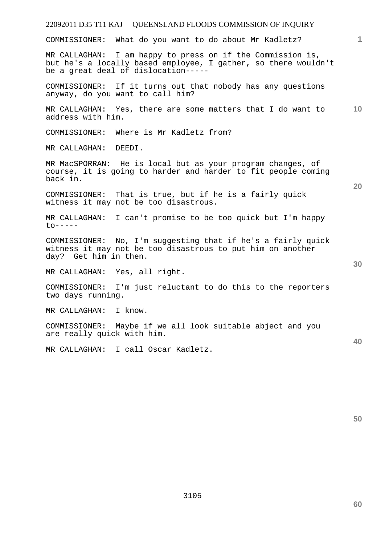COMMISSIONER: What do you want to do about Mr Kadletz?

MR CALLAGHAN: I am happy to press on if the Commission is, but he's a locally based employee, I gather, so there wouldn't be a great deal of dislocation-----

COMMISSIONER: If it turns out that nobody has any questions anyway, do you want to call him?

**10**  MR CALLAGHAN: Yes, there are some matters that I do want to address with him.

COMMISSIONER: Where is Mr Kadletz from?

MR CALLAGHAN: DEEDI.

MR MacSPORRAN: He is local but as your program changes, of course, it is going to harder and harder to fit people coming back in.

COMMISSIONER: That is true, but if he is a fairly quick witness it may not be too disastrous.

MR CALLAGHAN: I can't promise to be too quick but I'm happy  $to-----$ 

COMMISSIONER: No, I'm suggesting that if he's a fairly quick witness it may not be too disastrous to put him on another day? Get him in then.

MR CALLAGHAN: Yes, all right.

COMMISSIONER: I'm just reluctant to do this to the reporters two days running.

MR CALLAGHAN: I know.

COMMISSIONER: Maybe if we all look suitable abject and you are really quick with him.

MR CALLAGHAN: I call Oscar Kadletz.

**50** 

**20** 

**40**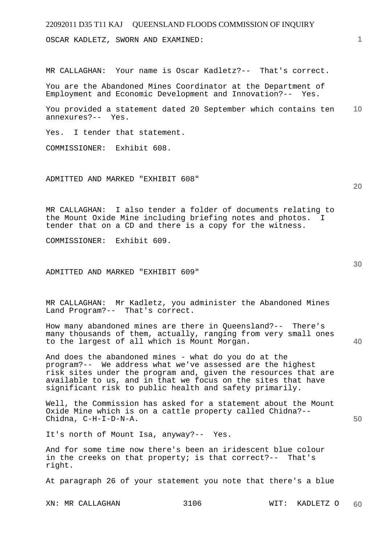OSCAR KADLETZ, SWORN AND EXAMINED:

MR CALLAGHAN: Your name is Oscar Kadletz?-- That's correct.

You are the Abandoned Mines Coordinator at the Department of Employment and Economic Development and Innovation?-- Yes.

**10**  You provided a statement dated 20 September which contains ten annexures?-- Yes.

Yes. I tender that statement.

COMMISSIONER: Exhibit 608.

ADMITTED AND MARKED "EXHIBIT 608"

MR CALLAGHAN: I also tender a folder of documents relating to the Mount Oxide Mine including briefing notes and photos. I tender that on a CD and there is a copy for the witness.

COMMISSIONER: Exhibit 609.

ADMITTED AND MARKED "EXHIBIT 609"

MR CALLAGHAN: Mr Kadletz, you administer the Abandoned Mines Land Program?-- That's correct.

How many abandoned mines are there in Queensland?-- There's many thousands of them, actually, ranging from very small ones to the largest of all which is Mount Morgan.

And does the abandoned mines - what do you do at the program?-- We address what we've assessed are the highest risk sites under the program and, given the resources that are available to us, and in that we focus on the sites that have significant risk to public health and safety primarily.

Well, the Commission has asked for a statement about the Mount Oxide Mine which is on a cattle property called Chidna?-- Chidna, C-H-I-D-N-A.

It's north of Mount Isa, anyway?-- Yes.

And for some time now there's been an iridescent blue colour in the creeks on that property; is that correct?-- That's right.

At paragraph 26 of your statement you note that there's a blue

**20** 

**1**

**40**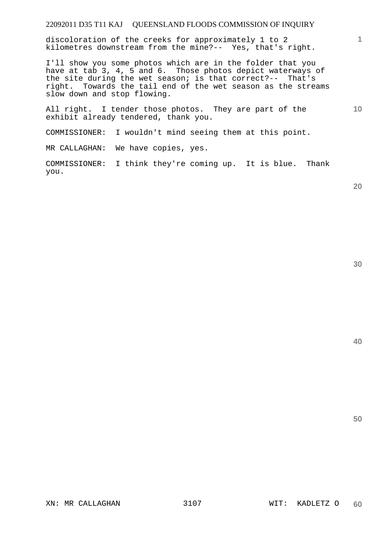discoloration of the creeks for approximately 1 to 2 kilometres downstream from the mine?-- Yes, that's right.

I'll show you some photos which are in the folder that you have at tab 3, 4, 5 and 6. Those photos depict waterways of the site during the wet season; is that correct?-- That's right. Towards the tail end of the wet season as the streams slow down and stop flowing.

All right. I tender those photos. They are part of the exhibit already tendered, thank you.

COMMISSIONER: I wouldn't mind seeing them at this point.

MR CALLAGHAN: We have copies, yes.

COMMISSIONER: I think they're coming up. It is blue. Thank you.

**20** 

**1**

**10** 

**40**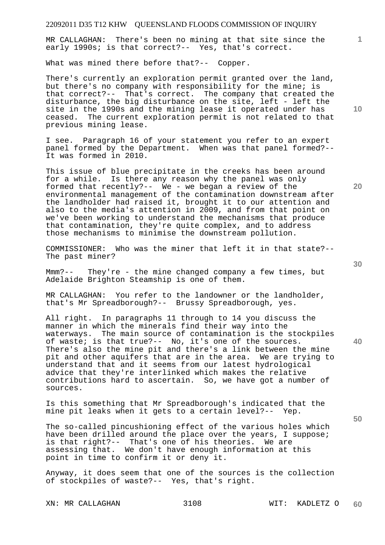MR CALLAGHAN: There's been no mining at that site since the early 1990s; is that correct?-- Yes, that's correct.

What was mined there before that?-- Copper.

There's currently an exploration permit granted over the land, but there's no company with responsibility for the mine; is that correct?-- That's correct. The company that created the disturbance, the big disturbance on the site, left - left the site in the 1990s and the mining lease it operated under has ceased. The current exploration permit is not related to that previous mining lease.

I see. Paragraph 16 of your statement you refer to an expert panel formed by the Department. When was that panel formed?-- It was formed in 2010.

This issue of blue precipitate in the creeks has been around for a while. Is there any reason why the panel was only formed that recently?-- We - we began a review of the environmental management of the contamination downstream after the landholder had raised it, brought it to our attention and also to the media's attention in 2009, and from that point on we've been working to understand the mechanisms that produce that contamination, they're quite complex, and to address those mechanisms to minimise the downstream pollution.

COMMISSIONER: Who was the miner that left it in that state?-- The past miner?

Mmm?-- They're - the mine changed company a few times, but Adelaide Brighton Steamship is one of them.

MR CALLAGHAN: You refer to the landowner or the landholder, that's Mr Spreadborough?-- Brussy Spreadborough, yes.

All right. In paragraphs 11 through to 14 you discuss the manner in which the minerals find their way into the waterways. The main source of contamination is the stockpiles of waste; is that true?-- No, it's one of the sources. There's also the mine pit and there's a link between the mine pit and other aquifers that are in the area. We are trying to understand that and it seems from our latest hydrological advice that they're interlinked which makes the relative contributions hard to ascertain. So, we have got a number of sources.

Is this something that Mr Spreadborough's indicated that the mine pit leaks when it gets to a certain level?-- Yep.

The so-called pincushioning effect of the various holes which have been drilled around the place over the years, I suppose; is that right?-- That's one of his theories. We are assessing that. We don't have enough information at this point in time to confirm it or deny it.

Anyway, it does seem that one of the sources is the collection of stockpiles of waste?-- Yes, that's right.

XN: MR CALLAGHAN 3108 WIT: KADLETZ O

**10** 

**1**

**30** 

**20** 

**50**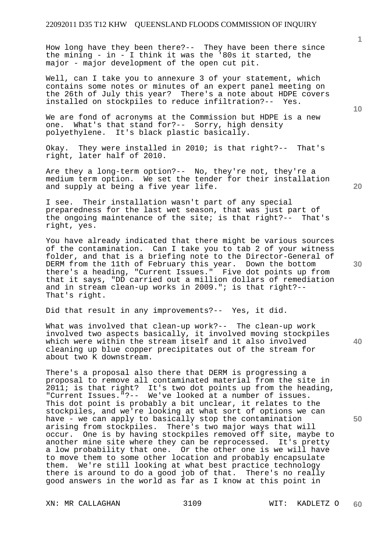How long have they been there?-- They have been there since the mining - in - I think it was the '80s it started, the major - major development of the open cut pit.

Well, can I take you to annexure 3 of your statement, which contains some notes or minutes of an expert panel meeting on the 26th of July this year? There's a note about HDPE covers installed on stockpiles to reduce infiltration?-- Yes.

We are fond of acronyms at the Commission but HDPE is a new one. What's that stand for?-- Sorry, high density polyethylene. It's black plastic basically.

Okay. They were installed in 2010; is that right?-- That's right, later half of 2010.

Are they a long-term option?-- No, they're not, they're a medium term option. We set the tender for their installation and supply at being a five year life.

I see. Their installation wasn't part of any special preparedness for the last wet season, that was just part of the ongoing maintenance of the site; is that right?-- That's right, yes.

You have already indicated that there might be various sources of the contamination. Can I take you to tab 2 of your witness folder, and that is a briefing note to the Director-General of DERM from the 11th of February this year. Down the bottom there's a heading, "Current Issues." Five dot points up from that it says, "DD carried out a million dollars of remediation and in stream clean-up works in 2009."; is that right?-- That's right.

Did that result in any improvements?-- Yes, it did.

What was involved that clean-up work?-- The clean-up work involved two aspects basically, it involved moving stockpiles which were within the stream itself and it also involved cleaning up blue copper precipitates out of the stream for about two K downstream.

There's a proposal also there that DERM is progressing a proposal to remove all contaminated material from the site in 2011; is that right? It's two dot points up from the heading, "Current Issues."?-- We've looked at a number of issues. This dot point is probably a bit unclear, it relates to the stockpiles, and we're looking at what sort of options we can have - we can apply to basically stop the contamination arising from stockpiles. There's two major ways that will occur. One is by having stockpiles removed off site, maybe to another mine site where they can be reprocessed. It's pretty a low probability that one. Or the other one is we will have to move them to some other location and probably encapsulate them. We're still looking at what best practice technology there is around to do a good job of that. There's no really good answers in the world as far as I know at this point in

XN: MR CALLAGHAN 3109 WIT: KADLETZ O

**1**

**20** 

**50**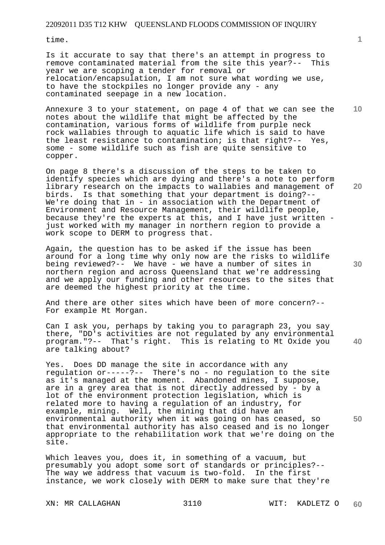time.

Is it accurate to say that there's an attempt in progress to remove contaminated material from the site this year?-- This year we are scoping a tender for removal or relocation/encapsulation, I am not sure what wording we use, to have the stockpiles no longer provide any - any contaminated seepage in a new location.

Annexure 3 to your statement, on page 4 of that we can see the notes about the wildlife that might be affected by the contamination, various forms of wildlife from purple neck rock wallabies through to aquatic life which is said to have the least resistance to contamination; is that right?-- Yes, some - some wildlife such as fish are quite sensitive to copper.

On page 8 there's a discussion of the steps to be taken to identify species which are dying and there's a note to perform library research on the impacts to wallabies and management of birds. Is that something that your department is doing?-- We're doing that in - in association with the Department of Environment and Resource Management, their wildlife people, because they're the experts at this, and I have just written just worked with my manager in northern region to provide a work scope to DERM to progress that.

Again, the question has to be asked if the issue has been around for a long time why only now are the risks to wildlife being reviewed?-- We have - we have a number of sites in northern region and across Queensland that we're addressing and we apply our funding and other resources to the sites that are deemed the highest priority at the time.

And there are other sites which have been of more concern?-- For example Mt Morgan.

Can I ask you, perhaps by taking you to paragraph 23, you say there, "DD's activities are not regulated by any environmental program."?-- That's right. This is relating to Mt Oxide you are talking about?

Yes. Does DD manage the site in accordance with any regulation or-----?-- There's no - no regulation to the site as it's managed at the moment. Abandoned mines, I suppose, are in a grey area that is not directly addressed by - by a lot of the environment protection legislation, which is related more to having a regulation of an industry, for example, mining. Well, the mining that did have an environmental authority when it was going on has ceased, so that environmental authority has also ceased and is no longer appropriate to the rehabilitation work that we're doing on the site.

Which leaves you, does it, in something of a vacuum, but presumably you adopt some sort of standards or principles?-- The way we address that vacuum is two-fold. In the first instance, we work closely with DERM to make sure that they're

**10** 

**20** 

**40**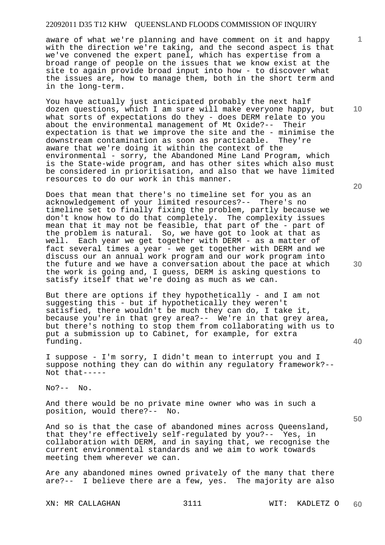## 22092011 D35 T12 KHW QUEENSLAND FLOODS COMMISSION OF INQUIRY

aware of what we're planning and have comment on it and happy with the direction we're taking, and the second aspect is that we've convened the expert panel, which has expertise from a broad range of people on the issues that we know exist at the site to again provide broad input into how - to discover what the issues are, how to manage them, both in the short term and in the long-term.

You have actually just anticipated probably the next half dozen questions, which I am sure will make everyone happy, but what sorts of expectations do they - does DERM relate to you about the environmental management of Mt Oxide?-- Their expectation is that we improve the site and the - minimise the downstream contamination as soon as practicable. They're aware that we're doing it within the context of the environmental - sorry, the Abandoned Mine Land Program, which is the State-wide program, and has other sites which also must be considered in prioritisation, and also that we have limited resources to do our work in this manner.

Does that mean that there's no timeline set for you as an acknowledgement of your limited resources?-- There's no timeline set to finally fixing the problem, partly because we don't know how to do that completely. The complexity issues mean that it may not be feasible, that part of the - part of the problem is natural. So, we have got to look at that as well. Each year we get together with DERM - as a matter of fact several times a year - we get together with DERM and we discuss our an annual work program and our work program into the future and we have a conversation about the pace at which the work is going and, I guess, DERM is asking questions to satisfy itself that we're doing as much as we can.

But there are options if they hypothetically - and I am not suggesting this - but if hypothetically they weren't satisfied, there wouldn't be much they can do, I take it, because you're in that grey area?-- We're in that grey area, but there's nothing to stop them from collaborating with us to put a submission up to Cabinet, for example, for extra funding.

I suppose - I'm sorry, I didn't mean to interrupt you and I suppose nothing they can do within any regulatory framework?-- Not that-----

 $NQ^2$ --  $NQ$ .

And there would be no private mine owner who was in such a position, would there?-- No.

And so is that the case of abandoned mines across Queensland, that they're effectively self-regulated by you?-- Yes, in collaboration with DERM, and in saying that, we recognise the current environmental standards and we aim to work towards meeting them wherever we can.

Are any abandoned mines owned privately of the many that there are?-- I believe there are a few, yes. The majority are also

XN: MR CALLAGHAN 3111 WIT: KADLETZ O

**60** 

**20** 

**1**

**10** 

**30** 

**50**